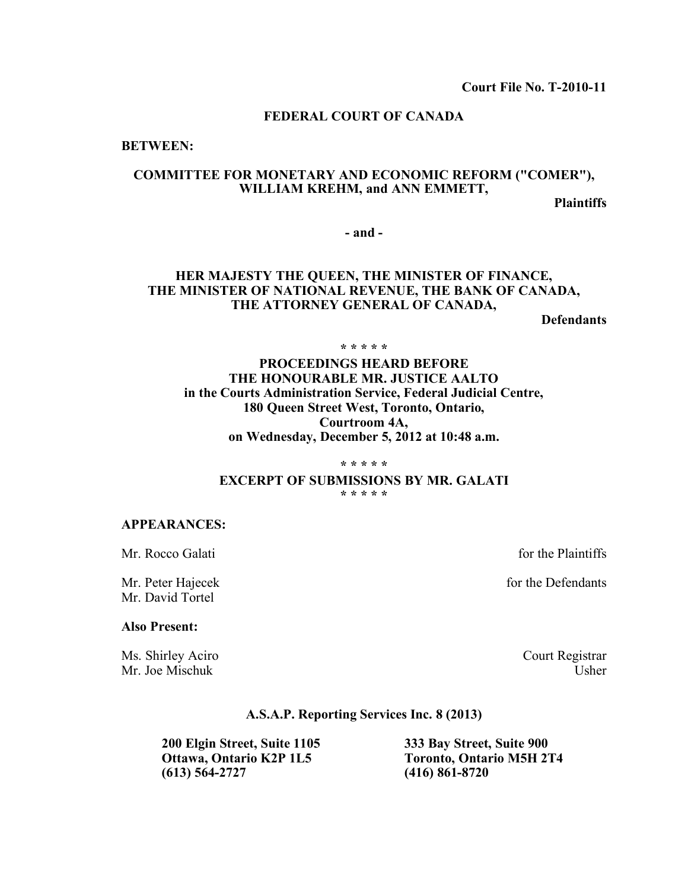#### **FEDERAL COURT OF CANADA**

**BETWEEN:**

### **COMMITTEE FOR MONETARY AND ECONOMIC REFORM ("COMER"), WILLIAM KREHM, and ANN EMMETT,**

**Plaintiffs**

**- and -**

## **HER MAJESTY THE QUEEN, THE MINISTER OF FINANCE, THE MINISTER OF NATIONAL REVENUE, THE BANK OF CANADA, THE ATTORNEY GENERAL OF CANADA,**

**Defendants**

**\* \* \* \* \***

## **PROCEEDINGS HEARD BEFORE THE HONOURABLE MR. JUSTICE AALTO in the Courts Administration Service, Federal Judicial Centre, 180 Queen Street West, Toronto, Ontario, Courtroom 4A, on Wednesday, December 5, 2012 at 10:48 a.m.**

**\* \* \* \* \***

**EXCERPT OF SUBMISSIONS BY MR. GALATI**

**\* \* \* \* \***

#### **APPEARANCES:**

Mr. Rocco Galati **intervalse and the Plaintiffs** intervalse and the Plaintiffs

Mr. David Tortel

#### **Also Present:**

Ms. Shirley Aciro Court Registrar Mr. Joe Mischuk Usher

Mr. Peter Hajecek for the Defendants

#### **A.S.A.P. Reporting Services Inc. 8 (2013)**

**200 Elgin Street, Suite 1105 333 Bay Street, Suite 900**

**Ottawa, Ontario K2P 1L5 Toronto, Ontario M5H 2T4**<br>(613) 564-2727 **Toronto** (416) 861-8720 **(613) 564-2727 (416) 861-8720**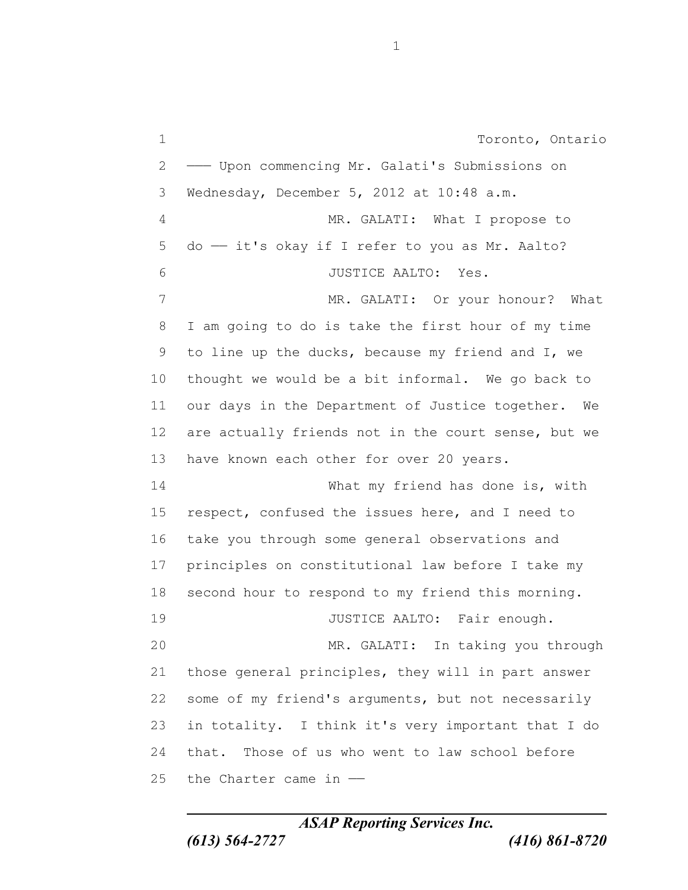Toronto, Ontario ——— Upon commencing Mr. Galati's Submissions on Wednesday, December 5, 2012 at 10:48 a.m. MR. GALATI: What I propose to 5 do - it's okay if I refer to you as Mr. Aalto? JUSTICE AALTO: Yes. 7 MR. GALATI: Or your honour? What I am going to do is take the first hour of my time to line up the ducks, because my friend and I, we thought we would be a bit informal. We go back to our days in the Department of Justice together. We are actually friends not in the court sense, but we 13 have known each other for over 20 years. What my friend has done is, with respect, confused the issues here, and I need to take you through some general observations and principles on constitutional law before I take my second hour to respond to my friend this morning. 19 JUSTICE AALTO: Fair enough. MR. GALATI: In taking you through those general principles, they will in part answer some of my friend's arguments, but not necessarily in totality. I think it's very important that I do that. Those of us who went to law school before the Charter came in ——

*ASAP Reporting Services Inc. (613) 564-2727 (416) 861-8720*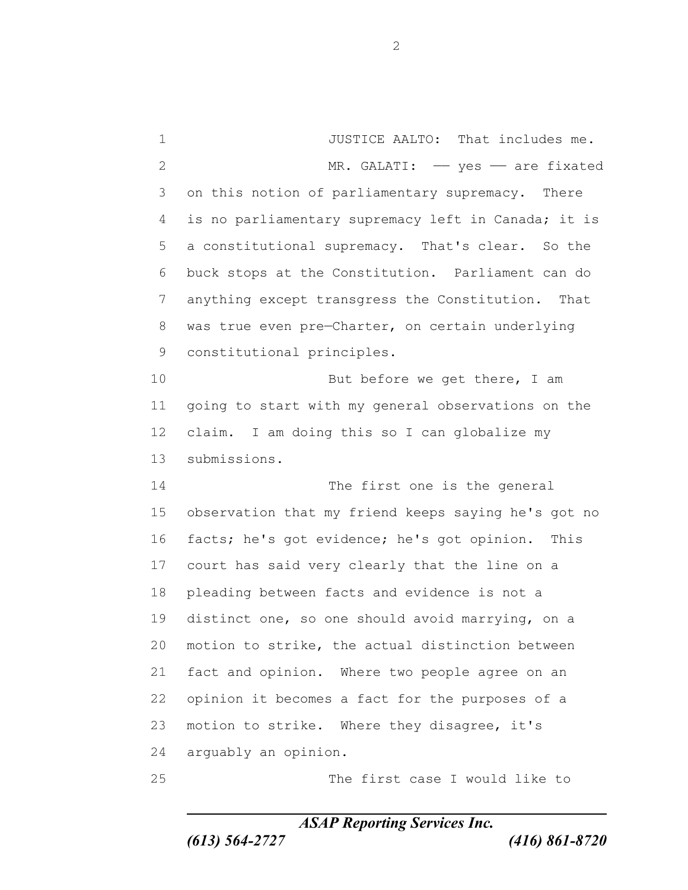JUSTICE AALTO: That includes me. 2 MR. GALATI: - yes - are fixated on this notion of parliamentary supremacy. There is no parliamentary supremacy left in Canada; it is a constitutional supremacy. That's clear. So the buck stops at the Constitution. Parliament can do anything except transgress the Constitution. That was true even pre—Charter, on certain underlying constitutional principles. 10 But before we get there, I am going to start with my general observations on the claim. I am doing this so I can globalize my submissions. The first one is the general observation that my friend keeps saying he's got no facts; he's got evidence; he's got opinion. This court has said very clearly that the line on a pleading between facts and evidence is not a distinct one, so one should avoid marrying, on a motion to strike, the actual distinction between fact and opinion. Where two people agree on an opinion it becomes a fact for the purposes of a motion to strike. Where they disagree, it's arguably an opinion. The first case I would like to

*ASAP Reporting Services Inc.*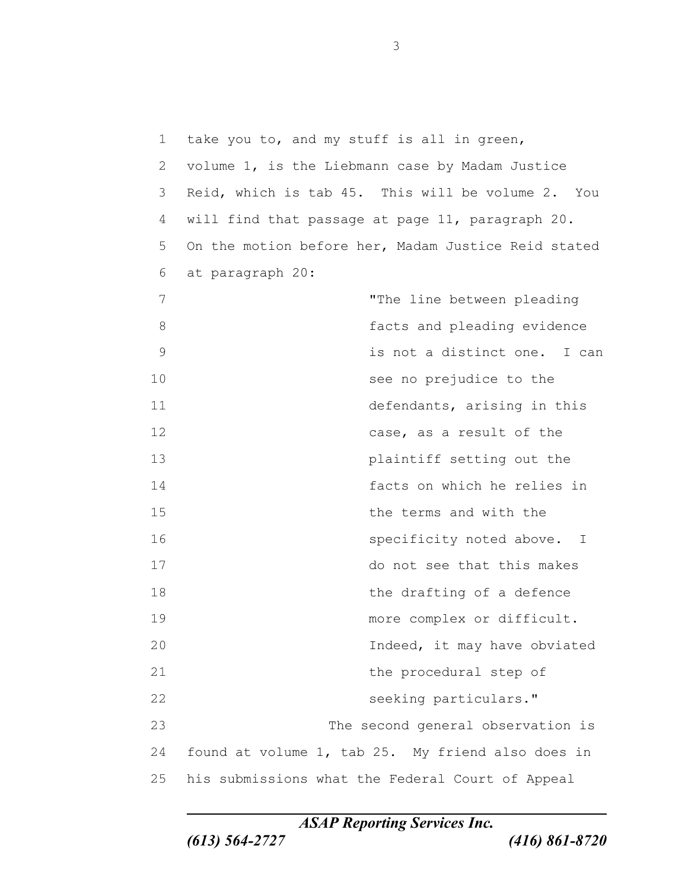| 1             | take you to, and my stuff is all in green,          |
|---------------|-----------------------------------------------------|
| 2             | volume 1, is the Liebmann case by Madam Justice     |
| 3             | Reid, which is tab 45. This will be volume 2. You   |
| 4             | will find that passage at page 11, paragraph 20.    |
| 5             | On the motion before her, Madam Justice Reid stated |
| 6             | at paragraph 20:                                    |
| 7             | "The line between pleading                          |
| 8             | facts and pleading evidence                         |
| $\mathcal{G}$ | is not a distinct one. I can                        |
| 10            | see no prejudice to the                             |
| 11            | defendants, arising in this                         |
| 12            | case, as a result of the                            |
| 13            | plaintiff setting out the                           |
| 14            | facts on which he relies in                         |
| 15            | the terms and with the                              |
| 16            | specificity noted above. I                          |
| 17            | do not see that this makes                          |
| 18            | the drafting of a defence                           |
| 19            | more complex or difficult.                          |
| 20            | Indeed, it may have obviated                        |
| 21            | the procedural step of                              |
| 22            | seeking particulars."                               |
| 23            | The second general observation is                   |
| 24            | found at volume 1, tab 25. My friend also does in   |
| 25            | his submissions what the Federal Court of Appeal    |

*ASAP Reporting Services Inc.*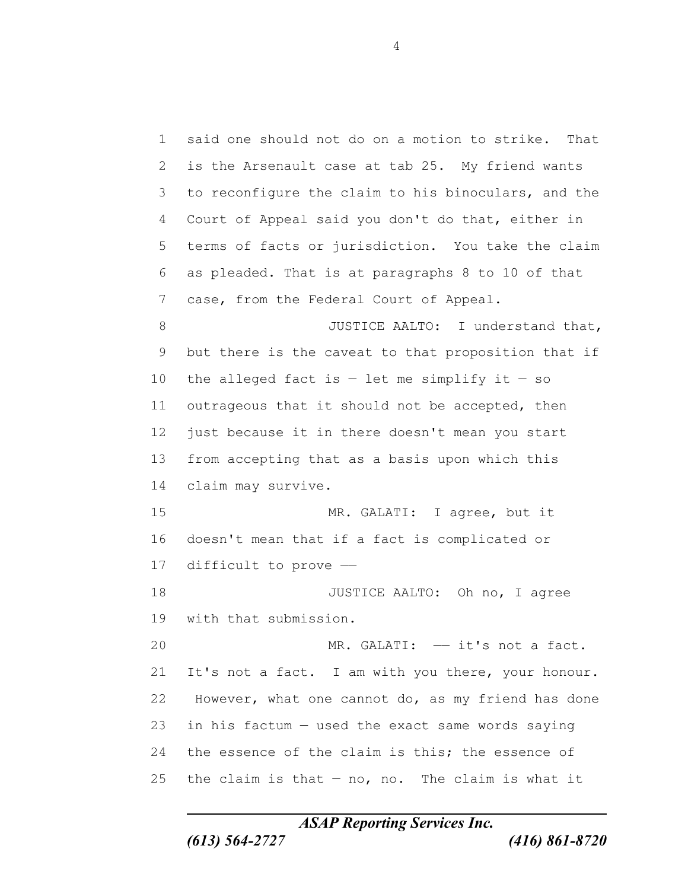said one should not do on a motion to strike. That is the Arsenault case at tab 25. My friend wants to reconfigure the claim to his binoculars, and the Court of Appeal said you don't do that, either in terms of facts or jurisdiction. You take the claim as pleaded. That is at paragraphs 8 to 10 of that case, from the Federal Court of Appeal. 8 JUSTICE AALTO: I understand that, but there is the caveat to that proposition that if 10 the alleged fact is  $-$  let me simplify it  $-$  so 11 outrageous that it should not be accepted, then just because it in there doesn't mean you start from accepting that as a basis upon which this claim may survive. MR. GALATI: I agree, but it doesn't mean that if a fact is complicated or difficult to prove —— 18 JUSTICE AALTO: Oh no, I agree with that submission. MR. GALATI: —— it's not a fact. It's not a fact. I am with you there, your honour. However, what one cannot do, as my friend has done in his factum — used the exact same words saying 24 the essence of the claim is this; the essence of 25 the claim is that  $-$  no, no. The claim is what it

*ASAP Reporting Services Inc.*

*(613) 564-2727 (416) 861-8720*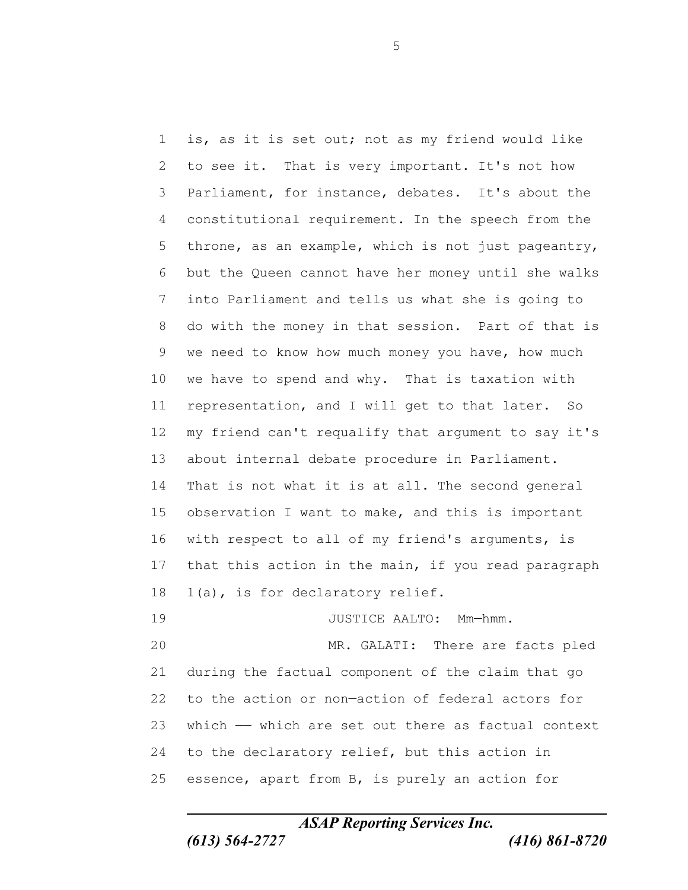is, as it is set out; not as my friend would like to see it. That is very important. It's not how Parliament, for instance, debates. It's about the constitutional requirement. In the speech from the throne, as an example, which is not just pageantry, but the Queen cannot have her money until she walks into Parliament and tells us what she is going to do with the money in that session. Part of that is we need to know how much money you have, how much we have to spend and why. That is taxation with representation, and I will get to that later. So my friend can't requalify that argument to say it's about internal debate procedure in Parliament. That is not what it is at all. The second general observation I want to make, and this is important with respect to all of my friend's arguments, is that this action in the main, if you read paragraph 1(a), is for declaratory relief. 19 JUSTICE AALTO: Mm-hmm. MR. GALATI: There are facts pled during the factual component of the claim that go to the action or non—action of federal actors for which —— which are set out there as factual context to the declaratory relief, but this action in essence, apart from B, is purely an action for

*ASAP Reporting Services Inc.*

*(613) 564-2727 (416) 861-8720*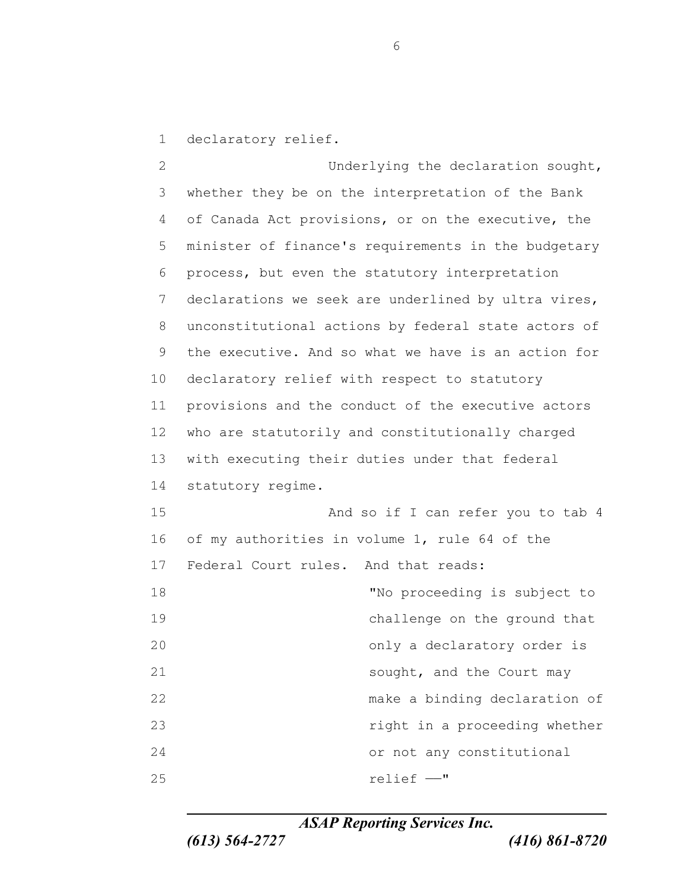declaratory relief.

 Underlying the declaration sought, whether they be on the interpretation of the Bank of Canada Act provisions, or on the executive, the minister of finance's requirements in the budgetary process, but even the statutory interpretation declarations we seek are underlined by ultra vires, unconstitutional actions by federal state actors of the executive. And so what we have is an action for declaratory relief with respect to statutory provisions and the conduct of the executive actors who are statutorily and constitutionally charged with executing their duties under that federal statutory regime. And so if I can refer you to tab 4 of my authorities in volume 1, rule 64 of the Federal Court rules. And that reads: "No proceeding is subject to challenge on the ground that only a declaratory order is 21 Sought, and the Court may make a binding declaration of right in a proceeding whether or not any constitutional relief ——"

*ASAP Reporting Services Inc.*

*(613) 564-2727 (416) 861-8720*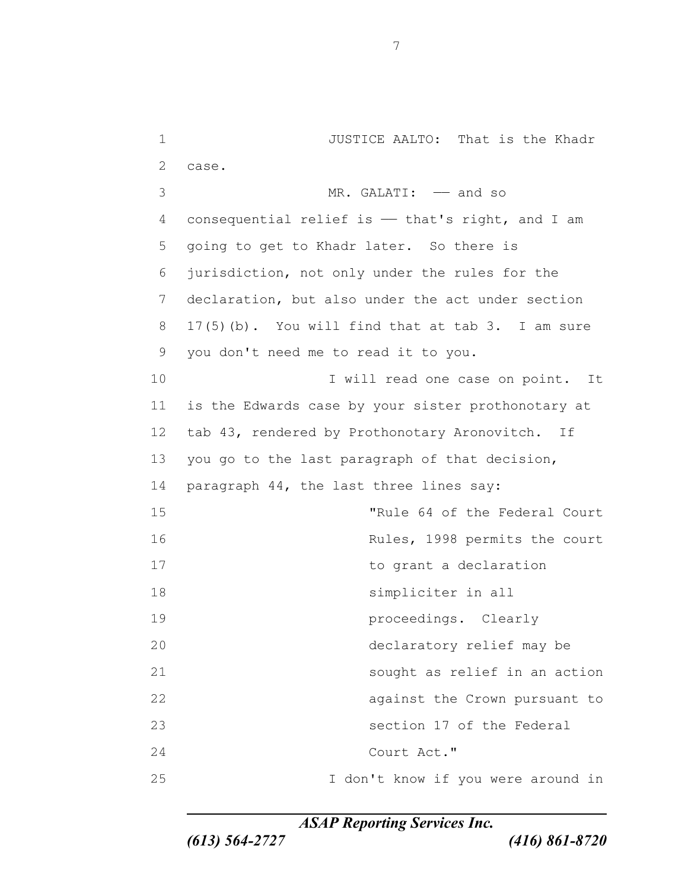JUSTICE AALTO: That is the Khadr case. MR. GALATI: —— and so 4 consequential relief is - that's right, and I am going to get to Khadr later. So there is jurisdiction, not only under the rules for the declaration, but also under the act under section 17(5)(b). You will find that at tab 3. I am sure you don't need me to read it to you. 10 10 I will read one case on point. It is the Edwards case by your sister prothonotary at tab 43, rendered by Prothonotary Aronovitch. If you go to the last paragraph of that decision, paragraph 44, the last three lines say: "Rule 64 of the Federal Court Rules, 1998 permits the court 17 to grant a declaration simpliciter in all proceedings. Clearly declaratory relief may be sought as relief in an action **against the Crown pursuant to**  section 17 of the Federal Court Act." I don't know if you were around in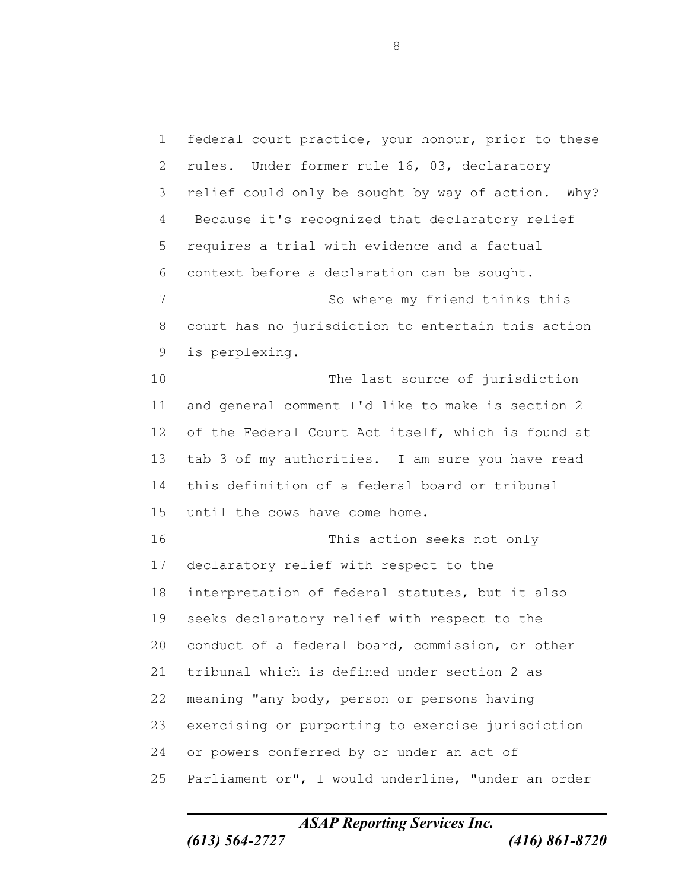federal court practice, your honour, prior to these rules. Under former rule 16, 03, declaratory relief could only be sought by way of action. Why? Because it's recognized that declaratory relief requires a trial with evidence and a factual context before a declaration can be sought. So where my friend thinks this court has no jurisdiction to entertain this action is perplexing. The last source of jurisdiction and general comment I'd like to make is section 2 of the Federal Court Act itself, which is found at tab 3 of my authorities. I am sure you have read this definition of a federal board or tribunal until the cows have come home. This action seeks not only declaratory relief with respect to the interpretation of federal statutes, but it also seeks declaratory relief with respect to the conduct of a federal board, commission, or other tribunal which is defined under section 2 as meaning "any body, person or persons having exercising or purporting to exercise jurisdiction or powers conferred by or under an act of Parliament or", I would underline, "under an order

*ASAP Reporting Services Inc.*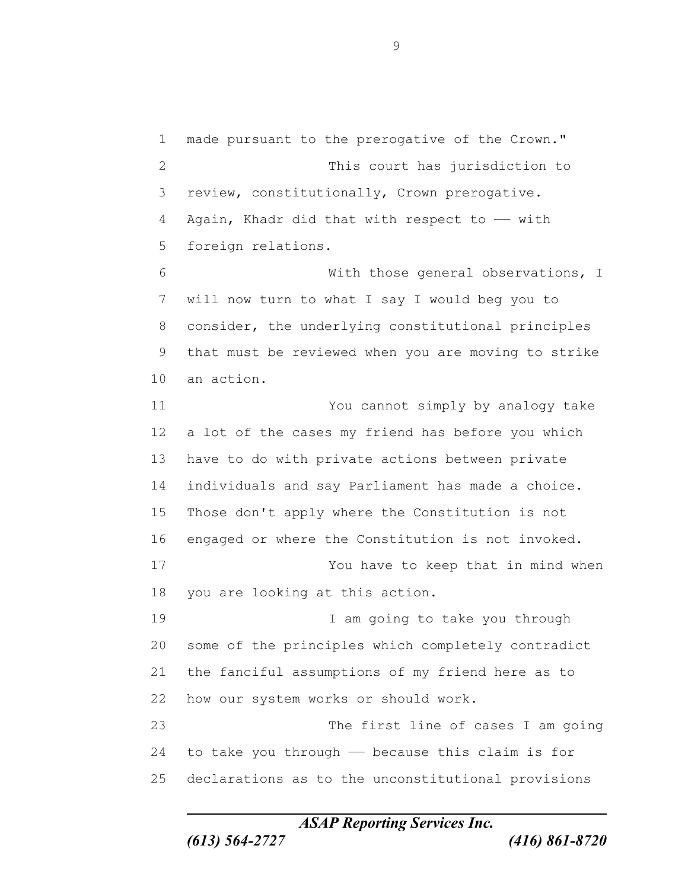made pursuant to the prerogative of the Crown." This court has jurisdiction to review, constitutionally, Crown prerogative. 4 Again, Khadr did that with respect to  $-$  with foreign relations. With those general observations, I will now turn to what I say I would beg you to consider, the underlying constitutional principles that must be reviewed when you are moving to strike an action. You cannot simply by analogy take a lot of the cases my friend has before you which have to do with private actions between private individuals and say Parliament has made a choice. Those don't apply where the Constitution is not engaged or where the Constitution is not invoked. You have to keep that in mind when you are looking at this action. I am going to take you through some of the principles which completely contradict the fanciful assumptions of my friend here as to how our system works or should work. The first line of cases I am going to take you through —— because this claim is for declarations as to the unconstitutional provisions

*ASAP Reporting Services Inc.*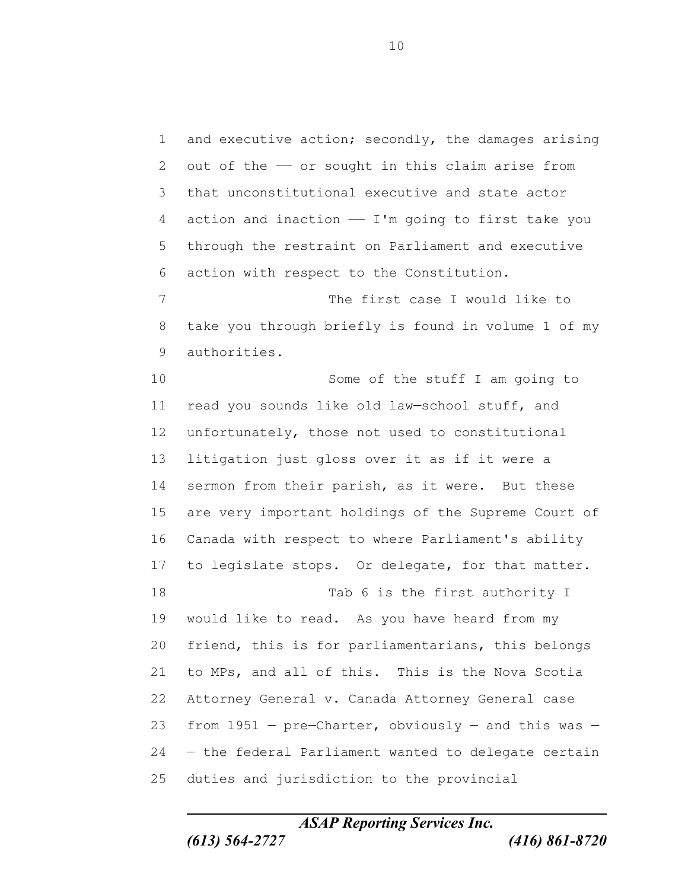and executive action; secondly, the damages arising 2 out of the  $-$  or sought in this claim arise from that unconstitutional executive and state actor action and inaction —— I'm going to first take you through the restraint on Parliament and executive action with respect to the Constitution. The first case I would like to take you through briefly is found in volume 1 of my authorities. Some of the stuff I am going to read you sounds like old law—school stuff, and unfortunately, those not used to constitutional litigation just gloss over it as if it were a 14 sermon from their parish, as it were. But these are very important holdings of the Supreme Court of Canada with respect to where Parliament's ability to legislate stops. Or delegate, for that matter. 18 Tab 6 is the first authority I would like to read. As you have heard from my friend, this is for parliamentarians, this belongs to MPs, and all of this. This is the Nova Scotia Attorney General v. Canada Attorney General case 23 from - pre-Charter, obviously - and this was - — the federal Parliament wanted to delegate certain duties and jurisdiction to the provincial

*ASAP Reporting Services Inc.*

*(613) 564-2727 (416) 861-8720*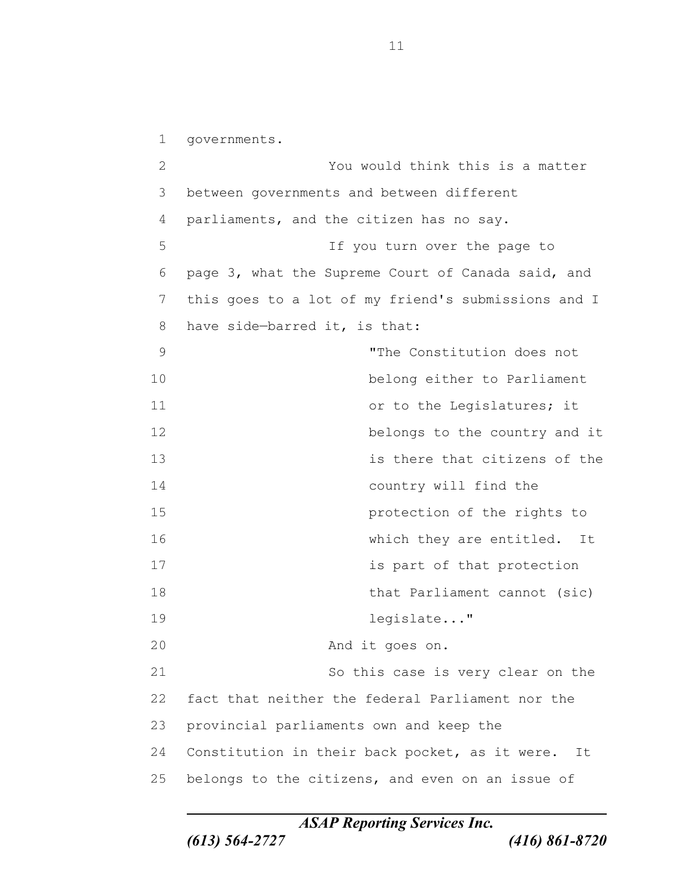governments. You would think this is a matter between governments and between different parliaments, and the citizen has no say. If you turn over the page to page 3, what the Supreme Court of Canada said, and this goes to a lot of my friend's submissions and I have side—barred it, is that: "The Constitution does not belong either to Parliament 11 or to the Leqislatures; it **belongs** to the country and it is there that citizens of the country will find the protection of the rights to which they are entitled. It **is part of that protection** 18 that Parliament cannot (sic) 19 legislate..." And it goes on. So this case is very clear on the fact that neither the federal Parliament nor the provincial parliaments own and keep the Constitution in their back pocket, as it were. It belongs to the citizens, and even on an issue of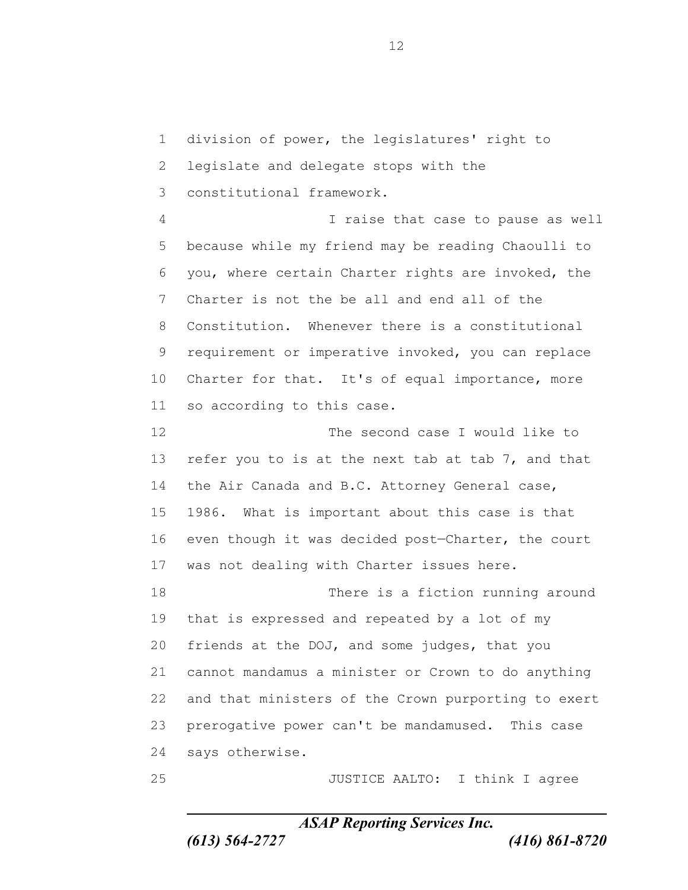division of power, the legislatures' right to legislate and delegate stops with the constitutional framework. I raise that case to pause as well because while my friend may be reading Chaoulli to you, where certain Charter rights are invoked, the Charter is not the be all and end all of the Constitution. Whenever there is a constitutional requirement or imperative invoked, you can replace 10 Charter for that. It's of equal importance, more so according to this case. The second case I would like to refer you to is at the next tab at tab 7, and that 14 the Air Canada and B.C. Attorney General case, 1986. What is important about this case is that even though it was decided post—Charter, the court was not dealing with Charter issues here. There is a fiction running around that is expressed and repeated by a lot of my friends at the DOJ, and some judges, that you cannot mandamus a minister or Crown to do anything and that ministers of the Crown purporting to exert prerogative power can't be mandamused. This case says otherwise.

JUSTICE AALTO: I think I agree

*ASAP Reporting Services Inc.*

*(613) 564-2727 (416) 861-8720*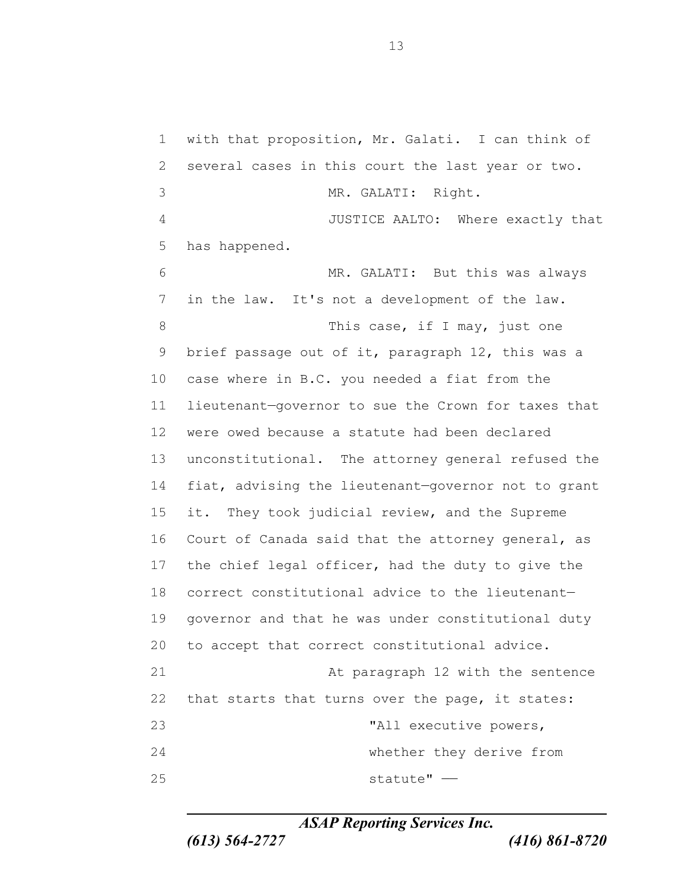with that proposition, Mr. Galati. I can think of several cases in this court the last year or two. MR. GALATI: Right. JUSTICE AALTO: Where exactly that has happened. MR. GALATI: But this was always in the law. It's not a development of the law. 8 This case, if I may, just one brief passage out of it, paragraph 12, this was a case where in B.C. you needed a fiat from the lieutenant—governor to sue the Crown for taxes that were owed because a statute had been declared unconstitutional. The attorney general refused the fiat, advising the lieutenant—governor not to grant 15 it. They took judicial review, and the Supreme Court of Canada said that the attorney general, as the chief legal officer, had the duty to give the correct constitutional advice to the lieutenant— governor and that he was under constitutional duty to accept that correct constitutional advice. 21 At paragraph 12 with the sentence that starts that turns over the page, it states: "All executive powers, whether they derive from statute" ——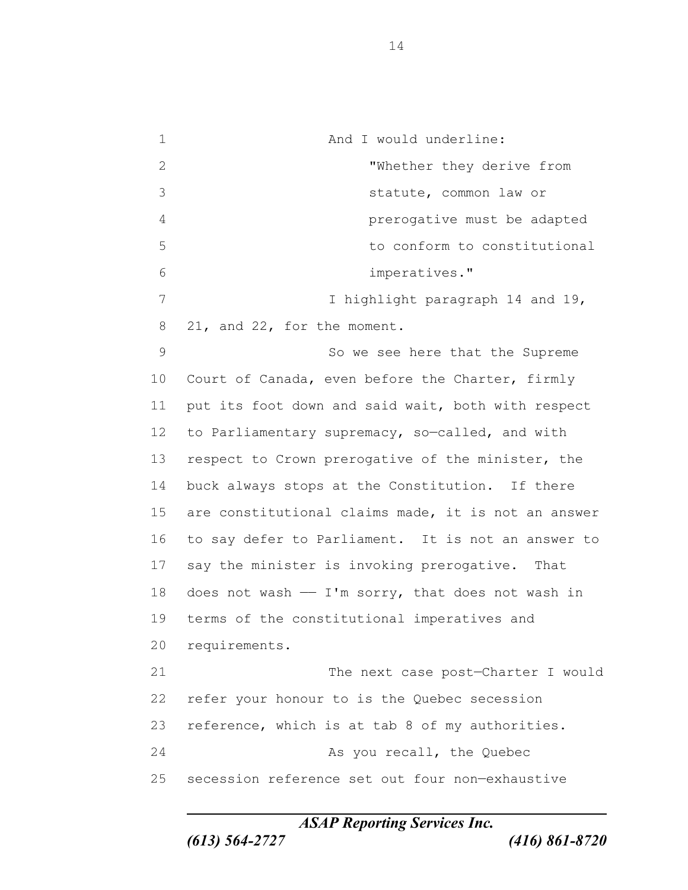1 and I would underline: "Whether they derive from statute, common law or prerogative must be adapted to conform to constitutional imperatives." 7 I highlight paragraph 14 and 19, 21, and 22, for the moment. So we see here that the Supreme Court of Canada, even before the Charter, firmly put its foot down and said wait, both with respect 12 to Parliamentary supremacy, so-called, and with respect to Crown prerogative of the minister, the buck always stops at the Constitution. If there are constitutional claims made, it is not an answer to say defer to Parliament. It is not an answer to say the minister is invoking prerogative. That 18 does not wash  $-$  I'm sorry, that does not wash in terms of the constitutional imperatives and requirements. The next case post—Charter I would refer your honour to is the Quebec secession reference, which is at tab 8 of my authorities. As you recall, the Quebec secession reference set out four non—exhaustive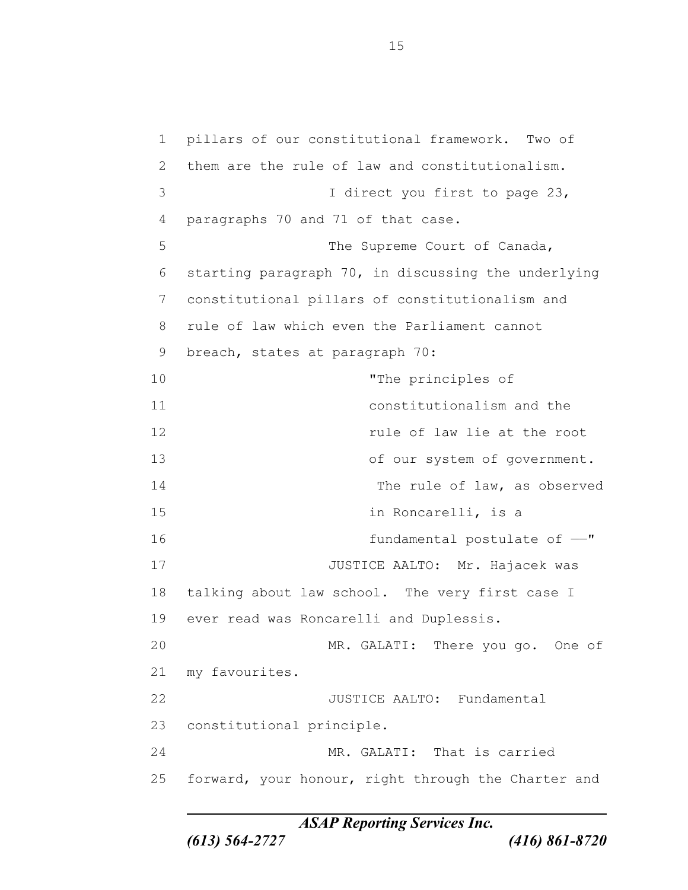pillars of our constitutional framework. Two of them are the rule of law and constitutionalism. 3 I direct you first to page 23, paragraphs 70 and 71 of that case. 5 The Supreme Court of Canada, starting paragraph 70, in discussing the underlying constitutional pillars of constitutionalism and rule of law which even the Parliament cannot breach, states at paragraph 70: "The principles of constitutionalism and the rule of law lie at the root 13 of our system of government. The rule of law, as observed 15 in Roncarelli, is a fundamental postulate of ——" 17 JUSTICE AALTO: Mr. Hajacek was talking about law school. The very first case I ever read was Roncarelli and Duplessis. MR. GALATI: There you go. One of my favourites. 22 JUSTICE AALTO: Fundamental constitutional principle. MR. GALATI: That is carried forward, your honour, right through the Charter and

*ASAP Reporting Services Inc.*

*(613) 564-2727 (416) 861-8720*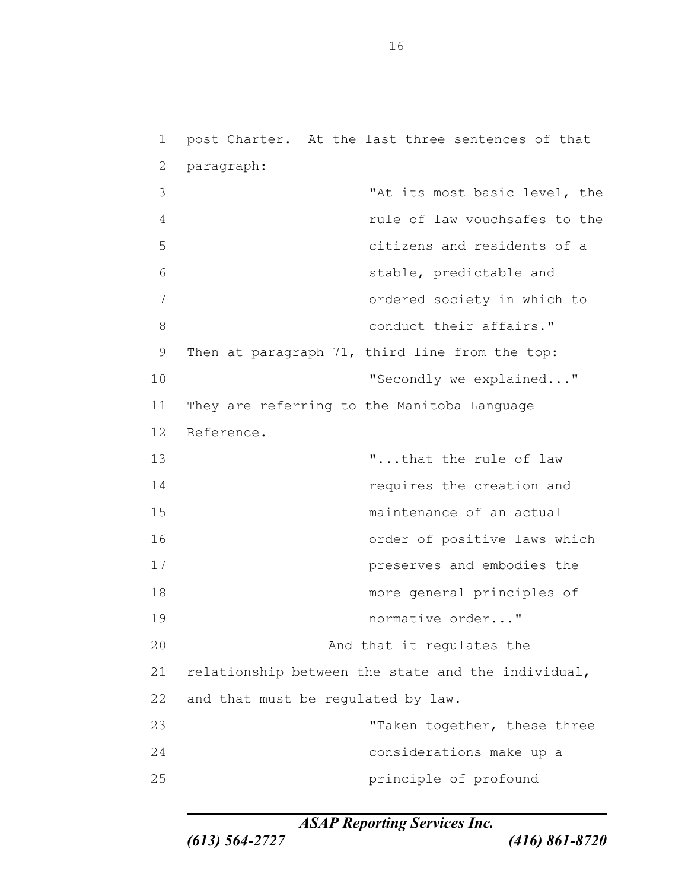post—Charter. At the last three sentences of that paragraph: "At its most basic level, the rule of law vouchsafes to the citizens and residents of a stable, predictable and ordered society in which to 8 and 10 conduct their affairs." Then at paragraph 71, third line from the top: **The Conditionary Secondly we explained..."**  They are referring to the Manitoba Language Reference. 13 T...that the rule of law requires the creation and maintenance of an actual order of positive laws which preserves and embodies the more general principles of normative order..." 20 And that it regulates the relationship between the state and the individual, and that must be regulated by law. 23 Taken together, these three considerations make up a principle of profound

*ASAP Reporting Services Inc.*

*(613) 564-2727 (416) 861-8720*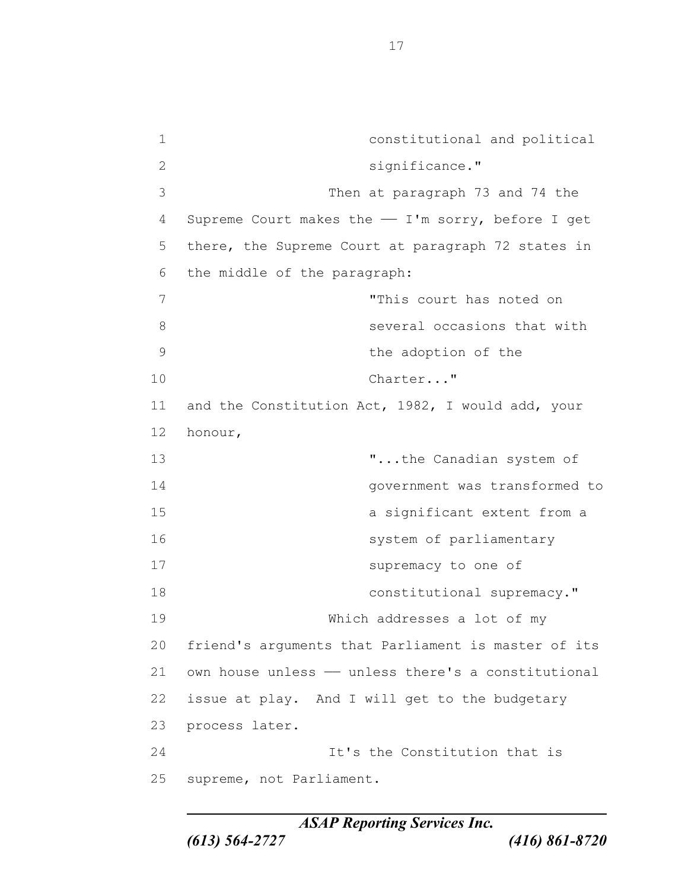constitutional and political significance." Then at paragraph 73 and 74 the Supreme Court makes the —— I'm sorry, before I get there, the Supreme Court at paragraph 72 states in the middle of the paragraph: "This court has noted on **8** Several occasions that with the adoption of the 10 Charter..." and the Constitution Act, 1982, I would add, your honour, "...the Canadian system of government was transformed to a significant extent from a 16 system of parliamentary supremacy to one of 18 constitutional supremacy." Which addresses a lot of my friend's arguments that Parliament is master of its own house unless  $-$  unless there's a constitutional issue at play. And I will get to the budgetary process later. **It's the Constitution that is** supreme, not Parliament.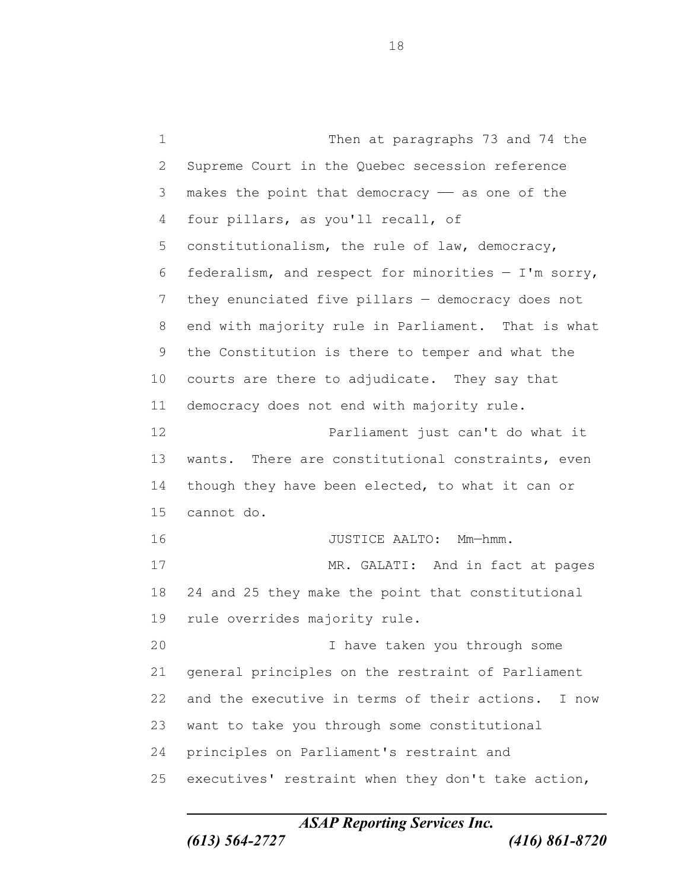Then at paragraphs 73 and 74 the Supreme Court in the Quebec secession reference 3 makes the point that democracy  $-$  as one of the four pillars, as you'll recall, of constitutionalism, the rule of law, democracy, 6 federalism, and respect for minorities  $- I'm$  sorry, they enunciated five pillars — democracy does not end with majority rule in Parliament. That is what the Constitution is there to temper and what the courts are there to adjudicate. They say that democracy does not end with majority rule. Parliament just can't do what it wants. There are constitutional constraints, even 14 though they have been elected, to what it can or cannot do. 16 JUSTICE AALTO: Mm-hmm. 17 MR. GALATI: And in fact at pages 24 and 25 they make the point that constitutional rule overrides majority rule. I have taken you through some general principles on the restraint of Parliament and the executive in terms of their actions. I now want to take you through some constitutional principles on Parliament's restraint and executives' restraint when they don't take action,

*ASAP Reporting Services Inc.*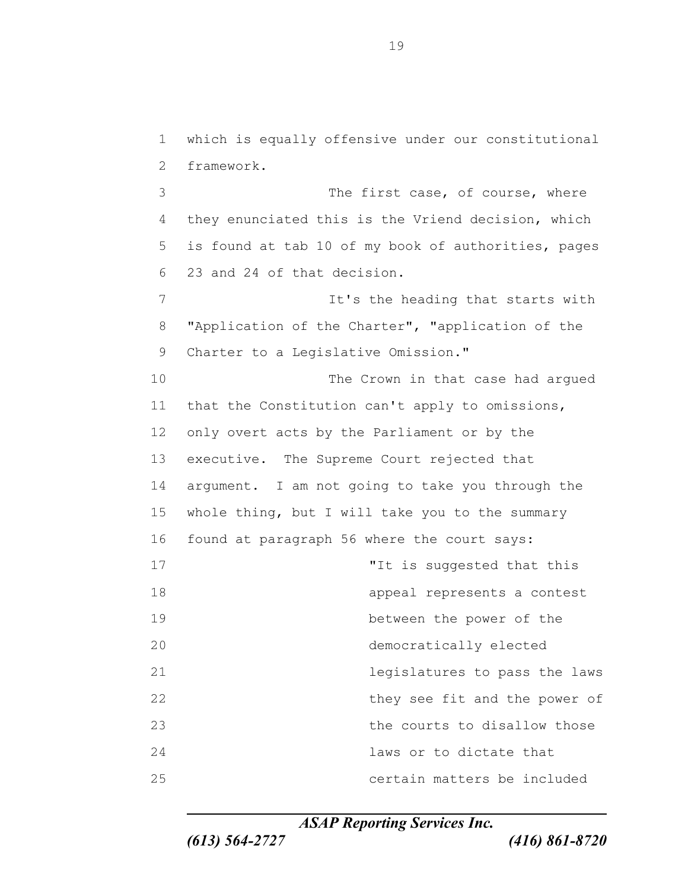which is equally offensive under our constitutional framework.

3 The first case, of course, where they enunciated this is the Vriend decision, which is found at tab 10 of my book of authorities, pages 23 and 24 of that decision.

7 It's the heading that starts with "Application of the Charter", "application of the 9 Charter to a Legislative Omission."

 The Crown in that case had argued that the Constitution can't apply to omissions, only overt acts by the Parliament or by the executive. The Supreme Court rejected that argument. I am not going to take you through the whole thing, but I will take you to the summary found at paragraph 56 where the court says: 17 The suggested that this suggested that this appeal represents a contest between the power of the democratically elected legislatures to pass the laws 22 they see fit and the power of the courts to disallow those laws or to dictate that

*ASAP Reporting Services Inc.*

certain matters be included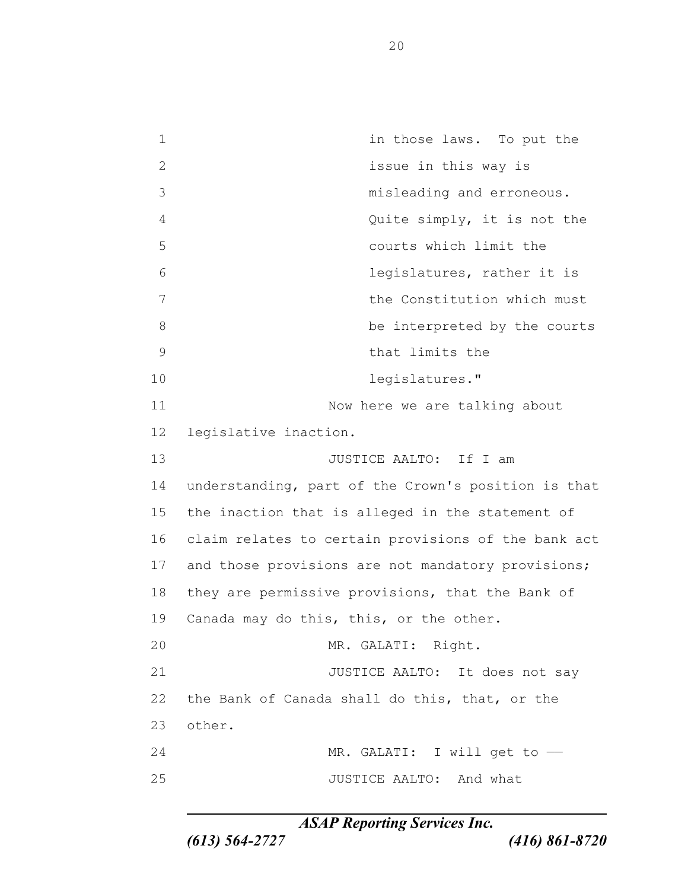in those laws. To put the issue in this way is misleading and erroneous. Quite simply, it is not the courts which limit the legislatures, rather it is the Constitution which must 8 be interpreted by the courts that limits the legislatures." 11 Now here we are talking about legislative inaction. 13 JUSTICE AALTO: If I am understanding, part of the Crown's position is that the inaction that is alleged in the statement of claim relates to certain provisions of the bank act 17 and those provisions are not mandatory provisions; they are permissive provisions, that the Bank of Canada may do this, this, or the other. MR. GALATI: Right. 21 JUSTICE AALTO: It does not say the Bank of Canada shall do this, that, or the other. 24 MR. GALATI: I will get to  $-$ 25 JUSTICE AALTO: And what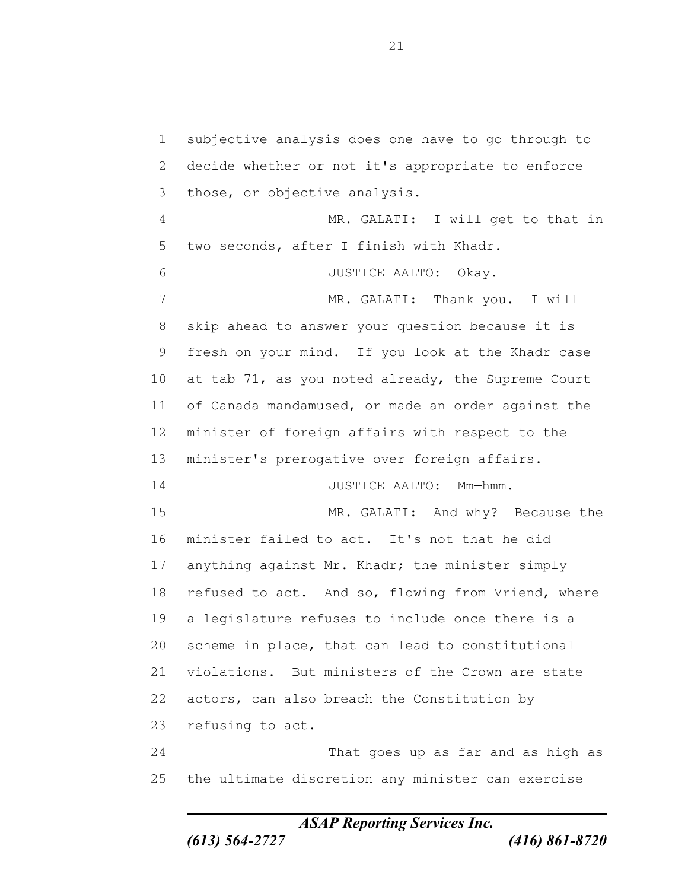subjective analysis does one have to go through to decide whether or not it's appropriate to enforce those, or objective analysis. MR. GALATI: I will get to that in two seconds, after I finish with Khadr. JUSTICE AALTO: Okay. 7 MR. GALATI: Thank you. I will skip ahead to answer your question because it is fresh on your mind. If you look at the Khadr case at tab 71, as you noted already, the Supreme Court of Canada mandamused, or made an order against the minister of foreign affairs with respect to the minister's prerogative over foreign affairs. 14 JUSTICE AALTO: Mm-hmm. MR. GALATI: And why? Because the minister failed to act. It's not that he did anything against Mr. Khadr; the minister simply 18 refused to act. And so, flowing from Vriend, where a legislature refuses to include once there is a scheme in place, that can lead to constitutional violations. But ministers of the Crown are state actors, can also breach the Constitution by refusing to act. That goes up as far and as high as the ultimate discretion any minister can exercise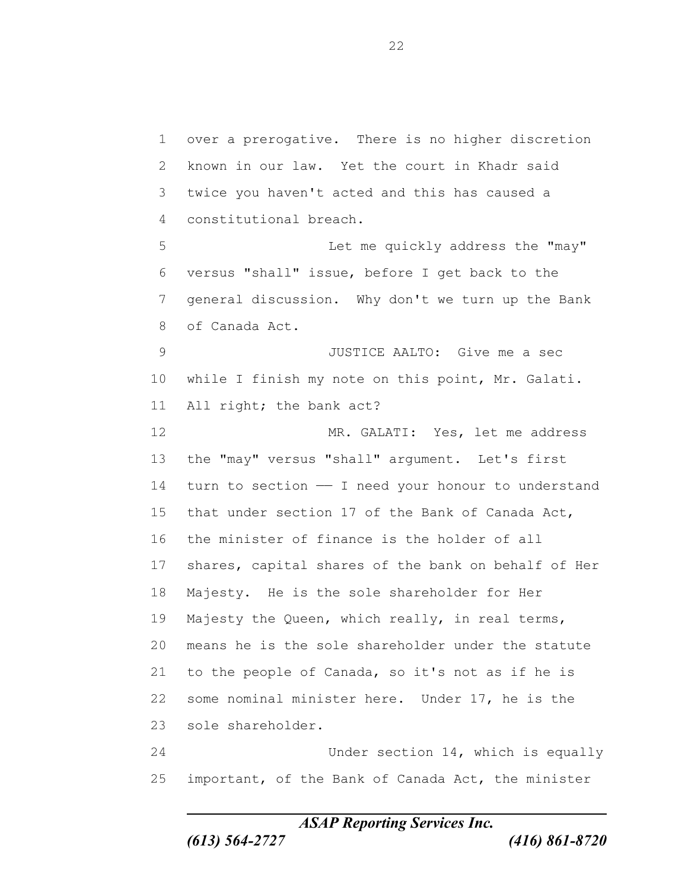over a prerogative. There is no higher discretion known in our law. Yet the court in Khadr said twice you haven't acted and this has caused a constitutional breach. Let me quickly address the "may" versus "shall" issue, before I get back to the general discussion. Why don't we turn up the Bank of Canada Act. JUSTICE AALTO: Give me a sec while I finish my note on this point, Mr. Galati. All right; the bank act? MR. GALATI: Yes, let me address the "may" versus "shall" argument. Let's first turn to section —— I need your honour to understand that under section 17 of the Bank of Canada Act, the minister of finance is the holder of all shares, capital shares of the bank on behalf of Her Majesty. He is the sole shareholder for Her 19 Majesty the Queen, which really, in real terms, means he is the sole shareholder under the statute to the people of Canada, so it's not as if he is some nominal minister here. Under 17, he is the sole shareholder. Under section 14, which is equally important, of the Bank of Canada Act, the minister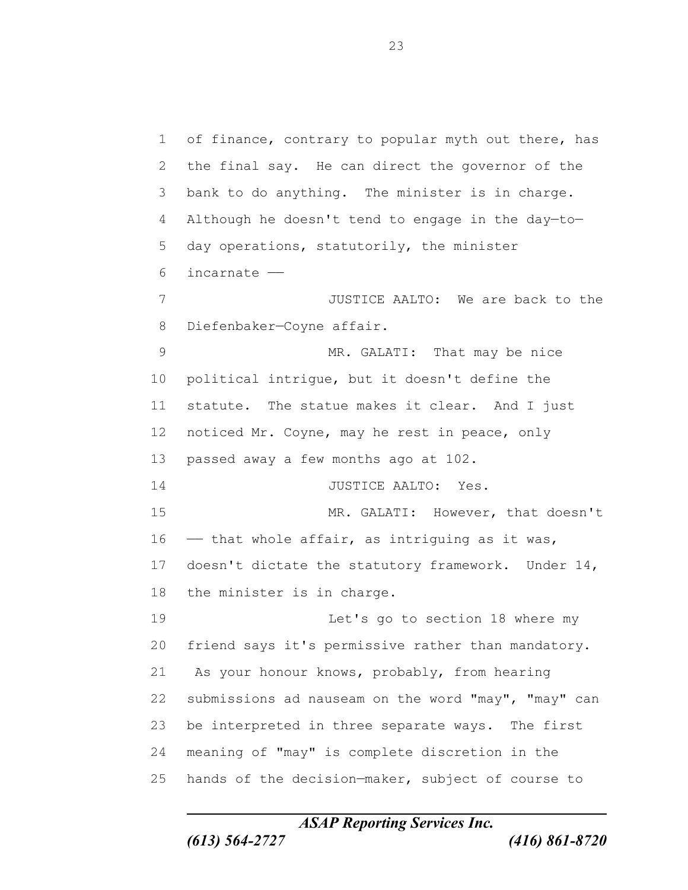of finance, contrary to popular myth out there, has the final say. He can direct the governor of the bank to do anything. The minister is in charge. 4 Although he doesn't tend to engage in the day-to- day operations, statutorily, the minister incarnate —— JUSTICE AALTO: We are back to the Diefenbaker—Coyne affair. 9 MR. GALATI: That may be nice political intrigue, but it doesn't define the statute. The statue makes it clear. And I just noticed Mr. Coyne, may he rest in peace, only passed away a few months ago at 102. JUSTICE AALTO: Yes. MR. GALATI: However, that doesn't – that whole affair, as intriguing as it was, doesn't dictate the statutory framework. Under 14, the minister is in charge. Let's go to section 18 where my friend says it's permissive rather than mandatory. As your honour knows, probably, from hearing submissions ad nauseam on the word "may", "may" can be interpreted in three separate ways. The first meaning of "may" is complete discretion in the hands of the decision—maker, subject of course to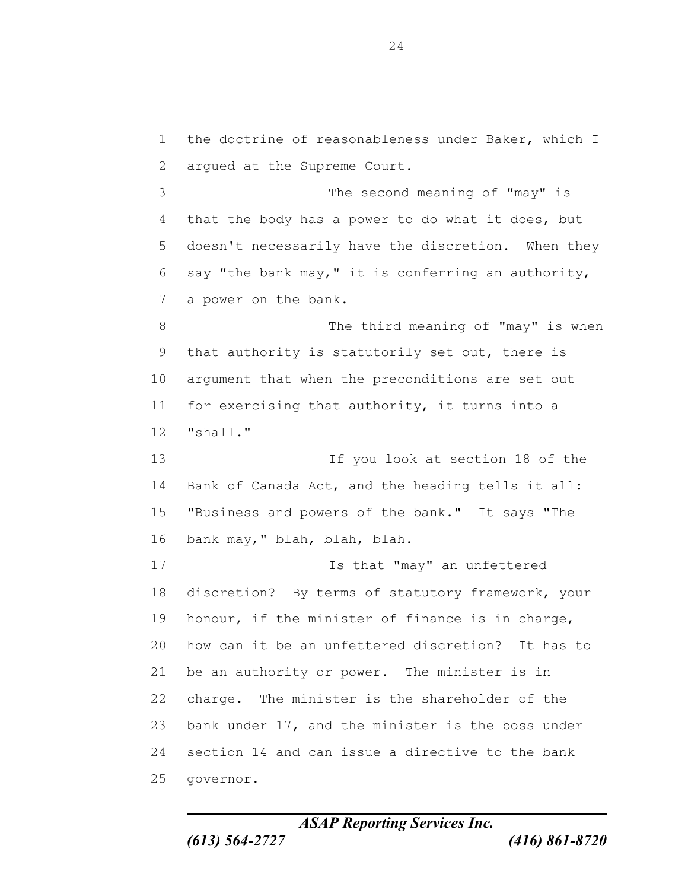the doctrine of reasonableness under Baker, which I argued at the Supreme Court. The second meaning of "may" is that the body has a power to do what it does, but doesn't necessarily have the discretion. When they say "the bank may," it is conferring an authority, a power on the bank. 8 The third meaning of "may" is when that authority is statutorily set out, there is argument that when the preconditions are set out 11 for exercising that authority, it turns into a "shall." If you look at section 18 of the Bank of Canada Act, and the heading tells it all: "Business and powers of the bank." It says "The bank may," blah, blah, blah. **Is that "may"** an unfettered discretion? By terms of statutory framework, your honour, if the minister of finance is in charge, how can it be an unfettered discretion? It has to be an authority or power. The minister is in charge. The minister is the shareholder of the bank under 17, and the minister is the boss under section 14 and can issue a directive to the bank governor.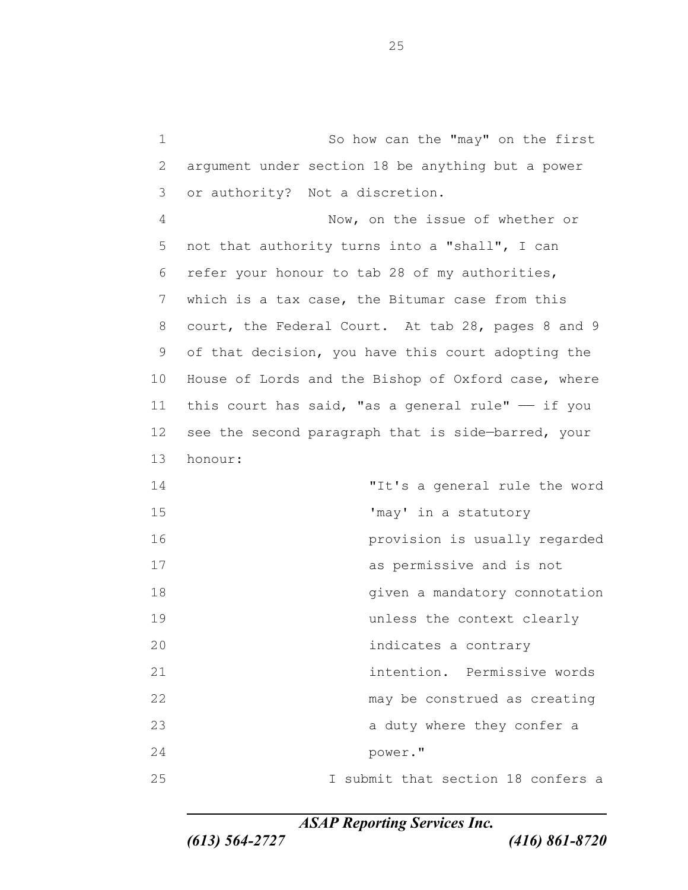So how can the "may" on the first argument under section 18 be anything but a power or authority? Not a discretion.

 Now, on the issue of whether or not that authority turns into a "shall", I can refer your honour to tab 28 of my authorities, which is a tax case, the Bitumar case from this court, the Federal Court. At tab 28, pages 8 and 9 of that decision, you have this court adopting the House of Lords and the Bishop of Oxford case, where 11 this court has said, "as a general rule"  $-$  if you see the second paragraph that is side—barred, your honour:

 "It's a general rule the word 'may' in a statutory provision is usually regarded as permissive and is not 18 and 18 given a mandatory connotation unless the context clearly indicates a contrary intention. Permissive words 22 may be construed as creating a duty where they confer a power." I submit that section 18 confers a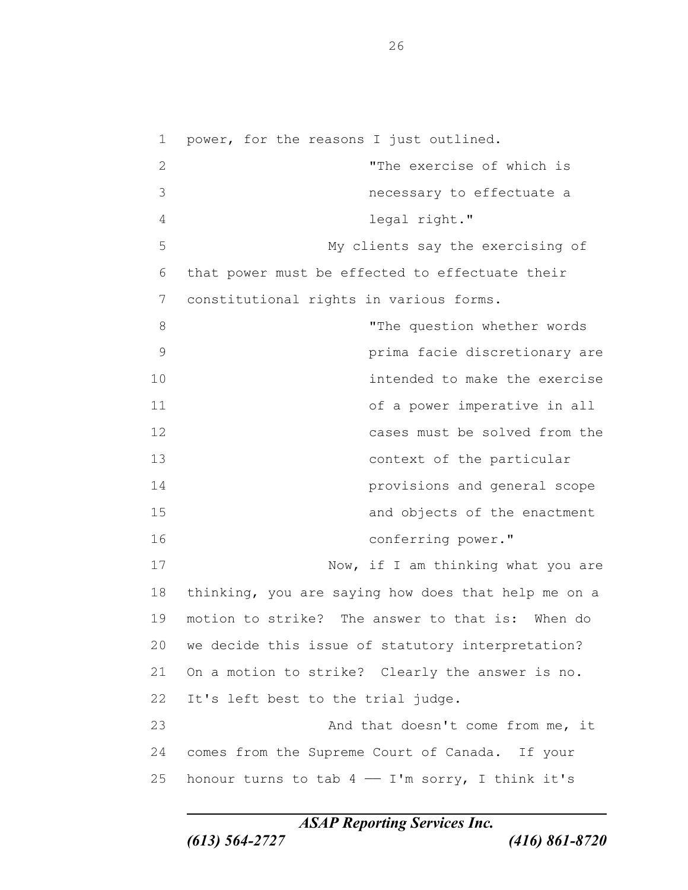power, for the reasons I just outlined. "The exercise of which is necessary to effectuate a legal right." My clients say the exercising of that power must be effected to effectuate their constitutional rights in various forms. 8 The question whether words prima facie discretionary are intended to make the exercise of a power imperative in all cases must be solved from the context of the particular provisions and general scope and objects of the enactment conferring power." 17 Now, if I am thinking what you are thinking, you are saying how does that help me on a motion to strike? The answer to that is: When do we decide this issue of statutory interpretation? On a motion to strike? Clearly the answer is no. It's left best to the trial judge. 23 And that doesn't come from me, it comes from the Supreme Court of Canada. If your 25 honour turns to tab  $4 - I'm$  sorry, I think it's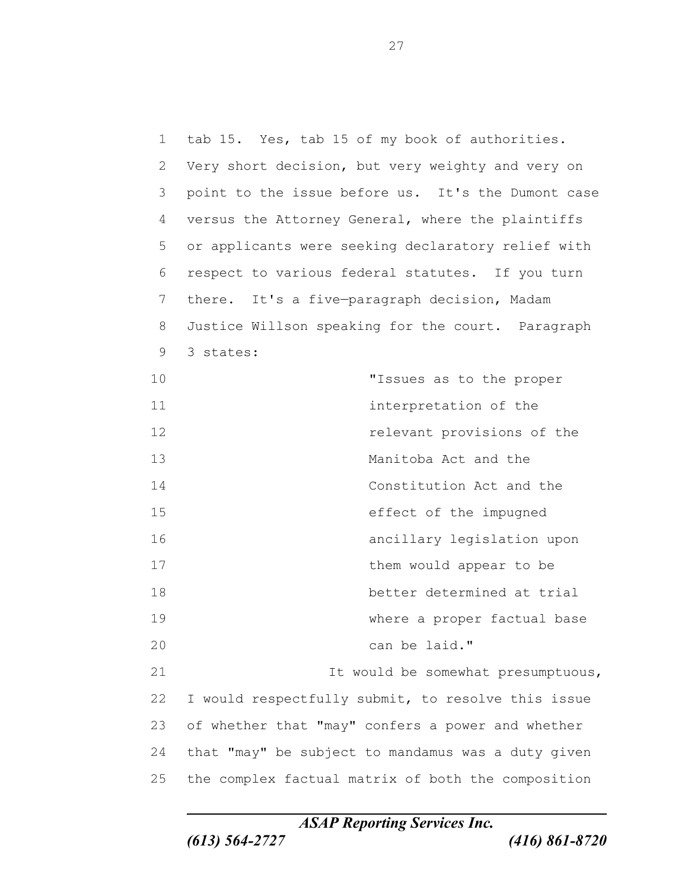tab 15. Yes, tab 15 of my book of authorities. Very short decision, but very weighty and very on point to the issue before us. It's the Dumont case versus the Attorney General, where the plaintiffs or applicants were seeking declaratory relief with respect to various federal statutes. If you turn there. It's a five—paragraph decision, Madam Justice Willson speaking for the court. Paragraph 3 states: "Issues as to the proper **interpretation of the**  relevant provisions of the Manitoba Act and the Constitution Act and the effect of the impugned ancillary legislation upon 17 them would appear to be better determined at trial where a proper factual base can be laid." It would be somewhat presumptuous, I would respectfully submit, to resolve this issue of whether that "may" confers a power and whether that "may" be subject to mandamus was a duty given the complex factual matrix of both the composition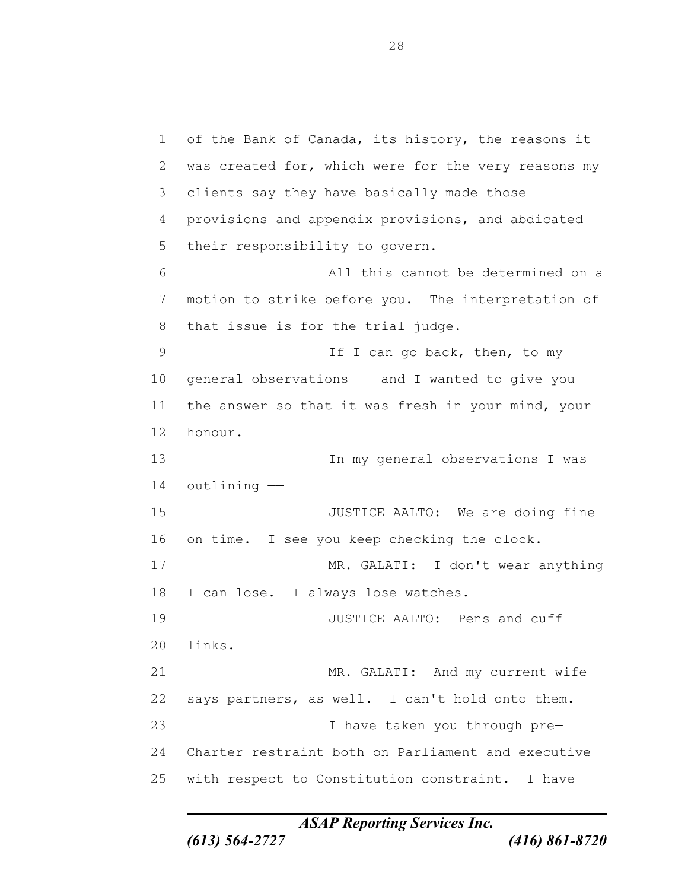of the Bank of Canada, its history, the reasons it was created for, which were for the very reasons my clients say they have basically made those provisions and appendix provisions, and abdicated their responsibility to govern. All this cannot be determined on a motion to strike before you. The interpretation of that issue is for the trial judge. 9 If I can go back, then, to my 10 general observations - and I wanted to give you the answer so that it was fresh in your mind, your honour. In my general observations I was outlining —— JUSTICE AALTO: We are doing fine on time. I see you keep checking the clock. MR. GALATI: I don't wear anything I can lose. I always lose watches. 19 JUSTICE AALTO: Pens and cuff links. MR. GALATI: And my current wife says partners, as well. I can't hold onto them. I have taken you through pre— Charter restraint both on Parliament and executive with respect to Constitution constraint. I have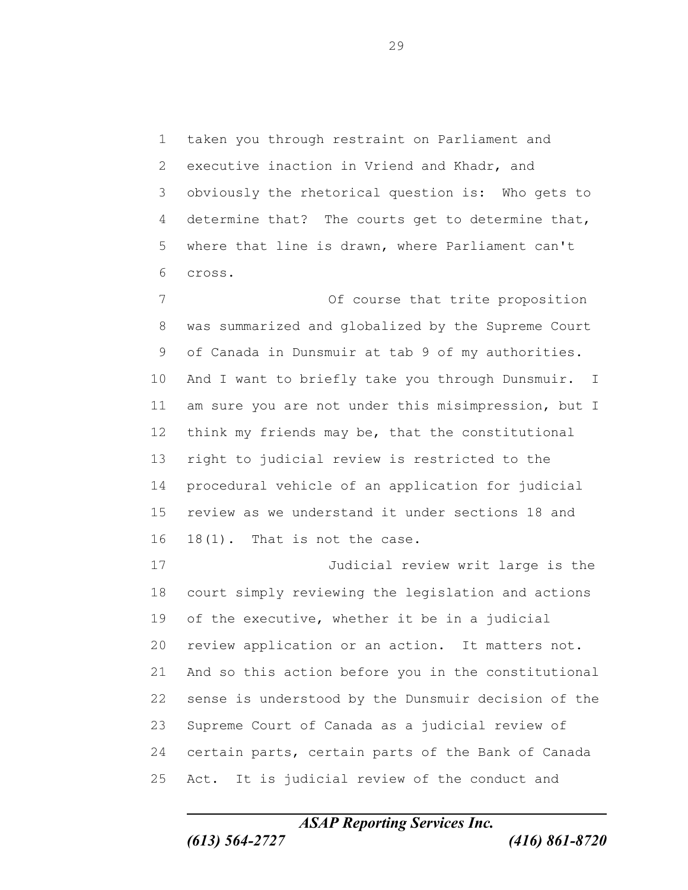taken you through restraint on Parliament and executive inaction in Vriend and Khadr, and obviously the rhetorical question is: Who gets to determine that? The courts get to determine that, where that line is drawn, where Parliament can't cross.

 Of course that trite proposition was summarized and globalized by the Supreme Court of Canada in Dunsmuir at tab 9 of my authorities. And I want to briefly take you through Dunsmuir. I am sure you are not under this misimpression, but I think my friends may be, that the constitutional right to judicial review is restricted to the procedural vehicle of an application for judicial review as we understand it under sections 18 and 18(1). That is not the case.

 Judicial review writ large is the court simply reviewing the legislation and actions of the executive, whether it be in a judicial review application or an action. It matters not. And so this action before you in the constitutional sense is understood by the Dunsmuir decision of the Supreme Court of Canada as a judicial review of certain parts, certain parts of the Bank of Canada Act. It is judicial review of the conduct and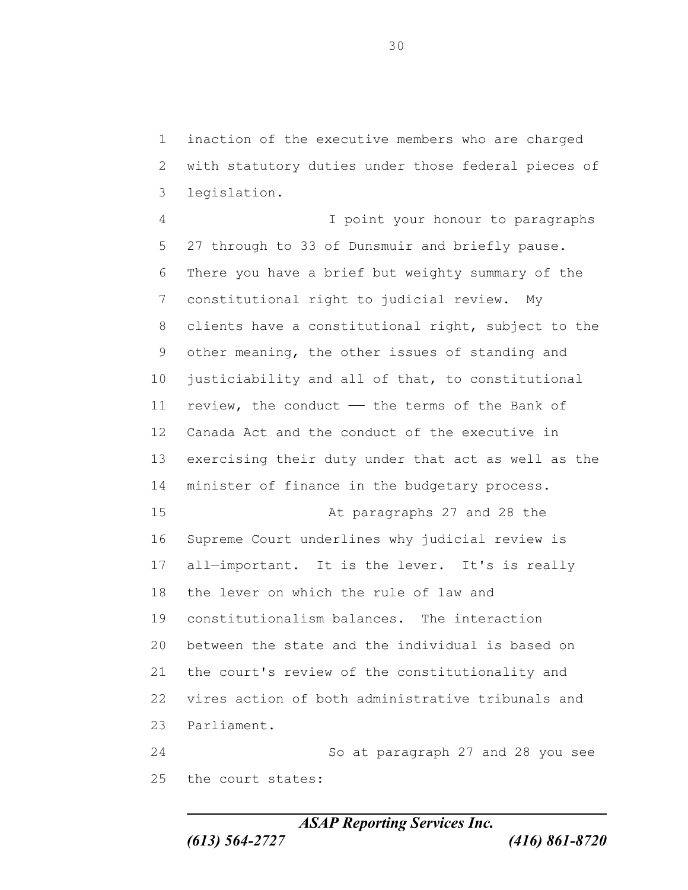inaction of the executive members who are charged with statutory duties under those federal pieces of legislation.

 I point your honour to paragraphs 27 through to 33 of Dunsmuir and briefly pause. There you have a brief but weighty summary of the constitutional right to judicial review. My clients have a constitutional right, subject to the other meaning, the other issues of standing and justiciability and all of that, to constitutional 11 review, the conduct - the terms of the Bank of Canada Act and the conduct of the executive in exercising their duty under that act as well as the minister of finance in the budgetary process. At paragraphs 27 and 28 the Supreme Court underlines why judicial review is 17 all-important. It is the lever. It's is really the lever on which the rule of law and constitutionalism balances. The interaction between the state and the individual is based on the court's review of the constitutionality and vires action of both administrative tribunals and Parliament. So at paragraph 27 and 28 you see the court states:

*ASAP Reporting Services Inc. (613) 564-2727 (416) 861-8720*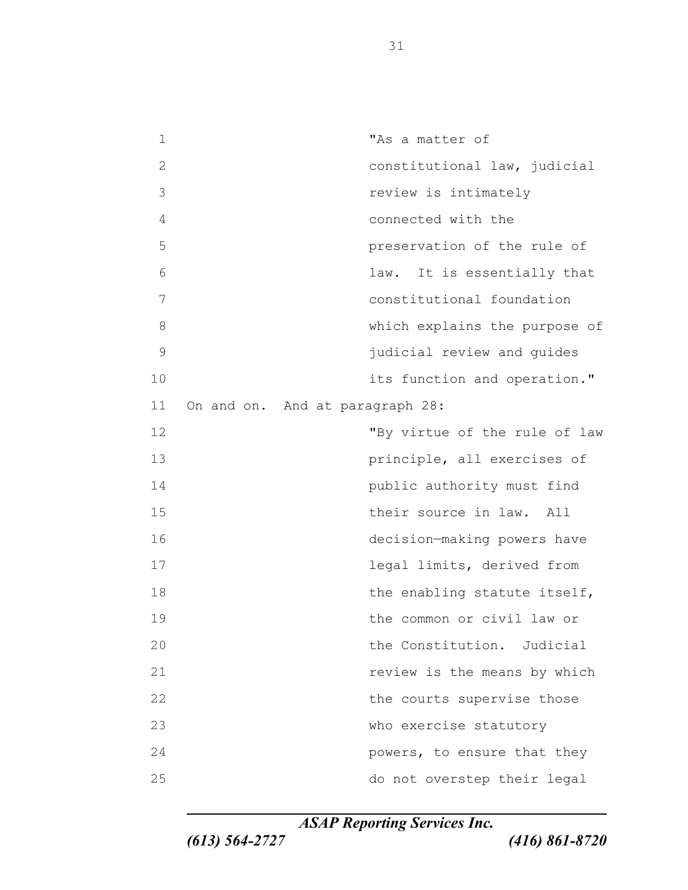"As a matter of constitutional law, judicial review is intimately connected with the preservation of the rule of law. It is essentially that constitutional foundation which explains the purpose of judicial review and guides **its function and operation.**" On and on. And at paragraph 28: "By virtue of the rule of law principle, all exercises of public authority must find their source in law. All decision—making powers have legal limits, derived from 18 the enabling statute itself, the common or civil law or the Constitution. Judicial *Proview is the means by which review* is the means by which 22 the courts supervise those who exercise statutory **powers, to ensure that they** do not overstep their legal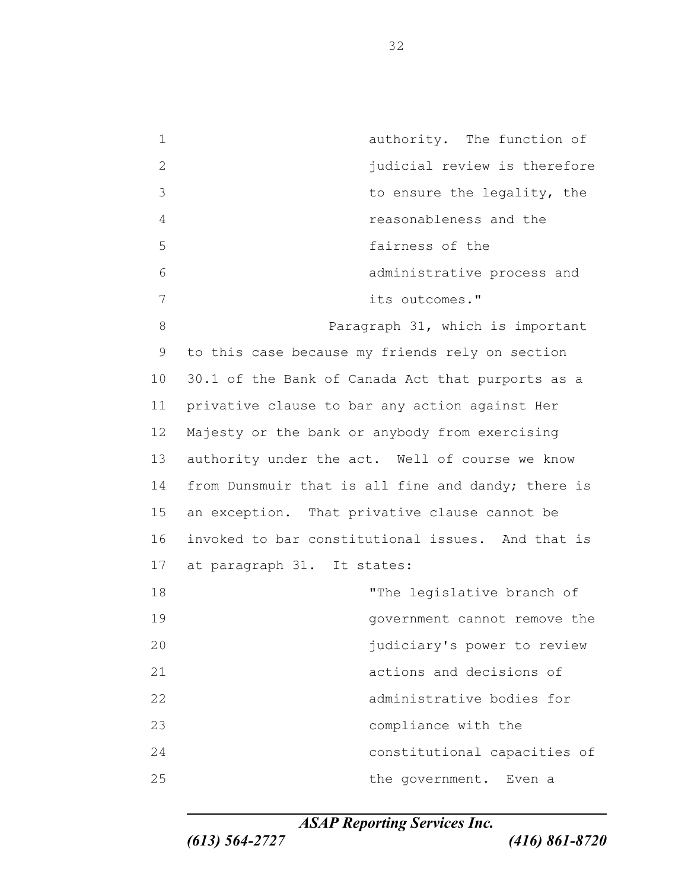authority. The function of 2 iudicial review is therefore to ensure the legality, the reasonableness and the fairness of the administrative process and its outcomes." **Paragraph 31, which is important**  to this case because my friends rely on section 30.1 of the Bank of Canada Act that purports as a privative clause to bar any action against Her Majesty or the bank or anybody from exercising authority under the act. Well of course we know 14 from Dunsmuir that is all fine and dandy; there is an exception. That privative clause cannot be invoked to bar constitutional issues. And that is at paragraph 31. It states: 18 The legislative branch of government cannot remove the judiciary's power to review actions and decisions of administrative bodies for compliance with the constitutional capacities of 25 the government. Even a

*ASAP Reporting Services Inc.*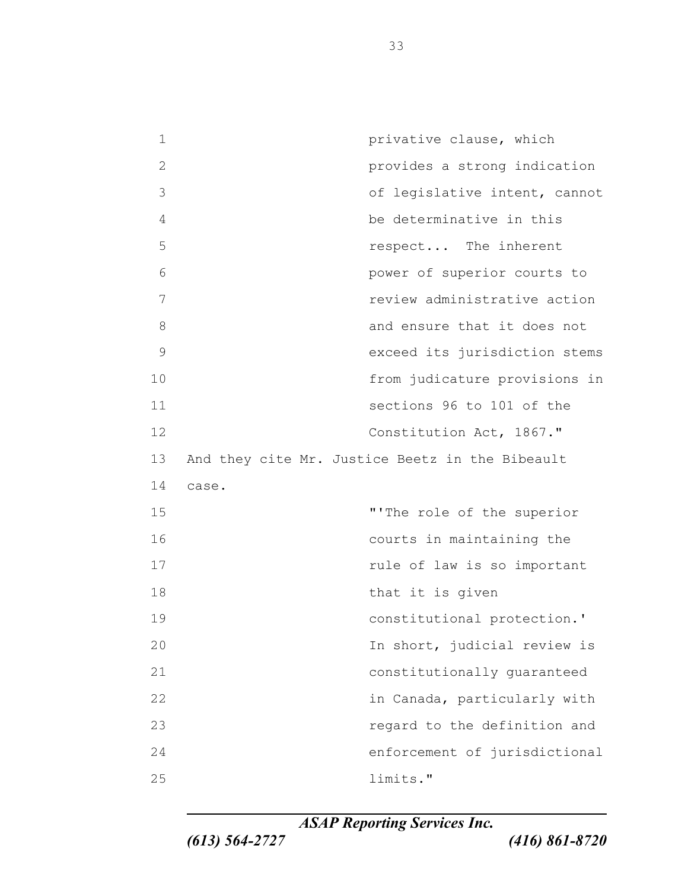**privative clause, which**  provides a strong indication of legislative intent, cannot be determinative in this respect... The inherent power of superior courts to review administrative action 8 and ensure that it does not exceed its jurisdiction stems from judicature provisions in sections 96 to 101 of the Constitution Act, 1867." And they cite Mr. Justice Beetz in the Bibeault case. "'The role of the superior courts in maintaining the **rule of law is so important** 18 that it is given constitutional protection.' 20 In short, judicial review is constitutionally guaranteed in Canada, particularly with regard to the definition and enforcement of jurisdictional limits."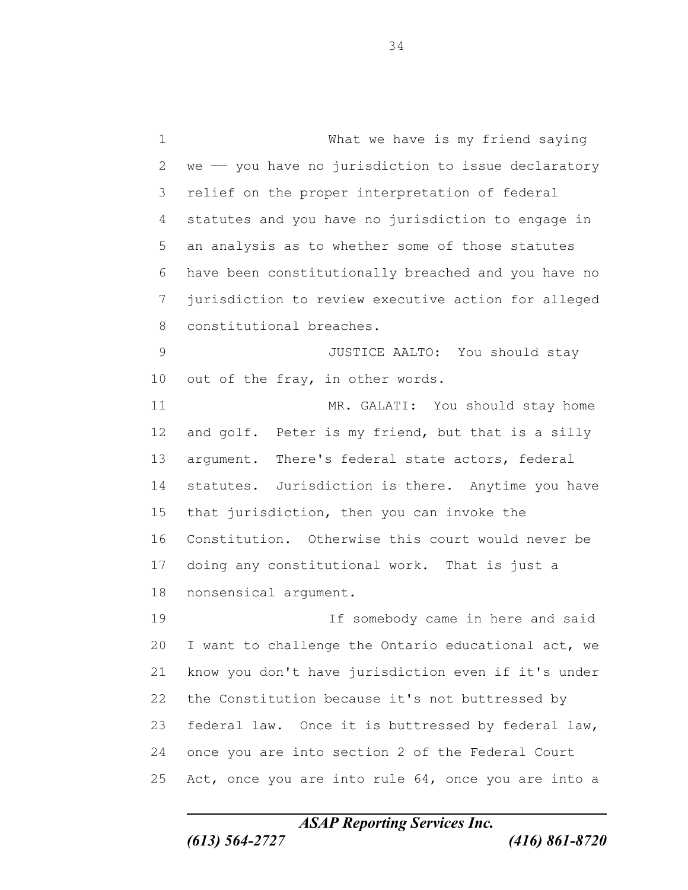What we have is my friend saying we  $-$  you have no jurisdiction to issue declaratory relief on the proper interpretation of federal statutes and you have no jurisdiction to engage in an analysis as to whether some of those statutes have been constitutionally breached and you have no jurisdiction to review executive action for alleged constitutional breaches. JUSTICE AALTO: You should stay out of the fray, in other words. MR. GALATI: You should stay home 12 and golf. Peter is my friend, but that is a silly argument. There's federal state actors, federal statutes. Jurisdiction is there. Anytime you have that jurisdiction, then you can invoke the Constitution. Otherwise this court would never be doing any constitutional work. That is just a nonsensical argument. If somebody came in here and said I want to challenge the Ontario educational act, we know you don't have jurisdiction even if it's under the Constitution because it's not buttressed by federal law. Once it is buttressed by federal law, once you are into section 2 of the Federal Court Act, once you are into rule 64, once you are into a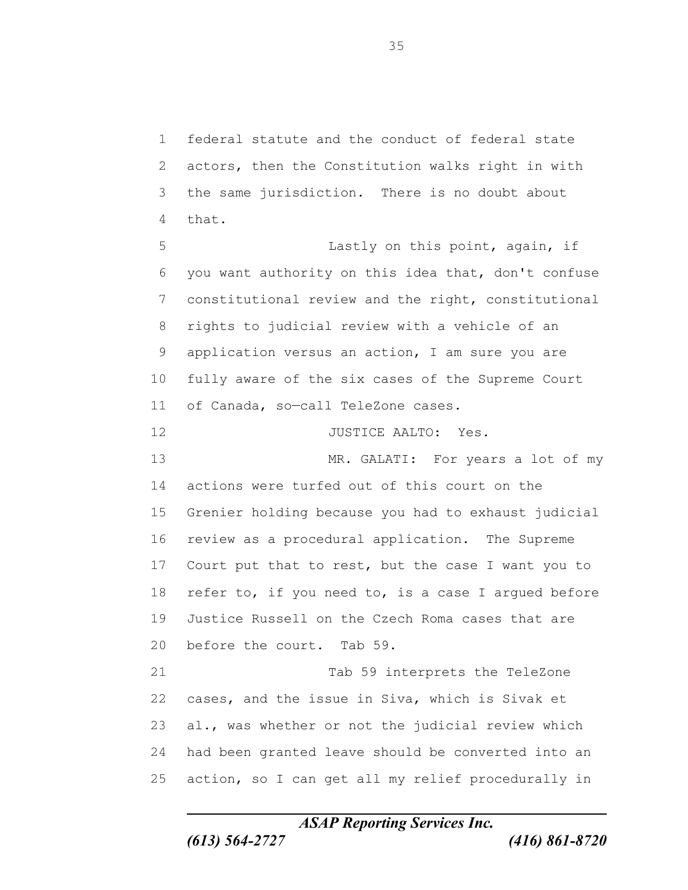federal statute and the conduct of federal state actors, then the Constitution walks right in with the same jurisdiction. There is no doubt about that.

 Lastly on this point, again, if you want authority on this idea that, don't confuse constitutional review and the right, constitutional rights to judicial review with a vehicle of an application versus an action, I am sure you are fully aware of the six cases of the Supreme Court of Canada, so—call TeleZone cases. 12 JUSTICE AALTO: Yes. MR. GALATI: For years a lot of my

 actions were turfed out of this court on the Grenier holding because you had to exhaust judicial review as a procedural application. The Supreme Court put that to rest, but the case I want you to 18 refer to, if you need to, is a case I argued before Justice Russell on the Czech Roma cases that are before the court. Tab 59.

 Tab 59 interprets the TeleZone cases, and the issue in Siva, which is Sivak et al., was whether or not the judicial review which had been granted leave should be converted into an action, so I can get all my relief procedurally in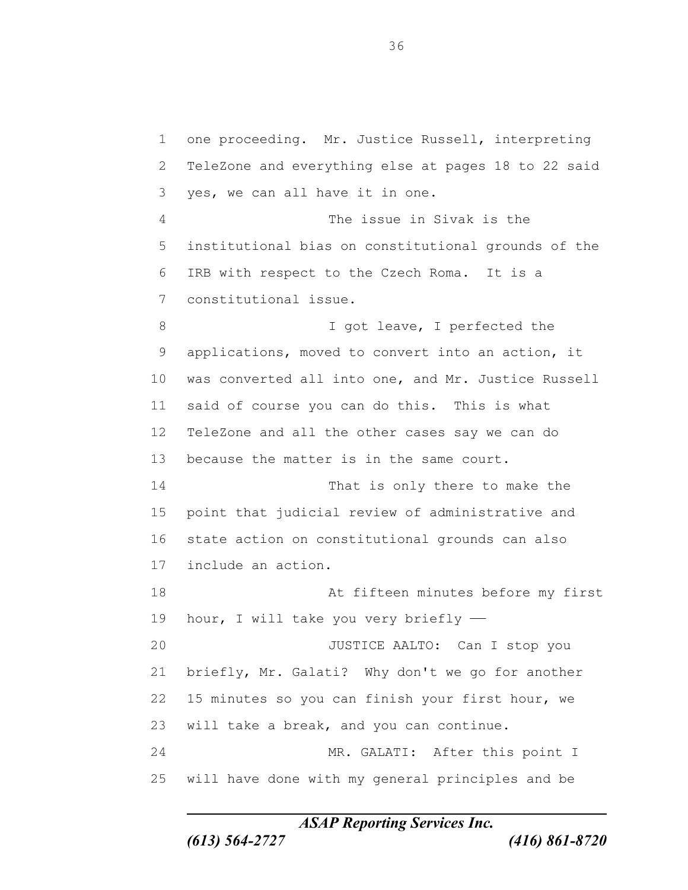one proceeding. Mr. Justice Russell, interpreting TeleZone and everything else at pages 18 to 22 said yes, we can all have it in one. The issue in Sivak is the institutional bias on constitutional grounds of the IRB with respect to the Czech Roma. It is a constitutional issue. 8 I got leave, I perfected the applications, moved to convert into an action, it was converted all into one, and Mr. Justice Russell said of course you can do this. This is what TeleZone and all the other cases say we can do because the matter is in the same court. 14 That is only there to make the point that judicial review of administrative and state action on constitutional grounds can also include an action. At fifteen minutes before my first 19 hour, I will take you very briefly - JUSTICE AALTO: Can I stop you briefly, Mr. Galati? Why don't we go for another

will take a break, and you can continue.

 MR. GALATI: After this point I will have done with my general principles and be

15 minutes so you can finish your first hour, we

*ASAP Reporting Services Inc.*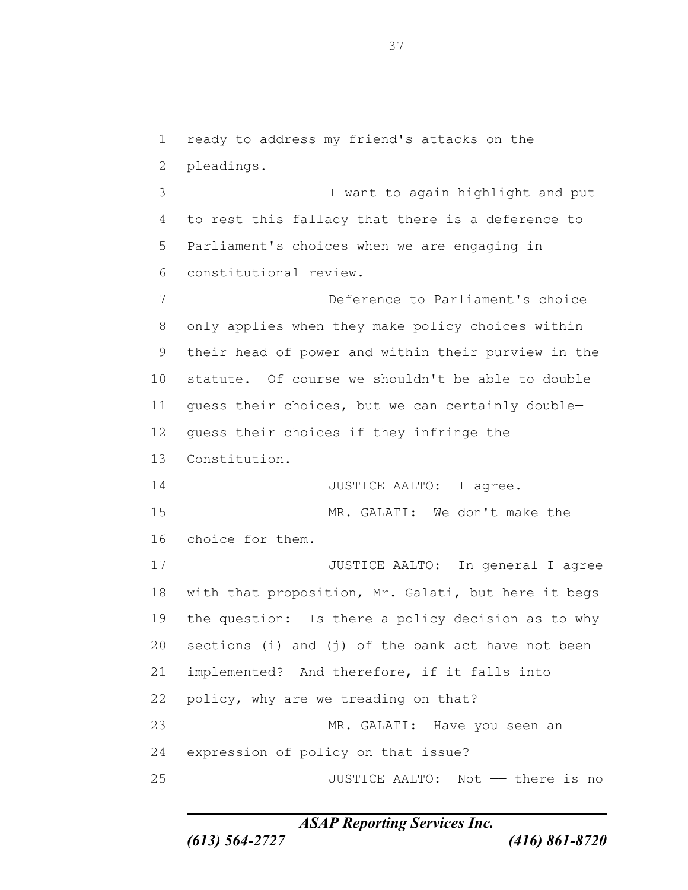ready to address my friend's attacks on the pleadings. I want to again highlight and put to rest this fallacy that there is a deference to Parliament's choices when we are engaging in constitutional review. Deference to Parliament's choice only applies when they make policy choices within their head of power and within their purview in the statute. Of course we shouldn't be able to double— guess their choices, but we can certainly double— guess their choices if they infringe the Constitution. 14 JUSTICE AALTO: I agree. MR. GALATI: We don't make the choice for them. JUSTICE AALTO: In general I agree with that proposition, Mr. Galati, but here it begs the question: Is there a policy decision as to why sections (i) and (j) of the bank act have not been implemented? And therefore, if it falls into policy, why are we treading on that? MR. GALATI: Have you seen an expression of policy on that issue? JUSTICE AALTO: Not —— there is no

*ASAP Reporting Services Inc.*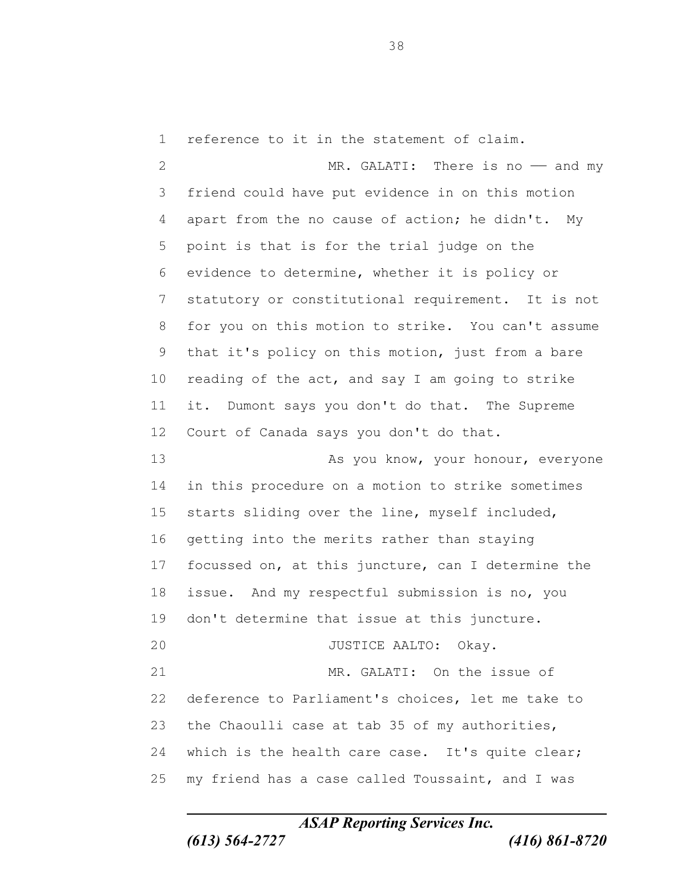reference to it in the statement of claim.

2 MR. GALATI: There is no - and my friend could have put evidence in on this motion apart from the no cause of action; he didn't. My point is that is for the trial judge on the evidence to determine, whether it is policy or statutory or constitutional requirement. It is not for you on this motion to strike. You can't assume that it's policy on this motion, just from a bare reading of the act, and say I am going to strike it. Dumont says you don't do that. The Supreme Court of Canada says you don't do that. 13 As you know, your honour, everyone in this procedure on a motion to strike sometimes starts sliding over the line, myself included, getting into the merits rather than staying focussed on, at this juncture, can I determine the issue. And my respectful submission is no, you don't determine that issue at this juncture. 20 JUSTICE AALTO: Okay. MR. GALATI: On the issue of deference to Parliament's choices, let me take to the Chaoulli case at tab 35 of my authorities, 24 which is the health care case. It's quite clear; my friend has a case called Toussaint, and I was

*ASAP Reporting Services Inc.*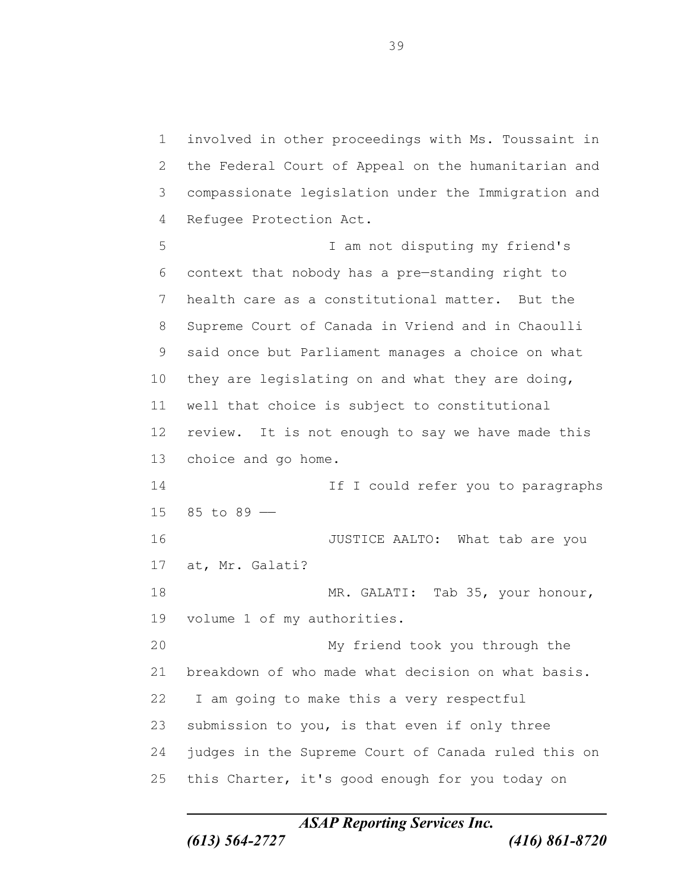involved in other proceedings with Ms. Toussaint in the Federal Court of Appeal on the humanitarian and compassionate legislation under the Immigration and Refugee Protection Act. I am not disputing my friend's context that nobody has a pre—standing right to health care as a constitutional matter. But the Supreme Court of Canada in Vriend and in Chaoulli said once but Parliament manages a choice on what they are legislating on and what they are doing, well that choice is subject to constitutional review. It is not enough to say we have made this choice and go home. **If I** could refer you to paragraphs 85 to 89 —— **JUSTICE AALTO:** What tab are you at, Mr. Galati? 18 MR. GALATI: Tab 35, your honour, volume 1 of my authorities. My friend took you through the breakdown of who made what decision on what basis. I am going to make this a very respectful submission to you, is that even if only three judges in the Supreme Court of Canada ruled this on this Charter, it's good enough for you today on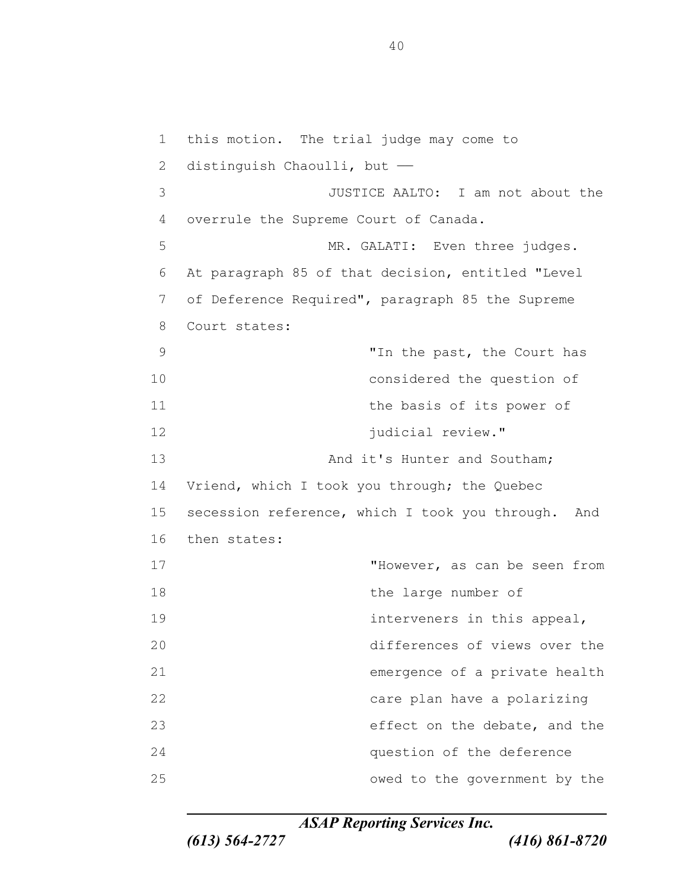this motion. The trial judge may come to 2 distinguish Chaoulli, but - JUSTICE AALTO: I am not about the overrule the Supreme Court of Canada. 5 MR. GALATI: Even three judges. At paragraph 85 of that decision, entitled "Level of Deference Required", paragraph 85 the Supreme Court states: "In the past, the Court has considered the question of 11 the basis of its power of **judicial review.**" 13 And it's Hunter and Southam; Vriend, which I took you through; the Quebec 15 secession reference, which I took you through. And then states: "However, as can be seen from 18 the large number of interveners in this appeal, differences of views over the emergence of a private health care plan have a polarizing effect on the debate, and the question of the deference owed to the government by the

*ASAP Reporting Services Inc.*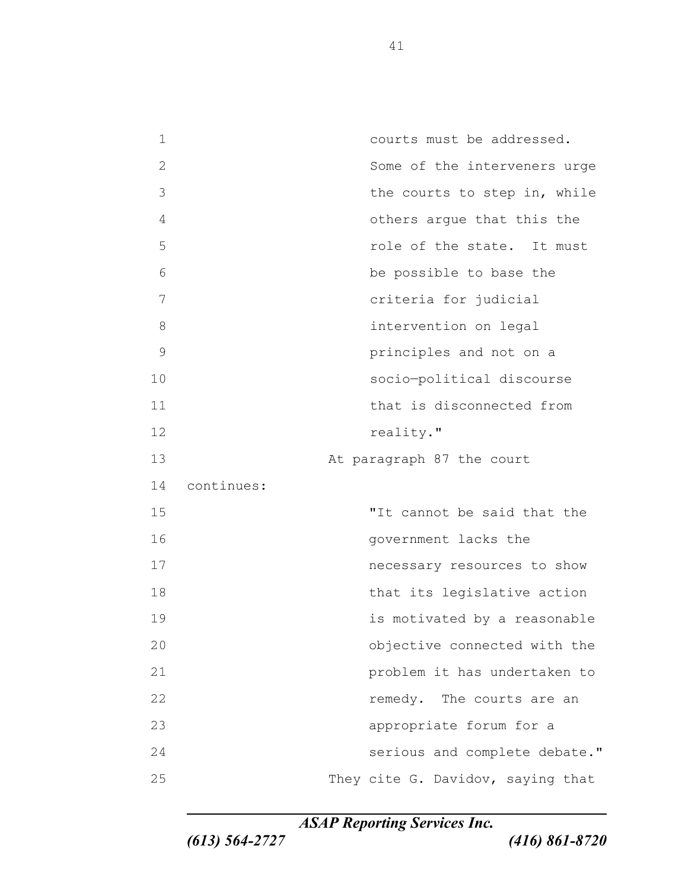courts must be addressed. Some of the interveners urge 3 the courts to step in, while others argue that this the **19 role of the state.** It must be possible to base the criteria for judicial intervention on legal principles and not on a socio—political discourse 11 that is disconnected from 12 reality." 13 At paragraph 87 the court continues: "It cannot be said that the **government** lacks the necessary resources to show 18 that its legislative action is motivated by a reasonable objective connected with the problem it has undertaken to **remedy**. The courts are an appropriate forum for a serious and complete debate." 25 They cite G. Davidov, saying that

*ASAP Reporting Services Inc.*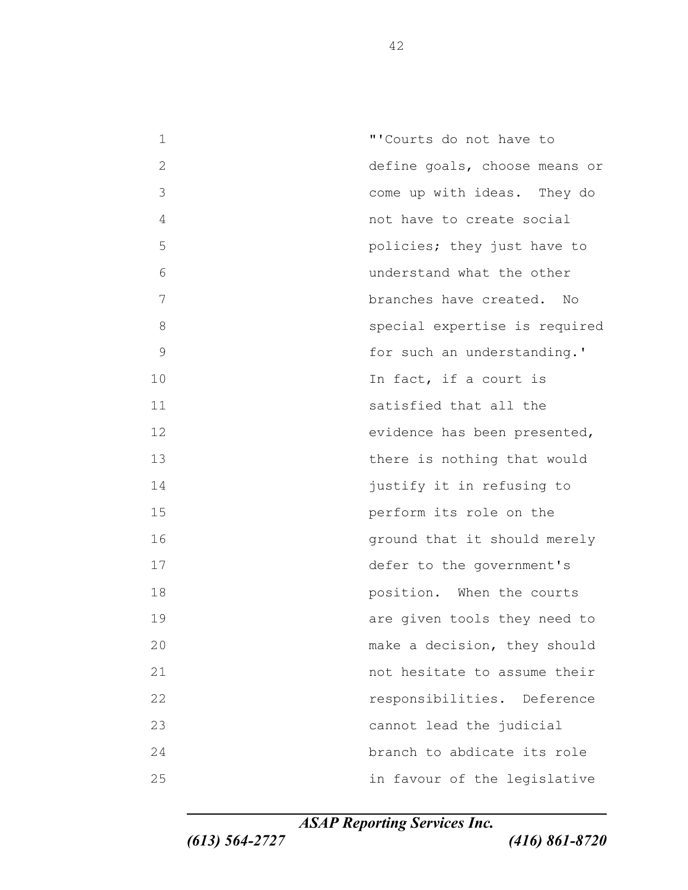"'Courts do not have to define goals, choose means or come up with ideas. They do not have to create social policies; they just have to understand what the other branches have created. No special expertise is required 9 for such an understanding.' 10 In fact, if a court is satisfied that all the evidence has been presented, there is nothing that would **justify** it in refusing to perform its role on the **ground that it should merely**  defer to the government's **18 position.** When the courts **19 are given tools they need to**  make a decision, they should not hesitate to assume their responsibilities. Deference cannot lead the judicial branch to abdicate its role in favour of the legislative

*ASAP Reporting Services Inc.*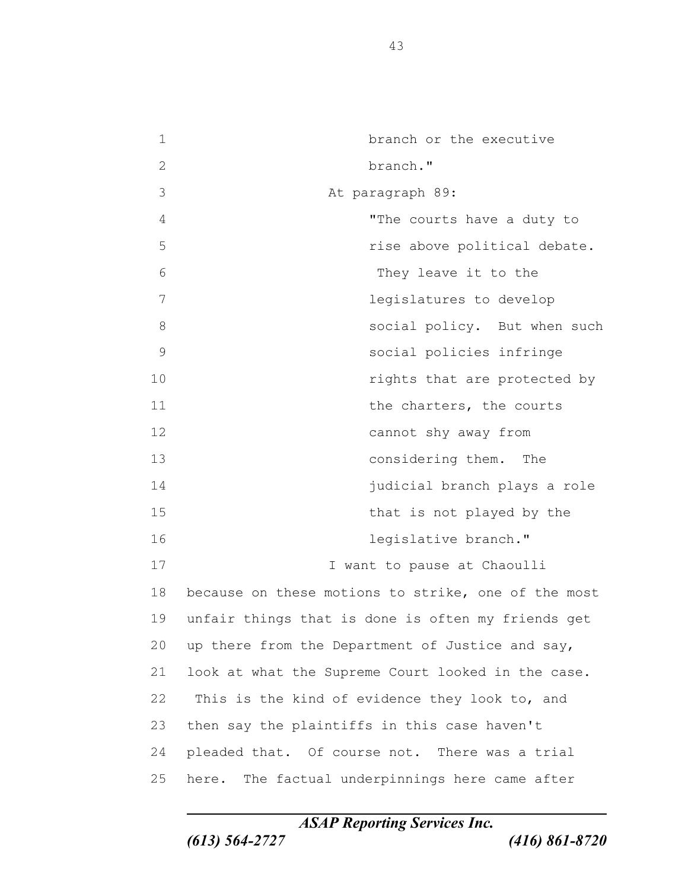| 1             | branch or the executive                             |
|---------------|-----------------------------------------------------|
| 2             | branch."                                            |
| 3             | At paragraph 89:                                    |
| 4             | "The courts have a duty to                          |
| 5             | rise above political debate.                        |
| 6             | They leave it to the                                |
| 7             | legislatures to develop                             |
| 8             | social policy. But when such                        |
| $\mathcal{G}$ | social policies infringe                            |
| 10            | rights that are protected by                        |
| 11            | the charters, the courts                            |
| 12            | cannot shy away from                                |
| 13            | considering them. The                               |
| 14            | judicial branch plays a role                        |
| 15            | that is not played by the                           |
| 16            | legislative branch."                                |
| 17            | I want to pause at Chaoulli                         |
| 18            | because on these motions to strike, one of the most |
| 19            | unfair things that is done is often my friends get  |
| 20            | up there from the Department of Justice and say,    |
| 21            | look at what the Supreme Court looked in the case.  |
| 22            | This is the kind of evidence they look to, and      |
| 23            | then say the plaintiffs in this case haven't        |
| 24            | pleaded that. Of course not. There was a trial      |
| 25            | here. The factual underpinnings here came after     |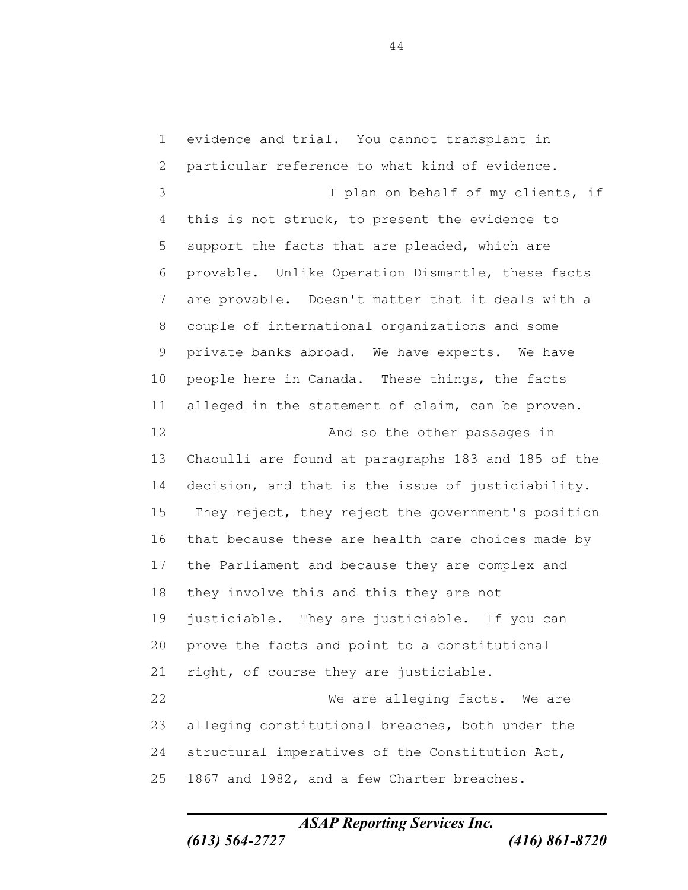evidence and trial. You cannot transplant in particular reference to what kind of evidence. I plan on behalf of my clients, if this is not struck, to present the evidence to support the facts that are pleaded, which are provable. Unlike Operation Dismantle, these facts are provable. Doesn't matter that it deals with a couple of international organizations and some private banks abroad. We have experts. We have people here in Canada. These things, the facts alleged in the statement of claim, can be proven. **And so the other passages in**  Chaoulli are found at paragraphs 183 and 185 of the decision, and that is the issue of justiciability. They reject, they reject the government's position that because these are health—care choices made by the Parliament and because they are complex and they involve this and this they are not justiciable. They are justiciable. If you can prove the facts and point to a constitutional right, of course they are justiciable. We are alleging facts. We are alleging constitutional breaches, both under the structural imperatives of the Constitution Act, 1867 and 1982, and a few Charter breaches.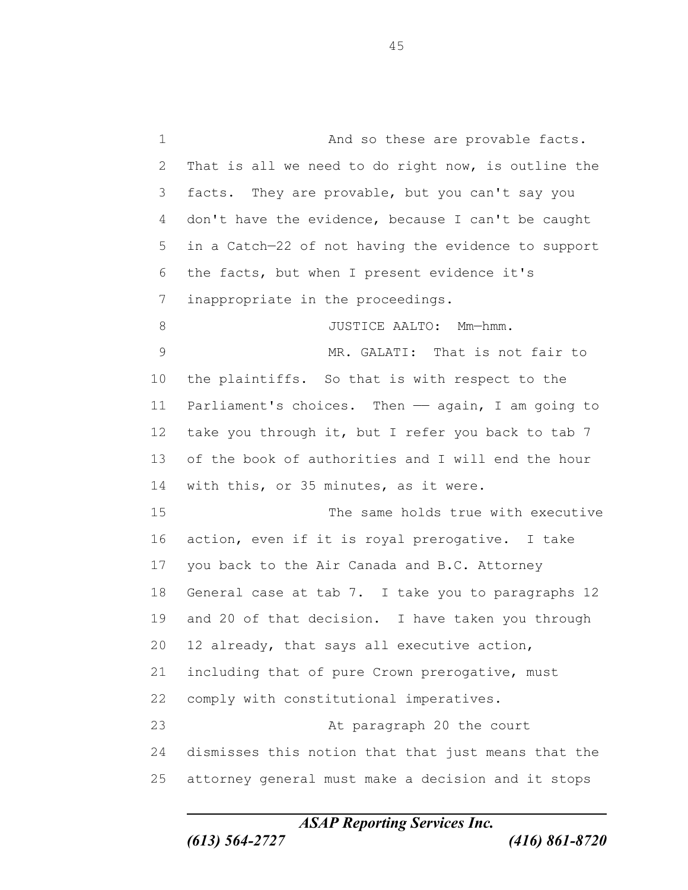1 And so these are provable facts. That is all we need to do right now, is outline the facts. They are provable, but you can't say you don't have the evidence, because I can't be caught in a Catch—22 of not having the evidence to support the facts, but when I present evidence it's inappropriate in the proceedings. 8 JUSTICE AALTO: Mm-hmm. MR. GALATI: That is not fair to the plaintiffs. So that is with respect to the Parliament's choices. Then —— again, I am going to take you through it, but I refer you back to tab 7 of the book of authorities and I will end the hour with this, or 35 minutes, as it were. The same holds true with executive action, even if it is royal prerogative. I take you back to the Air Canada and B.C. Attorney General case at tab 7. I take you to paragraphs 12 and 20 of that decision. I have taken you through 12 already, that says all executive action, including that of pure Crown prerogative, must comply with constitutional imperatives. At paragraph 20 the court dismisses this notion that that just means that the attorney general must make a decision and it stops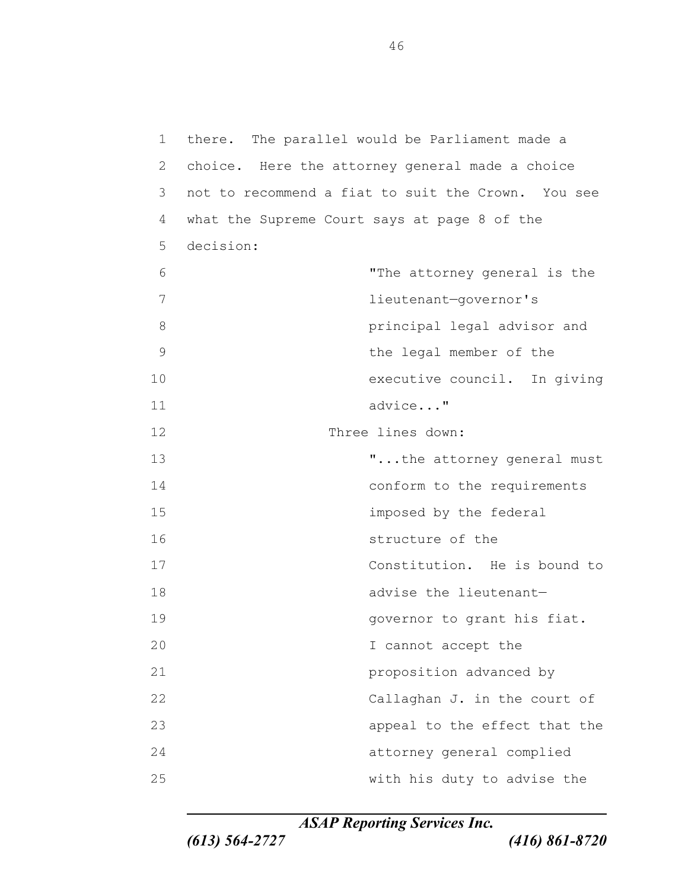there. The parallel would be Parliament made a choice. Here the attorney general made a choice not to recommend a fiat to suit the Crown. You see what the Supreme Court says at page 8 of the decision: "The attorney general is the lieutenant—governor's principal legal advisor and the legal member of the executive council. In giving advice..." Three lines down: 13 T...the attorney general must 14 conform to the requirements imposed by the federal structure of the Constitution. He is bound to 18 advise the lieutenant-**governor** to grant his fiat. I cannot accept the proposition advanced by 22 Callaghan J. in the court of appeal to the effect that the attorney general complied with his duty to advise the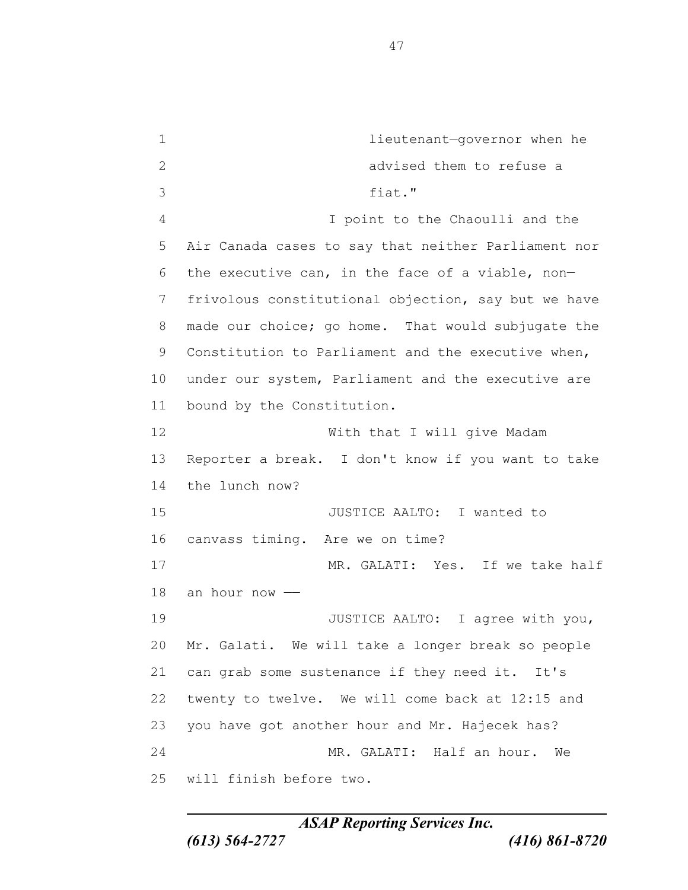lieutenant—governor when he advised them to refuse a fiat." I point to the Chaoulli and the Air Canada cases to say that neither Parliament nor the executive can, in the face of a viable, non— frivolous constitutional objection, say but we have made our choice; go home. That would subjugate the Constitution to Parliament and the executive when, under our system, Parliament and the executive are bound by the Constitution. With that I will give Madam Reporter a break. I don't know if you want to take the lunch now? 15 JUSTICE AALTO: I wanted to canvass timing. Are we on time? MR. GALATI: Yes. If we take half an hour now —— 19 JUSTICE AALTO: I agree with you, Mr. Galati. We will take a longer break so people can grab some sustenance if they need it. It's twenty to twelve. We will come back at 12:15 and you have got another hour and Mr. Hajecek has? MR. GALATI: Half an hour. We will finish before two.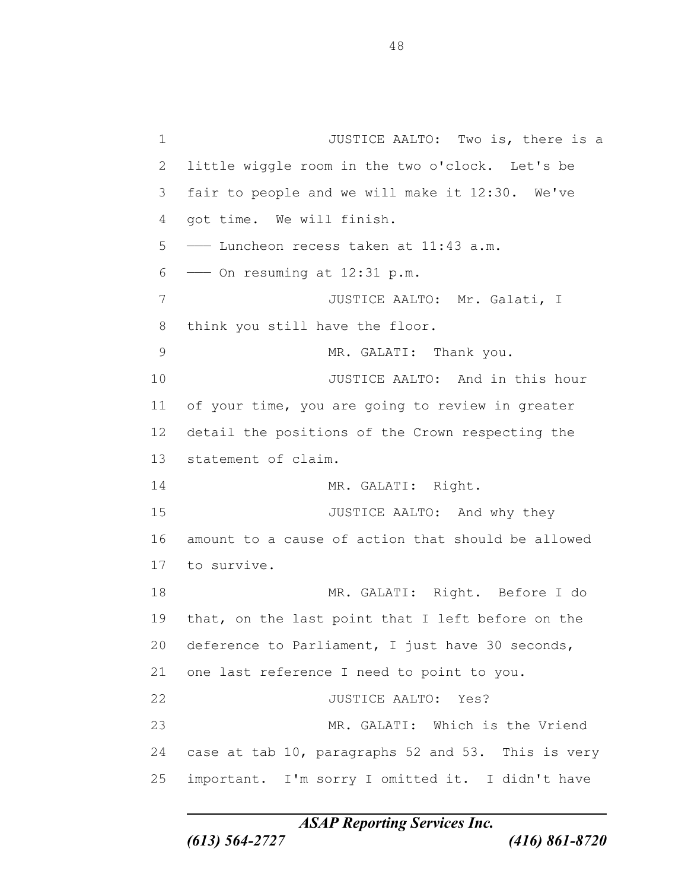1 JUSTICE AALTO: Two is, there is a little wiggle room in the two o'clock. Let's be fair to people and we will make it 12:30. We've got time. We will finish. ——— Luncheon recess taken at 11:43 a.m.  $6 \longrightarrow$  On resuming at 12:31 p.m. 7 JUSTICE AALTO: Mr. Galati, I think you still have the floor. 9 MR. GALATI: Thank you. **JUSTICE AALTO:** And in this hour of your time, you are going to review in greater detail the positions of the Crown respecting the statement of claim. 14 MR. GALATI: Right. 15 JUSTICE AALTO: And why they amount to a cause of action that should be allowed to survive. MR. GALATI: Right. Before I do that, on the last point that I left before on the deference to Parliament, I just have 30 seconds, one last reference I need to point to you. JUSTICE AALTO: Yes? MR. GALATI: Which is the Vriend case at tab 10, paragraphs 52 and 53. This is very important. I'm sorry I omitted it. I didn't have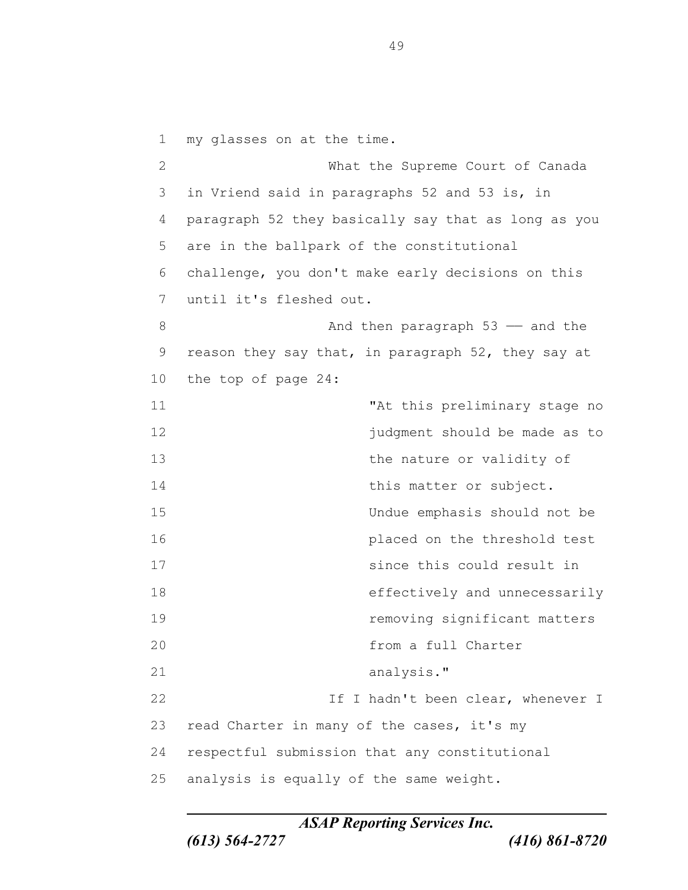my glasses on at the time. What the Supreme Court of Canada in Vriend said in paragraphs 52 and 53 is, in paragraph 52 they basically say that as long as you are in the ballpark of the constitutional challenge, you don't make early decisions on this until it's fleshed out. 8 And then paragraph 53 — and the reason they say that, in paragraph 52, they say at the top of page 24: 11 The stage of this preliminary stage no **judgment** should be made as to 13 the nature or validity of 14 this matter or subject. Undue emphasis should not be placed on the threshold test since this could result in effectively and unnecessarily removing significant matters from a full Charter analysis." 22 If I hadn't been clear, whenever I read Charter in many of the cases, it's my respectful submission that any constitutional analysis is equally of the same weight.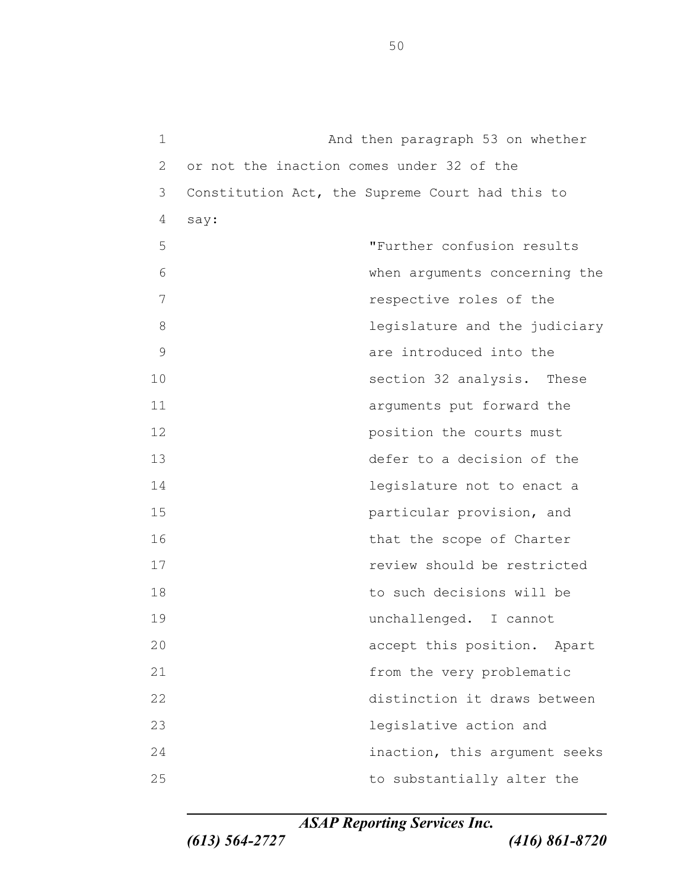And then paragraph 53 on whether or not the inaction comes under 32 of the Constitution Act, the Supreme Court had this to say: "Further confusion results when arguments concerning the *T* respective roles of the **8 1 legislature** and the judiciary are introduced into the 10 section 32 analysis. These arguments put forward the **position** the courts must defer to a decision of the legislature not to enact a particular provision, and 16 that the scope of Charter review should be restricted to such decisions will be unchallenged. I cannot accept this position. Apart from the very problematic distinction it draws between legislative action and inaction, this argument seeks 25 to substantially alter the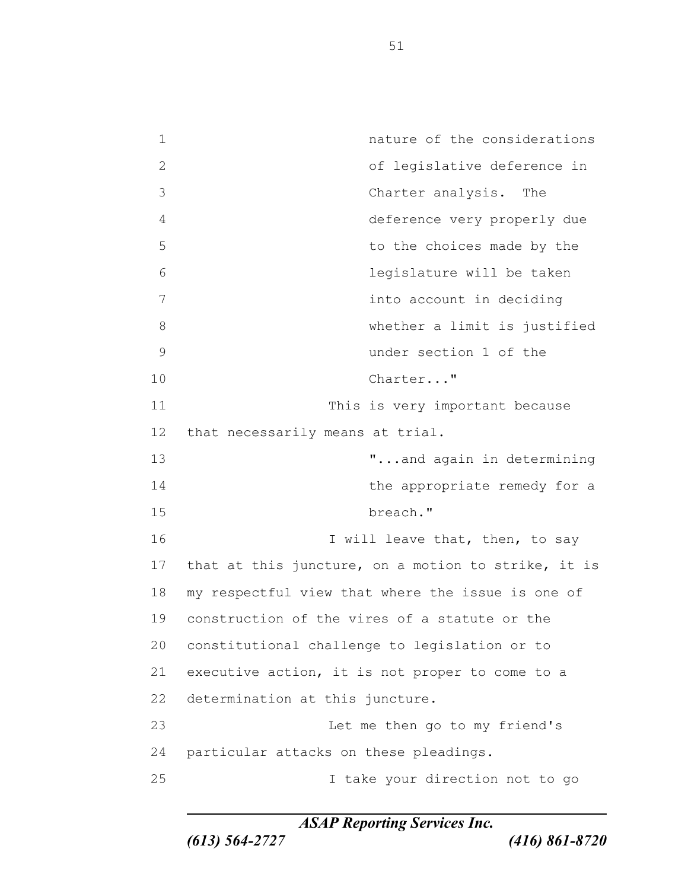nature of the considerations of legislative deference in Charter analysis. The deference very properly due 5 to the choices made by the legislature will be taken into account in deciding whether a limit is justified under section 1 of the Charter..." 11 This is very important because that necessarily means at trial. 13 T...and again in determining 14 the appropriate remedy for a breach." 16 I will leave that, then, to say that at this juncture, on a motion to strike, it is my respectful view that where the issue is one of construction of the vires of a statute or the constitutional challenge to legislation or to executive action, it is not proper to come to a determination at this juncture. Let me then go to my friend's particular attacks on these pleadings. I take your direction not to go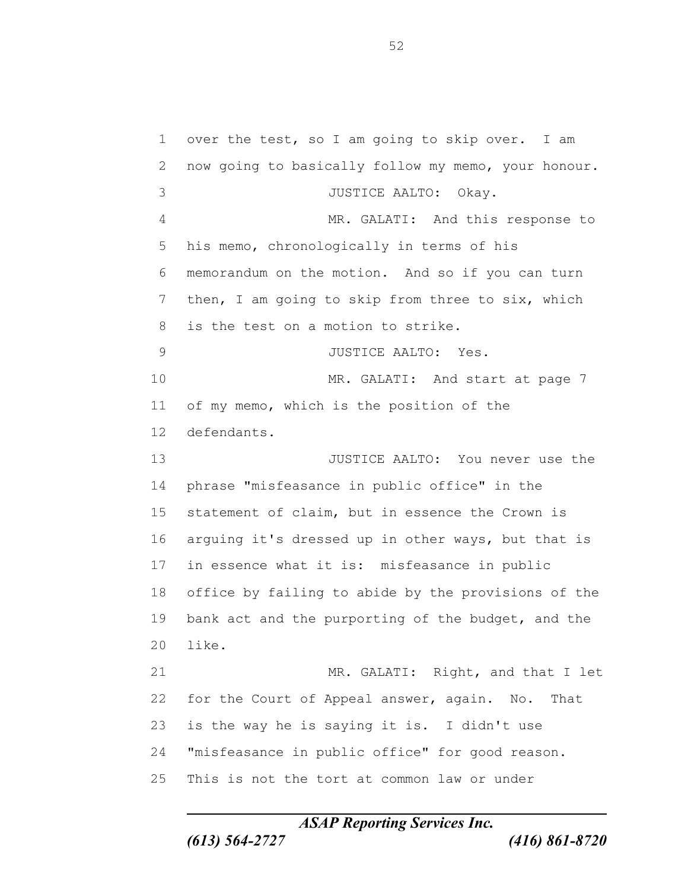over the test, so I am going to skip over. I am now going to basically follow my memo, your honour. JUSTICE AALTO: Okay. MR. GALATI: And this response to his memo, chronologically in terms of his memorandum on the motion. And so if you can turn then, I am going to skip from three to six, which is the test on a motion to strike. JUSTICE AALTO: Yes. MR. GALATI: And start at page 7 of my memo, which is the position of the defendants. JUSTICE AALTO: You never use the phrase "misfeasance in public office" in the statement of claim, but in essence the Crown is arguing it's dressed up in other ways, but that is in essence what it is: misfeasance in public office by failing to abide by the provisions of the bank act and the purporting of the budget, and the like. MR. GALATI: Right, and that I let for the Court of Appeal answer, again. No. That is the way he is saying it is. I didn't use "misfeasance in public office" for good reason. This is not the tort at common law or under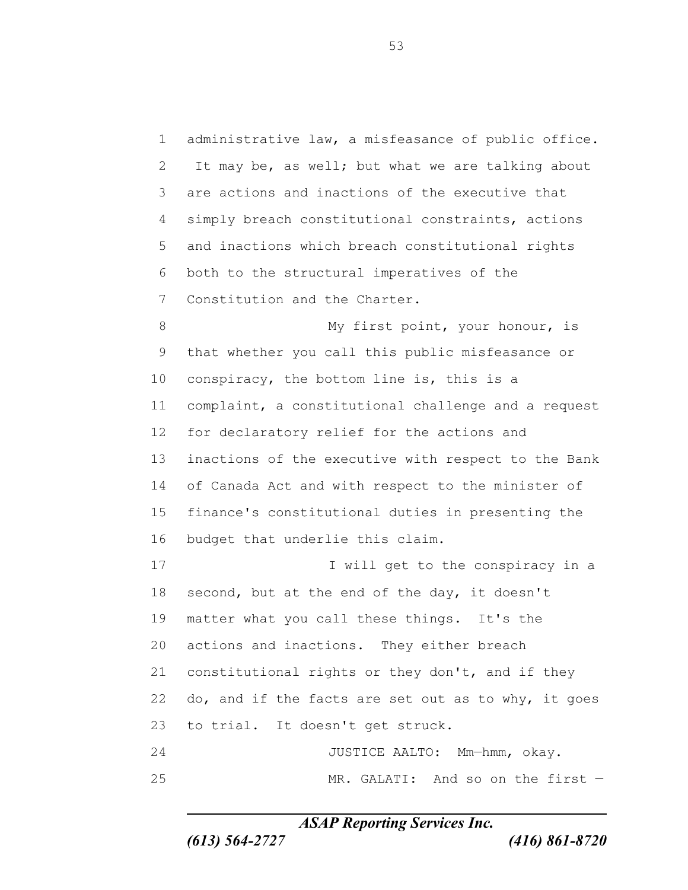administrative law, a misfeasance of public office. It may be, as well; but what we are talking about are actions and inactions of the executive that simply breach constitutional constraints, actions and inactions which breach constitutional rights both to the structural imperatives of the Constitution and the Charter. 8 My first point, your honour, is that whether you call this public misfeasance or conspiracy, the bottom line is, this is a complaint, a constitutional challenge and a request for declaratory relief for the actions and inactions of the executive with respect to the Bank of Canada Act and with respect to the minister of finance's constitutional duties in presenting the budget that underlie this claim. 17 I will get to the conspiracy in a second, but at the end of the day, it doesn't matter what you call these things. It's the actions and inactions. They either breach constitutional rights or they don't, and if they do, and if the facts are set out as to why, it goes to trial. It doesn't get struck. JUSTICE AALTO: Mm—hmm, okay. MR. GALATI: And so on the first —

*ASAP Reporting Services Inc.*

*(613) 564-2727 (416) 861-8720*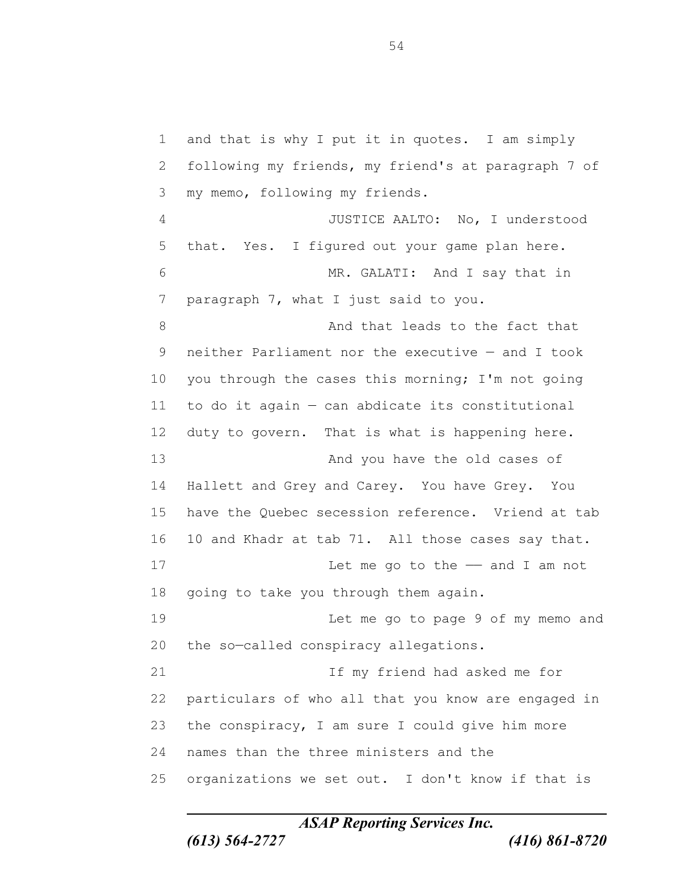and that is why I put it in quotes. I am simply following my friends, my friend's at paragraph 7 of my memo, following my friends. JUSTICE AALTO: No, I understood that. Yes. I figured out your game plan here. MR. GALATI: And I say that in paragraph 7, what I just said to you. 8 And that leads to the fact that neither Parliament nor the executive — and I took 10 you through the cases this morning; I'm not going to do it again — can abdicate its constitutional duty to govern. That is what is happening here. 13 And you have the old cases of Hallett and Grey and Carey. You have Grey. You have the Quebec secession reference. Vriend at tab 10 and Khadr at tab 71. All those cases say that. 17 Let me go to the — and I am not going to take you through them again. Let me go to page 9 of my memo and the so—called conspiracy allegations. 21 11 If my friend had asked me for particulars of who all that you know are engaged in the conspiracy, I am sure I could give him more names than the three ministers and the organizations we set out. I don't know if that is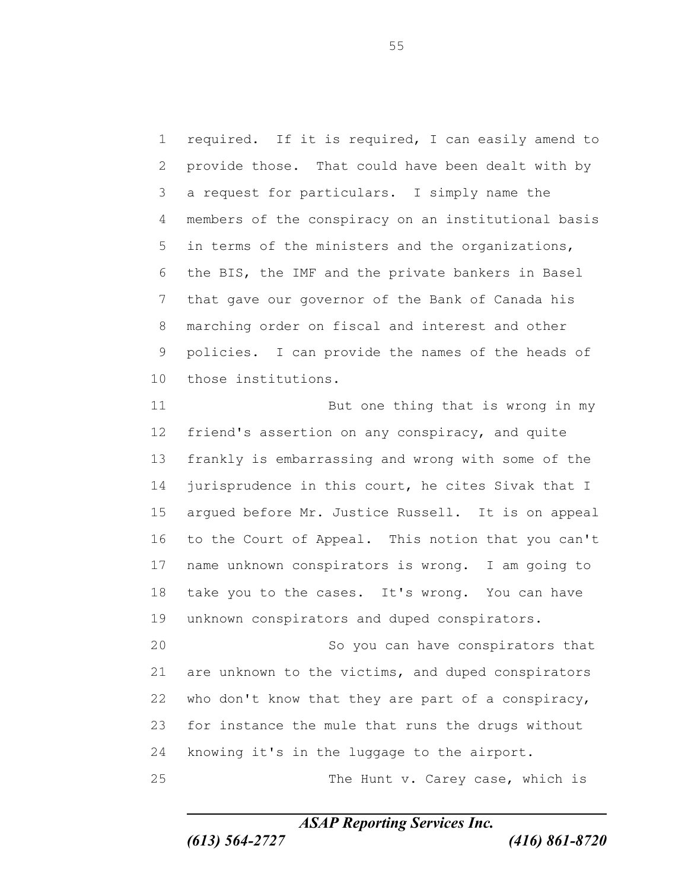required. If it is required, I can easily amend to provide those. That could have been dealt with by a request for particulars. I simply name the members of the conspiracy on an institutional basis in terms of the ministers and the organizations, the BIS, the IMF and the private bankers in Basel that gave our governor of the Bank of Canada his marching order on fiscal and interest and other policies. I can provide the names of the heads of those institutions.

11 But one thing that is wrong in my friend's assertion on any conspiracy, and quite frankly is embarrassing and wrong with some of the 14 jurisprudence in this court, he cites Sivak that I argued before Mr. Justice Russell. It is on appeal to the Court of Appeal. This notion that you can't name unknown conspirators is wrong. I am going to take you to the cases. It's wrong. You can have unknown conspirators and duped conspirators.

 So you can have conspirators that are unknown to the victims, and duped conspirators who don't know that they are part of a conspiracy, for instance the mule that runs the drugs without knowing it's in the luggage to the airport. The Hunt v. Carey case, which is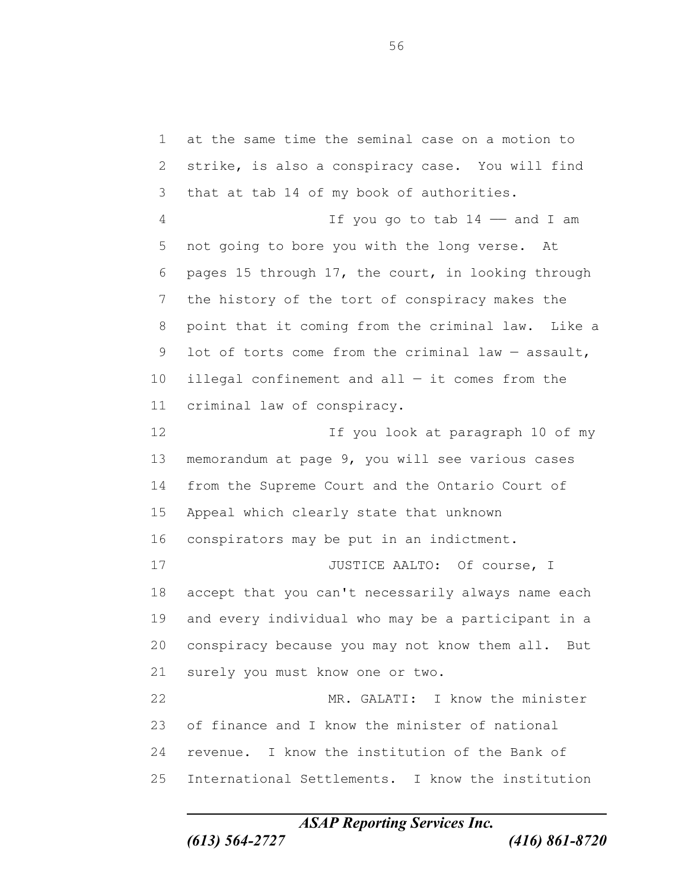at the same time the seminal case on a motion to strike, is also a conspiracy case. You will find that at tab 14 of my book of authorities. If you go to tab 14 —— and I am not going to bore you with the long verse. At pages 15 through 17, the court, in looking through the history of the tort of conspiracy makes the point that it coming from the criminal law. Like a lot of torts come from the criminal law — assault, 10 illegal confinement and all  $-$  it comes from the criminal law of conspiracy. If you look at paragraph 10 of my memorandum at page 9, you will see various cases from the Supreme Court and the Ontario Court of Appeal which clearly state that unknown conspirators may be put in an indictment. 17 JUSTICE AALTO: Of course, I accept that you can't necessarily always name each and every individual who may be a participant in a conspiracy because you may not know them all. But surely you must know one or two. MR. GALATI: I know the minister of finance and I know the minister of national revenue. I know the institution of the Bank of International Settlements. I know the institution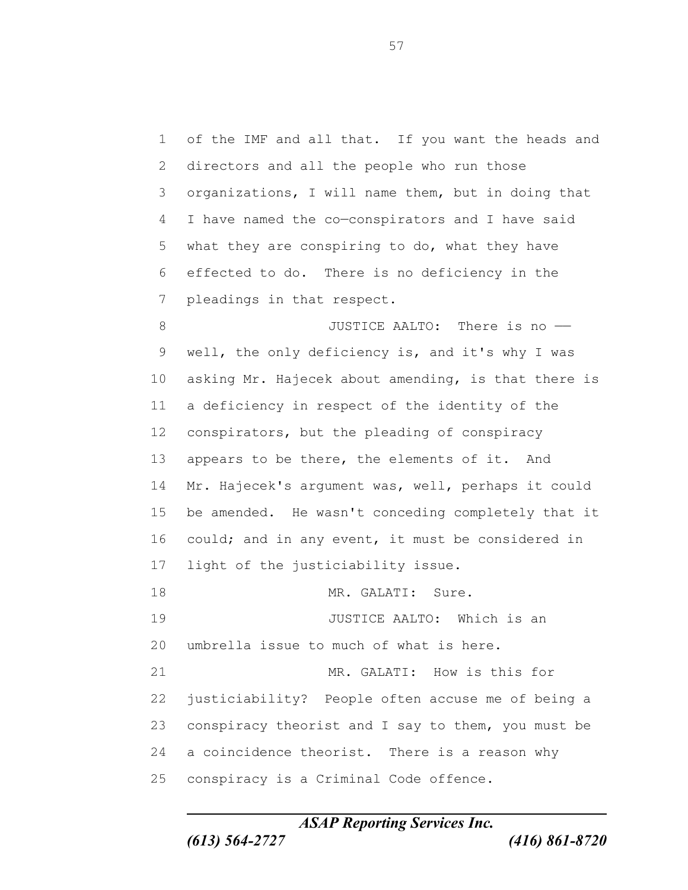of the IMF and all that. If you want the heads and directors and all the people who run those organizations, I will name them, but in doing that I have named the co—conspirators and I have said what they are conspiring to do, what they have effected to do. There is no deficiency in the pleadings in that respect. 8 3 JUSTICE AALTO: There is no well, the only deficiency is, and it's why I was asking Mr. Hajecek about amending, is that there is a deficiency in respect of the identity of the conspirators, but the pleading of conspiracy appears to be there, the elements of it. And Mr. Hajecek's argument was, well, perhaps it could be amended. He wasn't conceding completely that it 16 could; and in any event, it must be considered in light of the justiciability issue. 18 MR. GALATI: Sure. **JUSTICE AALTO:** Which is an umbrella issue to much of what is here. 21 MR. GALATI: How is this for justiciability? People often accuse me of being a conspiracy theorist and I say to them, you must be a coincidence theorist. There is a reason why conspiracy is a Criminal Code offence.

*ASAP Reporting Services Inc.*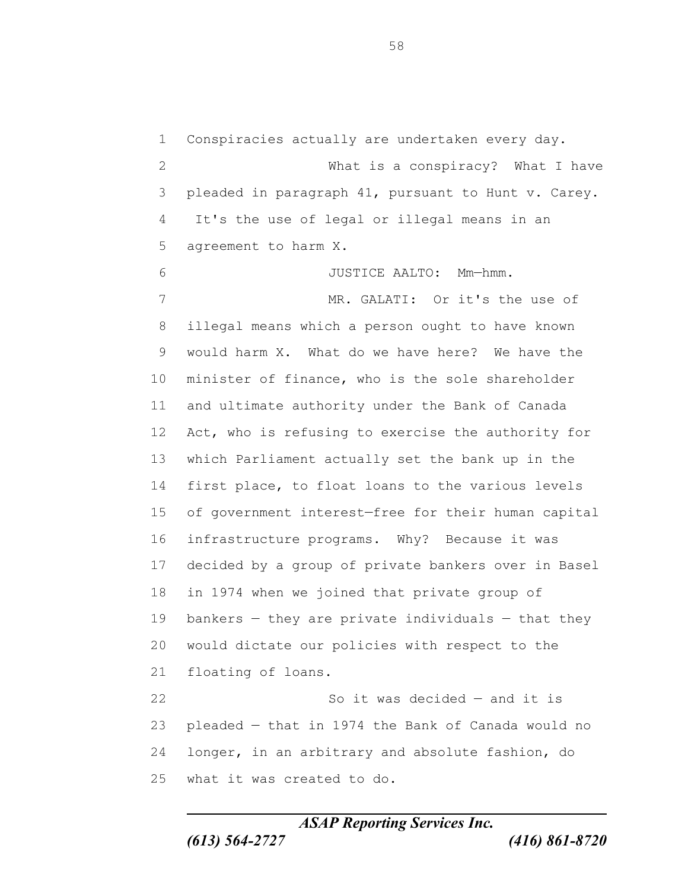Conspiracies actually are undertaken every day. What is a conspiracy? What I have pleaded in paragraph 41, pursuant to Hunt v. Carey. It's the use of legal or illegal means in an agreement to harm X. JUSTICE AALTO: Mm—hmm. MR. GALATI: Or it's the use of illegal means which a person ought to have known would harm X. What do we have here? We have the minister of finance, who is the sole shareholder and ultimate authority under the Bank of Canada Act, who is refusing to exercise the authority for which Parliament actually set the bank up in the first place, to float loans to the various levels of government interest—free for their human capital infrastructure programs. Why? Because it was decided by a group of private bankers over in Basel in 1974 when we joined that private group of bankers — they are private individuals — that they would dictate our policies with respect to the floating of loans. So it was decided — and it is pleaded — that in 1974 the Bank of Canada would no longer, in an arbitrary and absolute fashion, do

*ASAP Reporting Services Inc. (613) 564-2727 (416) 861-8720*

what it was created to do.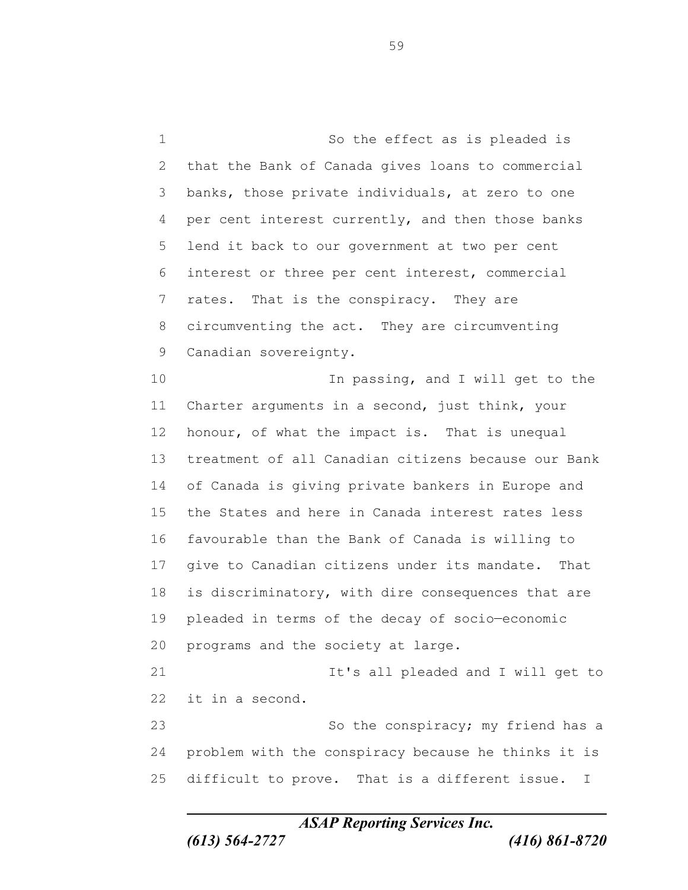So the effect as is pleaded is that the Bank of Canada gives loans to commercial banks, those private individuals, at zero to one per cent interest currently, and then those banks lend it back to our government at two per cent interest or three per cent interest, commercial rates. That is the conspiracy. They are circumventing the act. They are circumventing Canadian sovereignty. 10 10 In passing, and I will get to the Charter arguments in a second, just think, your honour, of what the impact is. That is unequal treatment of all Canadian citizens because our Bank of Canada is giving private bankers in Europe and the States and here in Canada interest rates less favourable than the Bank of Canada is willing to give to Canadian citizens under its mandate. That 18 is discriminatory, with dire consequences that are pleaded in terms of the decay of socio—economic programs and the society at large. **It's all pleaded and I will get to**  it in a second. 23 So the conspiracy; my friend has a problem with the conspiracy because he thinks it is difficult to prove. That is a different issue. I

*ASAP Reporting Services Inc.*

*(613) 564-2727 (416) 861-8720*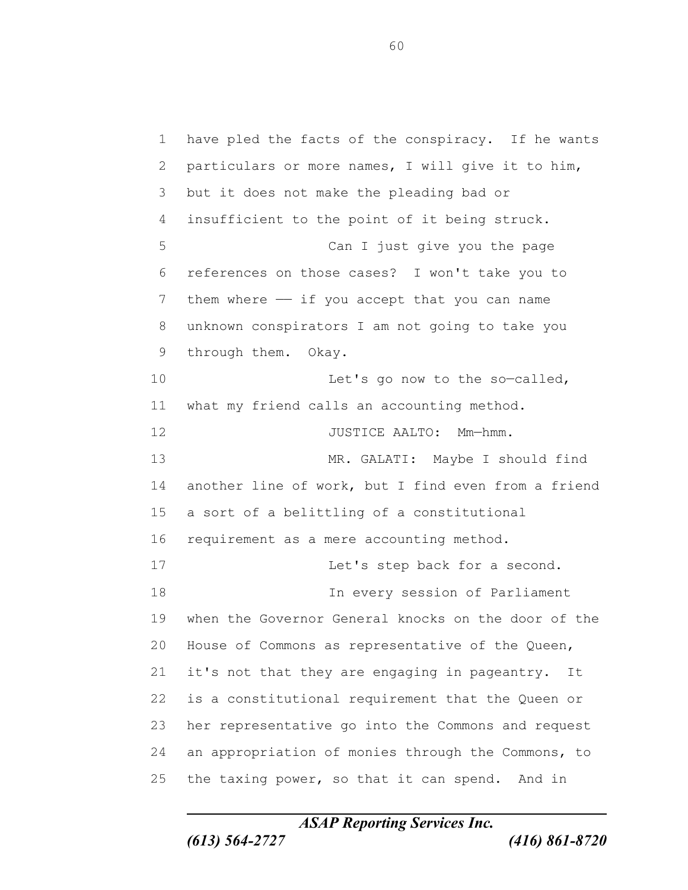have pled the facts of the conspiracy. If he wants particulars or more names, I will give it to him, but it does not make the pleading bad or insufficient to the point of it being struck. Can I just give you the page references on those cases? I won't take you to 7 them where  $-$  if you accept that you can name unknown conspirators I am not going to take you through them. Okay. 10 Let's go now to the so-called, what my friend calls an accounting method. 12 JUSTICE AALTO: Mm-hmm. MR. GALATI: Maybe I should find another line of work, but I find even from a friend a sort of a belittling of a constitutional requirement as a mere accounting method. 17 Let's step back for a second. In every session of Parliament when the Governor General knocks on the door of the House of Commons as representative of the Queen, it's not that they are engaging in pageantry. It is a constitutional requirement that the Queen or her representative go into the Commons and request an appropriation of monies through the Commons, to the taxing power, so that it can spend. And in

*ASAP Reporting Services Inc.*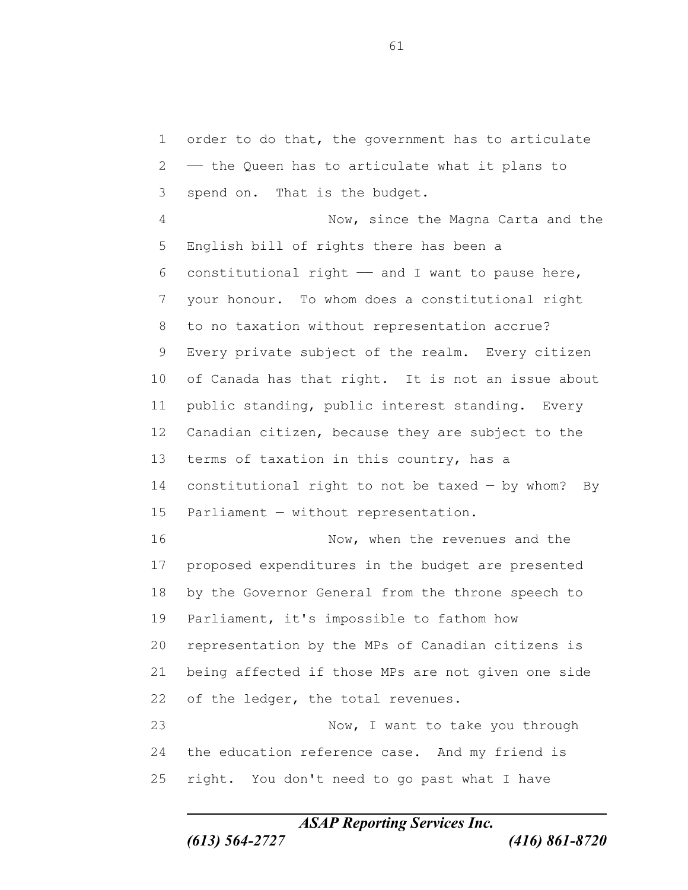order to do that, the government has to articulate —— the Queen has to articulate what it plans to spend on. That is the budget. Now, since the Magna Carta and the English bill of rights there has been a 6 constitutional right  $-$  and I want to pause here, your honour. To whom does a constitutional right to no taxation without representation accrue? Every private subject of the realm. Every citizen of Canada has that right. It is not an issue about public standing, public interest standing. Every Canadian citizen, because they are subject to the 13 terms of taxation in this country, has a constitutional right to not be taxed — by whom? By Parliament — without representation. Now, when the revenues and the proposed expenditures in the budget are presented by the Governor General from the throne speech to Parliament, it's impossible to fathom how representation by the MPs of Canadian citizens is being affected if those MPs are not given one side 22 of the ledger, the total revenues. Now, I want to take you through 24 the education reference case. And my friend is right. You don't need to go past what I have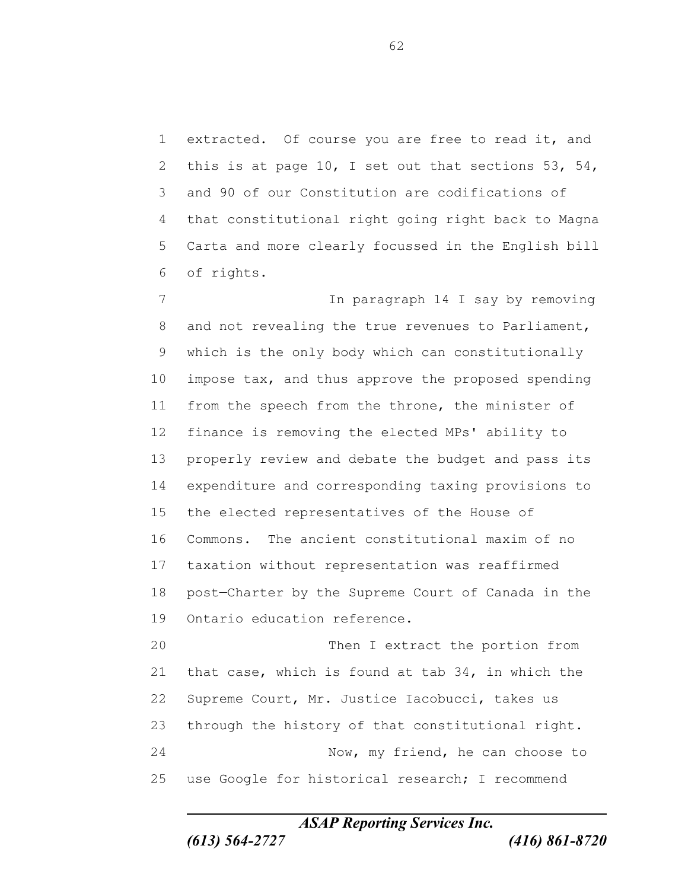extracted. Of course you are free to read it, and 2 this is at page 10, I set out that sections 53, 54, and 90 of our Constitution are codifications of that constitutional right going right back to Magna Carta and more clearly focussed in the English bill of rights.

 In paragraph 14 I say by removing and not revealing the true revenues to Parliament, which is the only body which can constitutionally impose tax, and thus approve the proposed spending from the speech from the throne, the minister of finance is removing the elected MPs' ability to properly review and debate the budget and pass its expenditure and corresponding taxing provisions to the elected representatives of the House of Commons. The ancient constitutional maxim of no taxation without representation was reaffirmed post—Charter by the Supreme Court of Canada in the Ontario education reference. Then I extract the portion from

 that case, which is found at tab 34, in which the Supreme Court, Mr. Justice Iacobucci, takes us through the history of that constitutional right. Now, my friend, he can choose to use Google for historical research; I recommend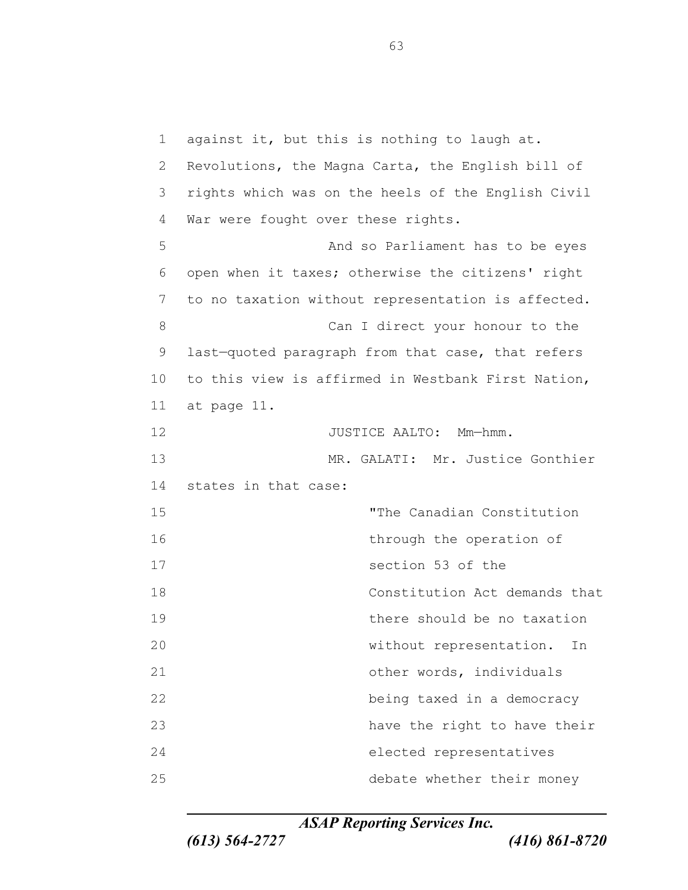against it, but this is nothing to laugh at. Revolutions, the Magna Carta, the English bill of rights which was on the heels of the English Civil War were fought over these rights. And so Parliament has to be eyes open when it taxes; otherwise the citizens' right to no taxation without representation is affected. 8 Can I direct your honour to the last—quoted paragraph from that case, that refers to this view is affirmed in Westbank First Nation, at page 11. 12 JUSTICE AALTO: Mm-hmm. MR. GALATI: Mr. Justice Gonthier states in that case: "The Canadian Constitution 16 through the operation of section 53 of the Constitution Act demands that there should be no taxation without representation. In 21 other words, individuals being taxed in a democracy 23 have the right to have their elected representatives debate whether their money

*ASAP Reporting Services Inc.*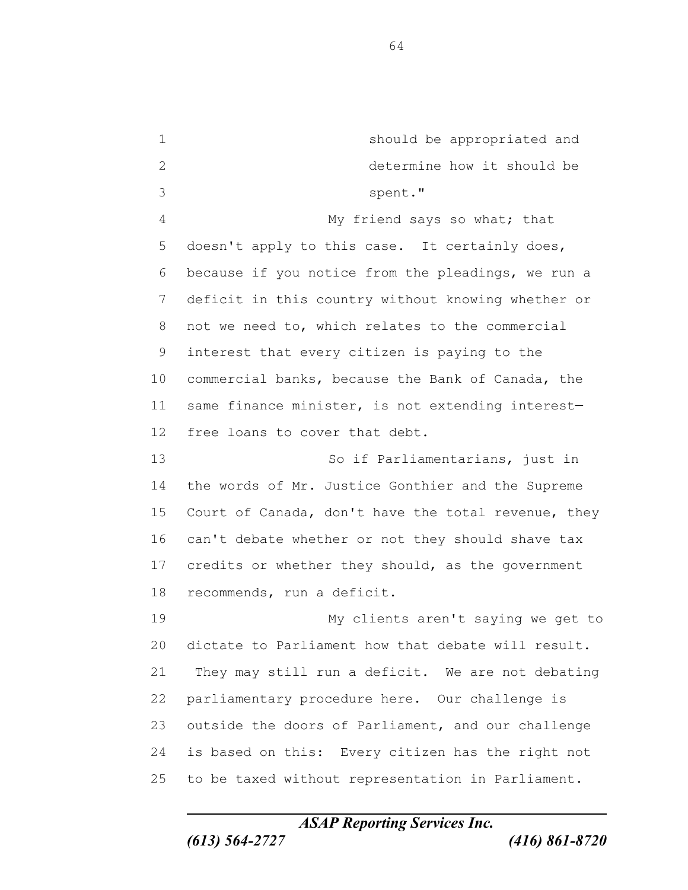should be appropriated and determine how it should be spent." My friend says so what; that doesn't apply to this case. It certainly does, because if you notice from the pleadings, we run a deficit in this country without knowing whether or not we need to, which relates to the commercial interest that every citizen is paying to the commercial banks, because the Bank of Canada, the same finance minister, is not extending interest— free loans to cover that debt. So if Parliamentarians, just in the words of Mr. Justice Gonthier and the Supreme Court of Canada, don't have the total revenue, they can't debate whether or not they should shave tax credits or whether they should, as the government recommends, run a deficit. My clients aren't saying we get to dictate to Parliament how that debate will result. They may still run a deficit. We are not debating parliamentary procedure here. Our challenge is outside the doors of Parliament, and our challenge is based on this: Every citizen has the right not to be taxed without representation in Parliament.

*ASAP Reporting Services Inc.*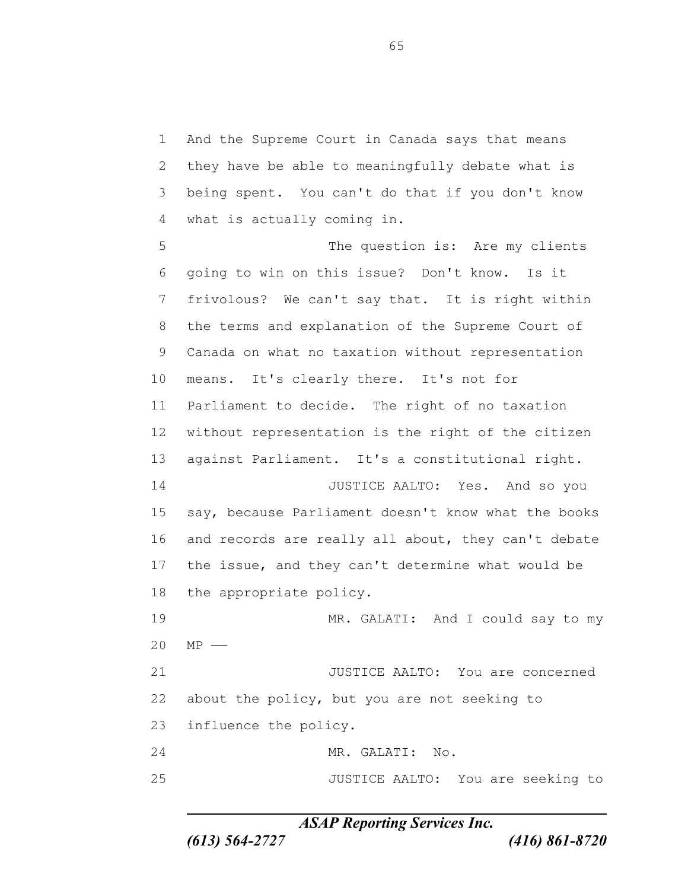And the Supreme Court in Canada says that means they have be able to meaningfully debate what is being spent. You can't do that if you don't know what is actually coming in.

 The question is: Are my clients going to win on this issue? Don't know. Is it frivolous? We can't say that. It is right within the terms and explanation of the Supreme Court of Canada on what no taxation without representation means. It's clearly there. It's not for Parliament to decide. The right of no taxation without representation is the right of the citizen against Parliament. It's a constitutional right. JUSTICE AALTO: Yes. And so you say, because Parliament doesn't know what the books and records are really all about, they can't debate the issue, and they can't determine what would be the appropriate policy. MR. GALATI: And I could say to my MP —— JUSTICE AALTO: You are concerned about the policy, but you are not seeking to influence the policy. MR. GALATI: No. JUSTICE AALTO: You are seeking to

*ASAP Reporting Services Inc.*

*(613) 564-2727 (416) 861-8720*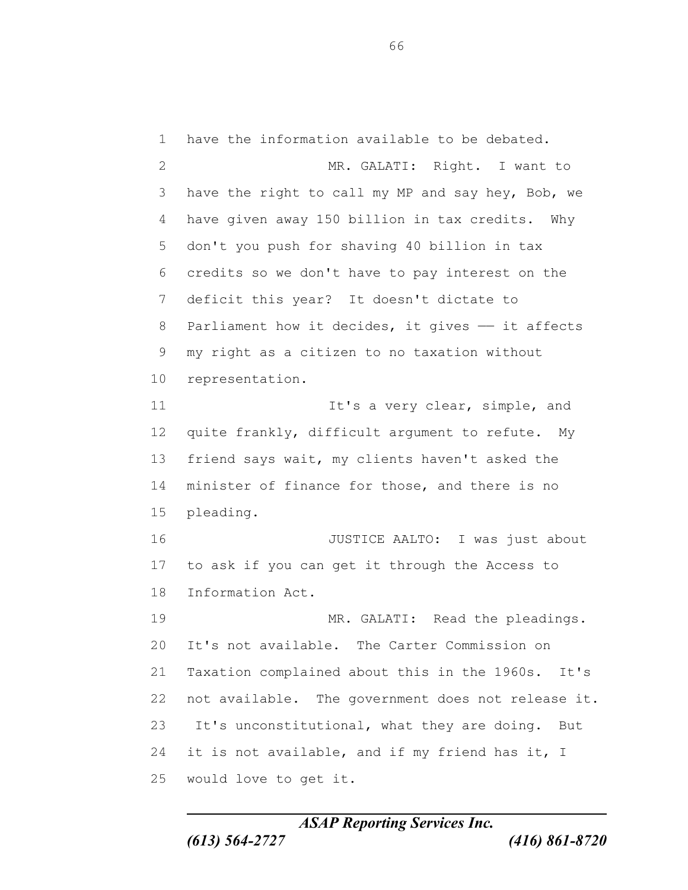have the information available to be debated. 2 MR. GALATI: Right. I want to have the right to call my MP and say hey, Bob, we have given away 150 billion in tax credits. Why don't you push for shaving 40 billion in tax credits so we don't have to pay interest on the deficit this year? It doesn't dictate to 8 Parliament how it decides, it gives - it affects my right as a citizen to no taxation without representation. 11 11 It's a very clear, simple, and quite frankly, difficult argument to refute. My friend says wait, my clients haven't asked the minister of finance for those, and there is no pleading. JUSTICE AALTO: I was just about to ask if you can get it through the Access to Information Act. MR. GALATI: Read the pleadings. It's not available. The Carter Commission on Taxation complained about this in the 1960s. It's not available. The government does not release it. It's unconstitutional, what they are doing. But 24 it is not available, and if my friend has it, I would love to get it.

*ASAP Reporting Services Inc. (613) 564-2727 (416) 861-8720*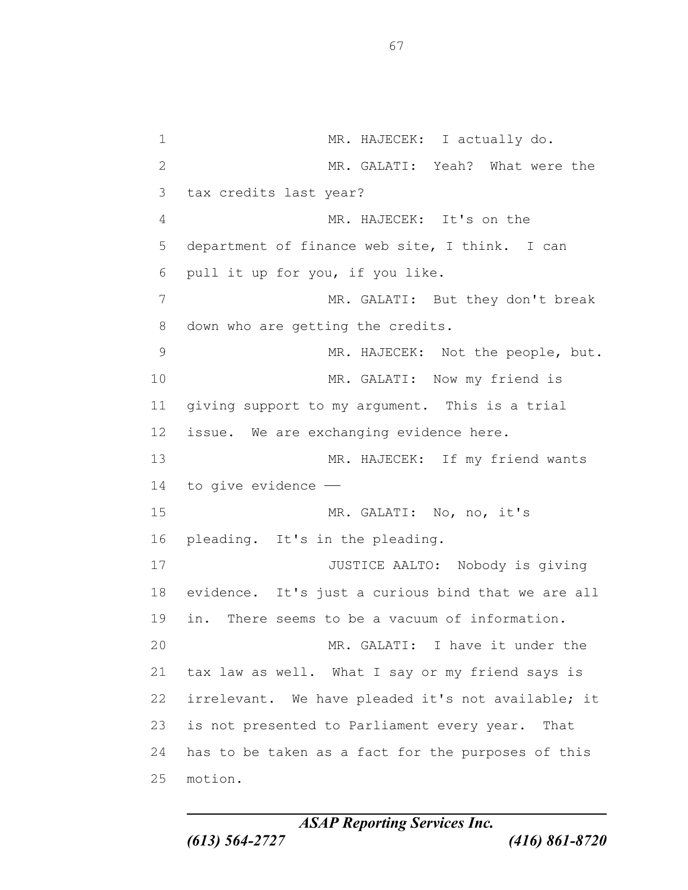1 MR. HAJECEK: I actually do. MR. GALATI: Yeah? What were the tax credits last year? MR. HAJECEK: It's on the department of finance web site, I think. I can pull it up for you, if you like. MR. GALATI: But they don't break down who are getting the credits. MR. HAJECEK: Not the people, but. 10 MR. GALATI: Now my friend is giving support to my argument. This is a trial issue. We are exchanging evidence here. MR. HAJECEK: If my friend wants to give evidence —— MR. GALATI: No, no, it's pleading. It's in the pleading. JUSTICE AALTO: Nobody is giving evidence. It's just a curious bind that we are all in. There seems to be a vacuum of information. MR. GALATI: I have it under the tax law as well. What I say or my friend says is irrelevant. We have pleaded it's not available; it is not presented to Parliament every year. That has to be taken as a fact for the purposes of this motion.

*ASAP Reporting Services Inc. (613) 564-2727 (416) 861-8720*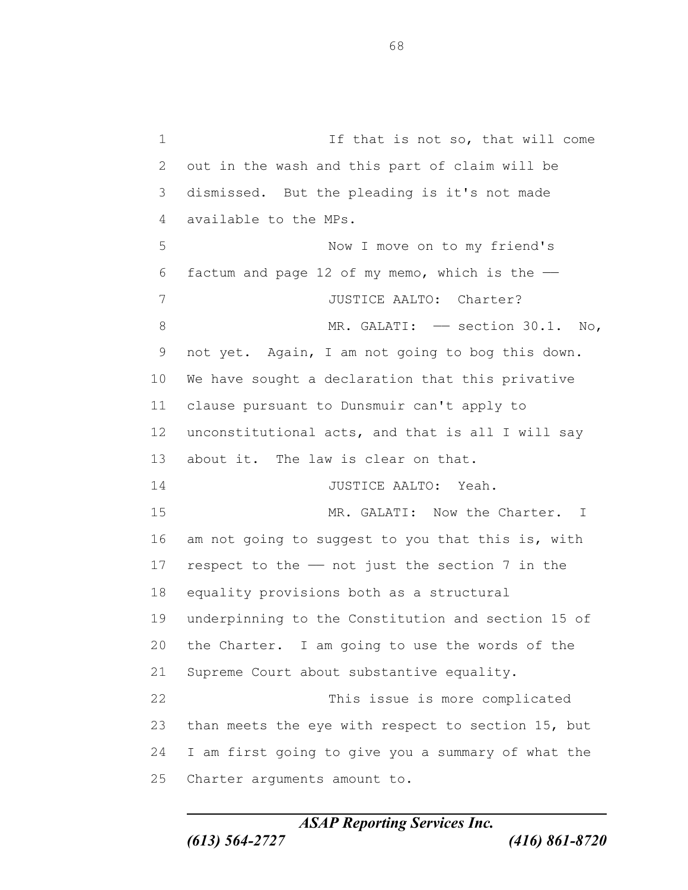1 1 If that is not so, that will come out in the wash and this part of claim will be dismissed. But the pleading is it's not made available to the MPs. Now I move on to my friend's 6 factum and page 12 of my memo, which is the  $-$ 7 JUSTICE AALTO: Charter? 8 MR. GALATI: - section 30.1. No, not yet. Again, I am not going to bog this down. We have sought a declaration that this privative clause pursuant to Dunsmuir can't apply to unconstitutional acts, and that is all I will say about it. The law is clear on that. JUSTICE AALTO: Yeah. 15 MR. GALATI: Now the Charter. I am not going to suggest to you that this is, with 17 respect to the  $-$  not just the section 7 in the equality provisions both as a structural underpinning to the Constitution and section 15 of the Charter. I am going to use the words of the Supreme Court about substantive equality. This issue is more complicated than meets the eye with respect to section 15, but I am first going to give you a summary of what the Charter arguments amount to.

*ASAP Reporting Services Inc.*

*(613) 564-2727 (416) 861-8720*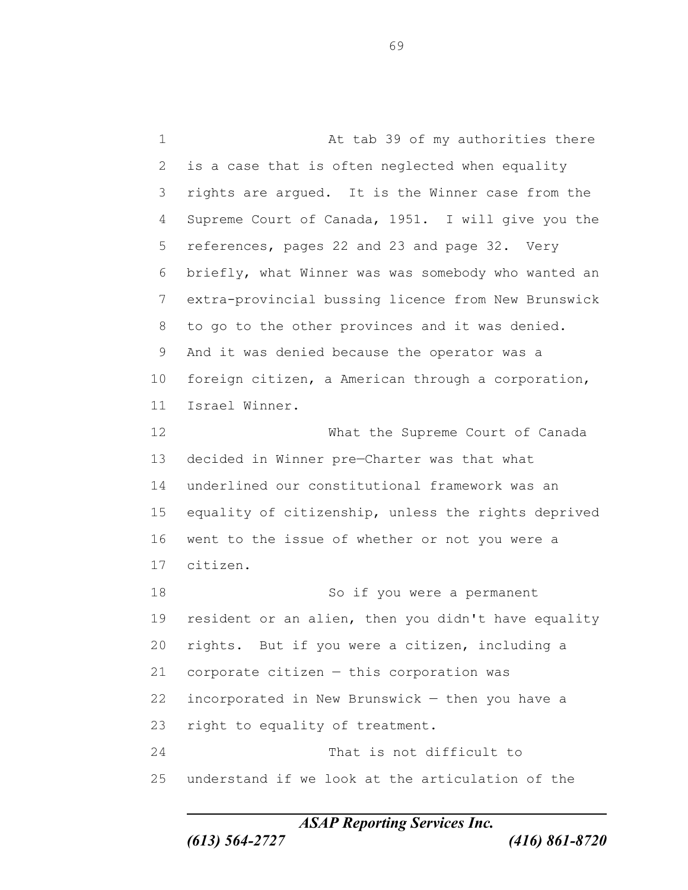1 At tab 39 of my authorities there is a case that is often neglected when equality rights are argued. It is the Winner case from the Supreme Court of Canada, 1951. I will give you the references, pages 22 and 23 and page 32. Very briefly, what Winner was was somebody who wanted an extra-provincial bussing licence from New Brunswick to go to the other provinces and it was denied. And it was denied because the operator was a foreign citizen, a American through a corporation, Israel Winner. What the Supreme Court of Canada decided in Winner pre—Charter was that what underlined our constitutional framework was an equality of citizenship, unless the rights deprived went to the issue of whether or not you were a citizen. 18 So if you were a permanent resident or an alien, then you didn't have equality rights. But if you were a citizen, including a corporate citizen — this corporation was incorporated in New Brunswick — then you have a right to equality of treatment. That is not difficult to understand if we look at the articulation of the

*ASAP Reporting Services Inc.*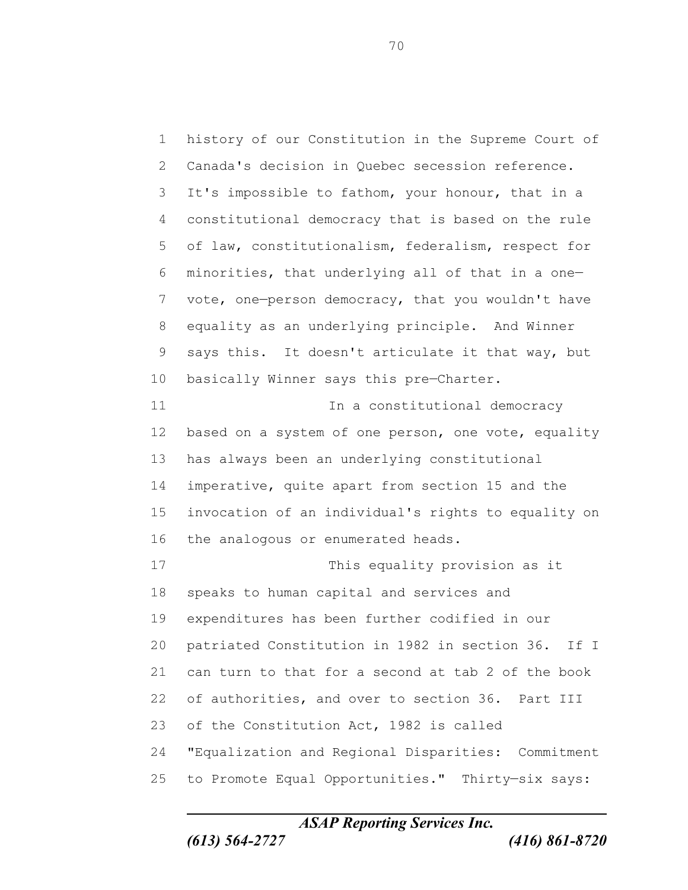history of our Constitution in the Supreme Court of Canada's decision in Quebec secession reference. It's impossible to fathom, your honour, that in a constitutional democracy that is based on the rule of law, constitutionalism, federalism, respect for minorities, that underlying all of that in a one— vote, one—person democracy, that you wouldn't have equality as an underlying principle. And Winner says this. It doesn't articulate it that way, but 10 basically Winner says this pre-Charter. **In a constitutional democracy** 12 based on a system of one person, one vote, equality has always been an underlying constitutional imperative, quite apart from section 15 and the invocation of an individual's rights to equality on the analogous or enumerated heads. This equality provision as it speaks to human capital and services and expenditures has been further codified in our patriated Constitution in 1982 in section 36. If I can turn to that for a second at tab 2 of the book of authorities, and over to section 36. Part III of the Constitution Act, 1982 is called "Equalization and Regional Disparities: Commitment to Promote Equal Opportunities." Thirty—six says: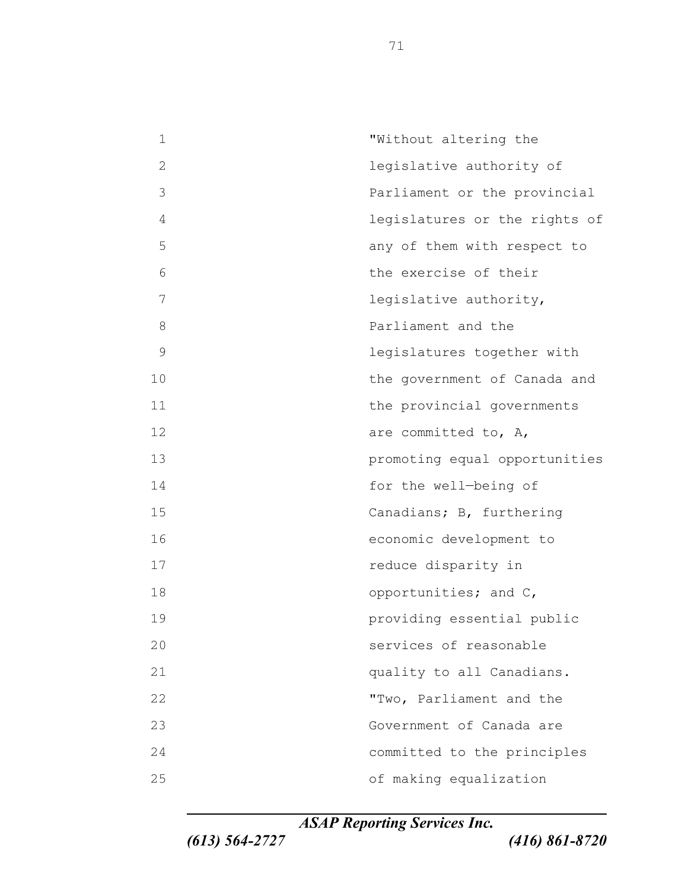"Without altering the legislative authority of Parliament or the provincial legislatures or the rights of any of them with respect to the exercise of their legislative authority, **Parliament** and the legislatures together with 10 the government of Canada and 11 the provincial governments 12 are committed to, A, promoting equal opportunities for the well—being of Canadians; B, furthering economic development to **reduce disparity in** 18 opportunities; and C, providing essential public services of reasonable **quality to all Canadians.**  "Two, Parliament and the Government of Canada are committed to the principles of making equalization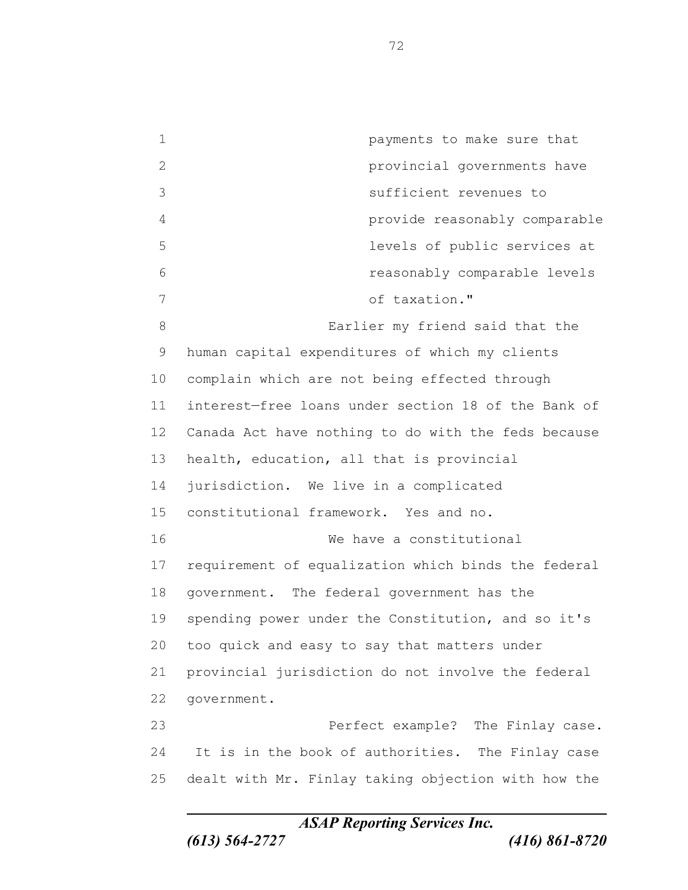payments to make sure that provincial governments have sufficient revenues to provide reasonably comparable levels of public services at reasonably comparable levels of taxation." Earlier my friend said that the human capital expenditures of which my clients complain which are not being effected through interest—free loans under section 18 of the Bank of Canada Act have nothing to do with the feds because health, education, all that is provincial jurisdiction. We live in a complicated constitutional framework. Yes and no. We have a constitutional requirement of equalization which binds the federal government. The federal government has the spending power under the Constitution, and so it's too quick and easy to say that matters under provincial jurisdiction do not involve the federal government. Perfect example? The Finlay case. It is in the book of authorities. The Finlay case dealt with Mr. Finlay taking objection with how the

*ASAP Reporting Services Inc.*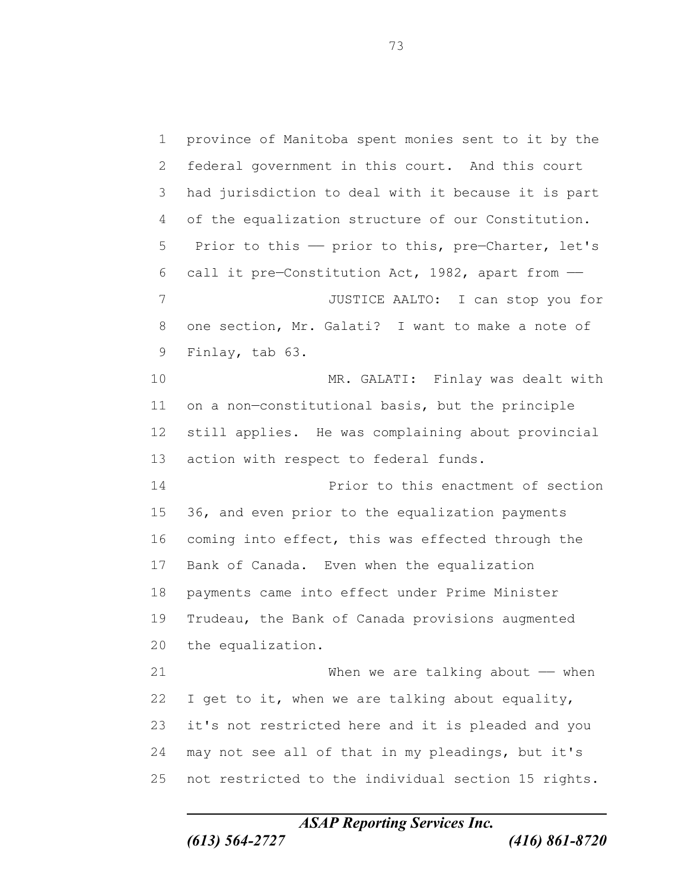province of Manitoba spent monies sent to it by the federal government in this court. And this court had jurisdiction to deal with it because it is part of the equalization structure of our Constitution. 5 Prior to this - prior to this, pre-Charter, let's 6 call it pre-Constitution Act, 1982, apart from  $-$  JUSTICE AALTO: I can stop you for one section, Mr. Galati? I want to make a note of Finlay, tab 63. MR. GALATI: Finlay was dealt with on a non—constitutional basis, but the principle still applies. He was complaining about provincial action with respect to federal funds. Prior to this enactment of section 36, and even prior to the equalization payments coming into effect, this was effected through the Bank of Canada. Even when the equalization payments came into effect under Prime Minister Trudeau, the Bank of Canada provisions augmented the equalization. When we are talking about —— when I get to it, when we are talking about equality, it's not restricted here and it is pleaded and you may not see all of that in my pleadings, but it's not restricted to the individual section 15 rights.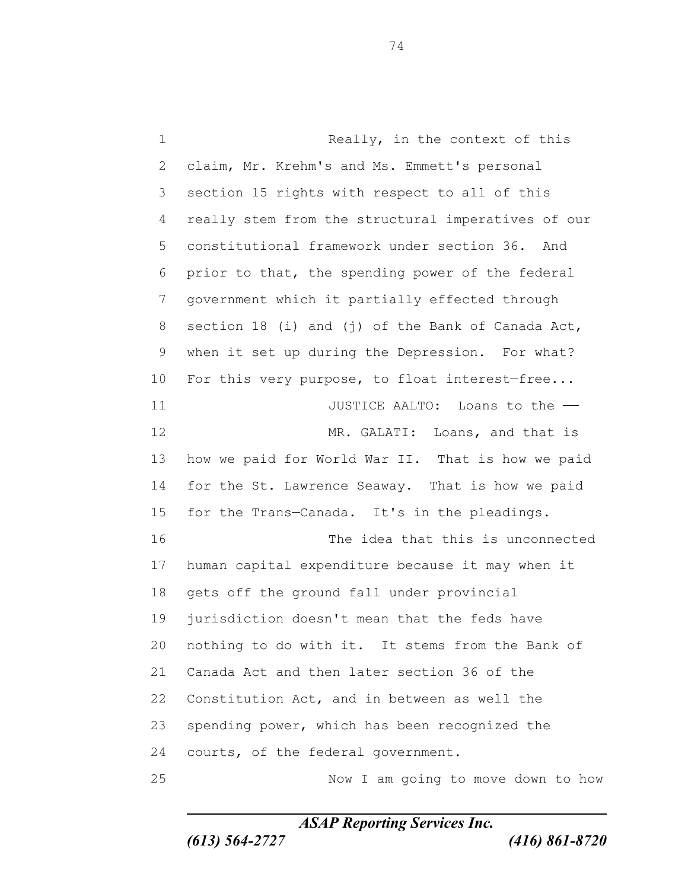1 Really, in the context of this claim, Mr. Krehm's and Ms. Emmett's personal section 15 rights with respect to all of this really stem from the structural imperatives of our constitutional framework under section 36. And prior to that, the spending power of the federal government which it partially effected through section 18 (i) and (j) of the Bank of Canada Act, when it set up during the Depression. For what? 10 For this very purpose, to float interest-free... **11** JUSTICE AALTO: Loans to the — 12 MR. GALATI: Loans, and that is how we paid for World War II. That is how we paid 14 for the St. Lawrence Seaway. That is how we paid for the Trans—Canada. It's in the pleadings. The idea that this is unconnected human capital expenditure because it may when it gets off the ground fall under provincial jurisdiction doesn't mean that the feds have nothing to do with it. It stems from the Bank of Canada Act and then later section 36 of the Constitution Act, and in between as well the spending power, which has been recognized the courts, of the federal government. Now I am going to move down to how

*ASAP Reporting Services Inc.*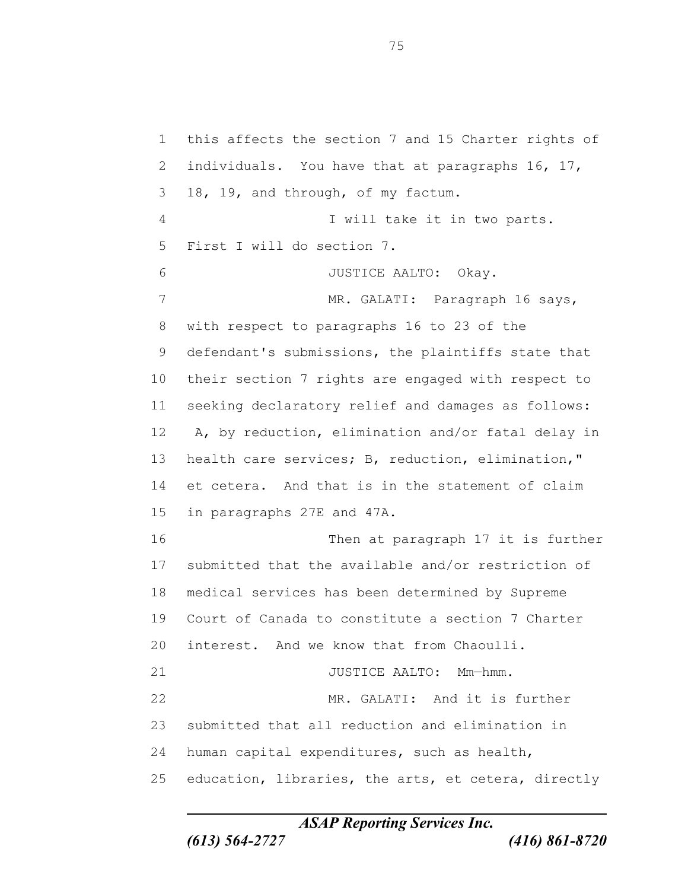this affects the section 7 and 15 Charter rights of 2 individuals. You have that at paragraphs 16, 17, 18, 19, and through, of my factum. I will take it in two parts. First I will do section 7. JUSTICE AALTO: Okay. 7 MR. GALATI: Paragraph 16 says, with respect to paragraphs 16 to 23 of the defendant's submissions, the plaintiffs state that their section 7 rights are engaged with respect to seeking declaratory relief and damages as follows: A, by reduction, elimination and/or fatal delay in health care services; B, reduction, elimination," et cetera. And that is in the statement of claim in paragraphs 27E and 47A. Then at paragraph 17 it is further submitted that the available and/or restriction of medical services has been determined by Supreme Court of Canada to constitute a section 7 Charter interest. And we know that from Chaoulli. 21 JUSTICE AALTO: Mm-hmm. MR. GALATI: And it is further submitted that all reduction and elimination in human capital expenditures, such as health, education, libraries, the arts, et cetera, directly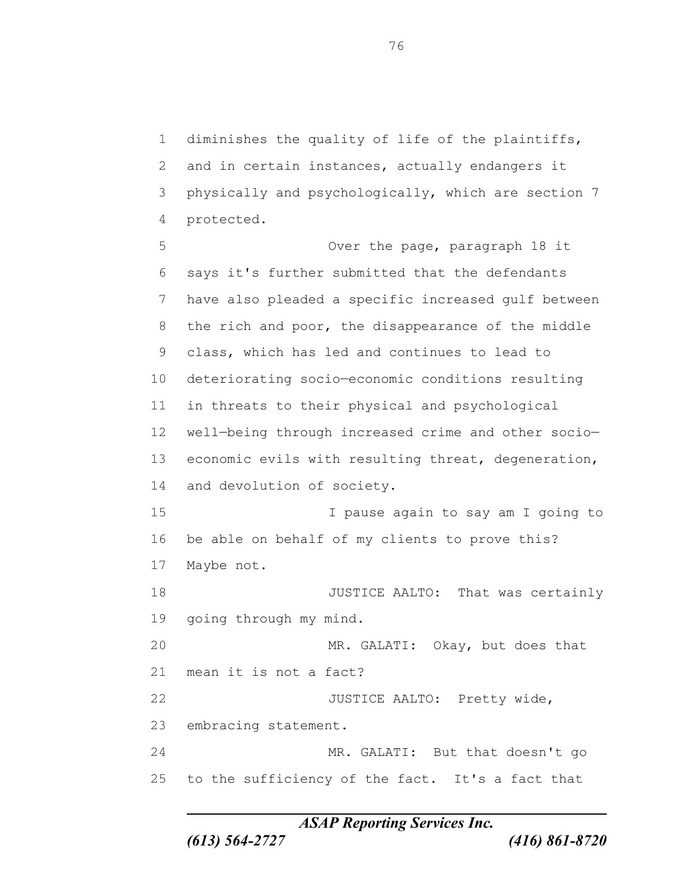diminishes the quality of life of the plaintiffs, 2 and in certain instances, actually endangers it physically and psychologically, which are section 7 protected.

 Over the page, paragraph 18 it says it's further submitted that the defendants have also pleaded a specific increased gulf between the rich and poor, the disappearance of the middle class, which has led and continues to lead to deteriorating socio—economic conditions resulting in threats to their physical and psychological well—being through increased crime and other socio— economic evils with resulting threat, degeneration, and devolution of society. I pause again to say am I going to be able on behalf of my clients to prove this? Maybe not. 18 JUSTICE AALTO: That was certainly going through my mind. MR. GALATI: Okay, but does that mean it is not a fact? 22 JUSTICE AALTO: Pretty wide, embracing statement. MR. GALATI: But that doesn't go to the sufficiency of the fact. It's a fact that

*ASAP Reporting Services Inc.*

*(613) 564-2727 (416) 861-8720*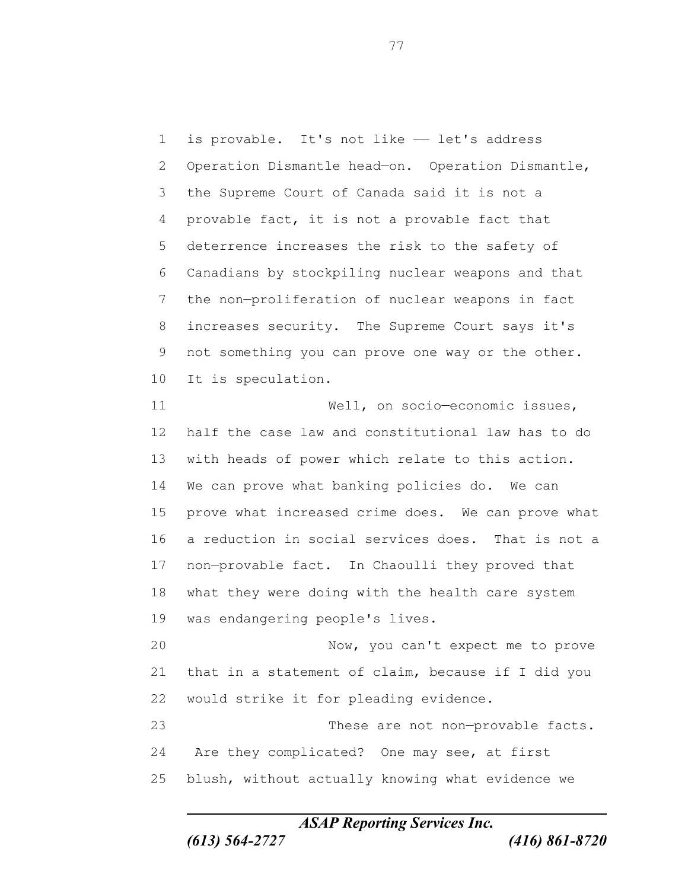1 is provable. It's not like  $-$  let's address Operation Dismantle head—on. Operation Dismantle, the Supreme Court of Canada said it is not a provable fact, it is not a provable fact that deterrence increases the risk to the safety of Canadians by stockpiling nuclear weapons and that the non—proliferation of nuclear weapons in fact increases security. The Supreme Court says it's not something you can prove one way or the other. It is speculation. 11 Well, on socio-economic issues, half the case law and constitutional law has to do with heads of power which relate to this action. We can prove what banking policies do. We can prove what increased crime does. We can prove what a reduction in social services does. That is not a non—provable fact. In Chaoulli they proved that what they were doing with the health care system was endangering people's lives. Now, you can't expect me to prove that in a statement of claim, because if I did you would strike it for pleading evidence. 23 These are not non-provable facts. Are they complicated? One may see, at first blush, without actually knowing what evidence we

*ASAP Reporting Services Inc.*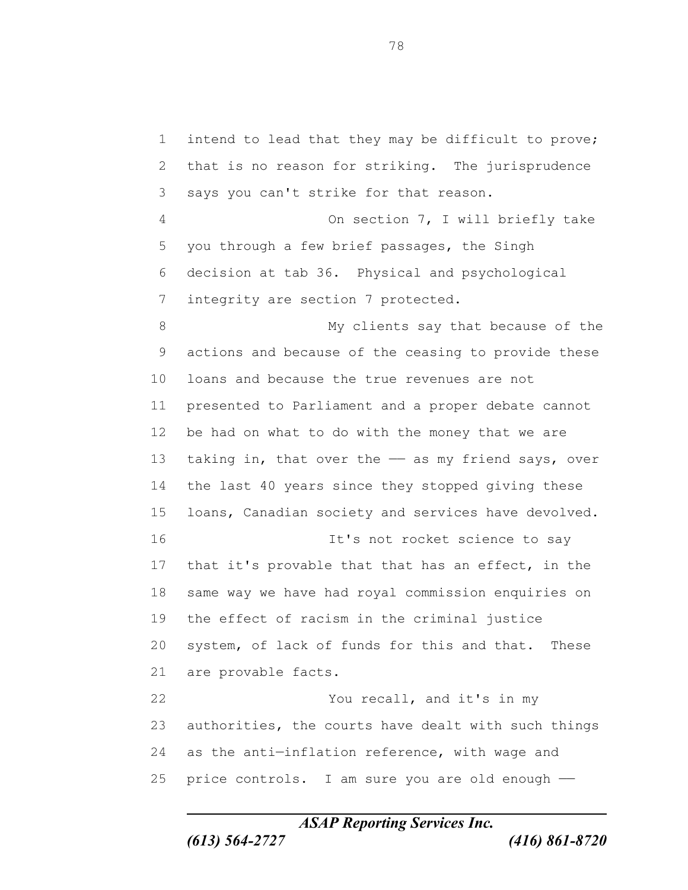intend to lead that they may be difficult to prove; that is no reason for striking. The jurisprudence says you can't strike for that reason. On section 7, I will briefly take you through a few brief passages, the Singh decision at tab 36. Physical and psychological integrity are section 7 protected. My clients say that because of the actions and because of the ceasing to provide these loans and because the true revenues are not presented to Parliament and a proper debate cannot be had on what to do with the money that we are 13 taking in, that over the - as my friend says, over the last 40 years since they stopped giving these loans, Canadian society and services have devolved. It's not rocket science to say that it's provable that that has an effect, in the same way we have had royal commission enquiries on the effect of racism in the criminal justice system, of lack of funds for this and that. These are provable facts. You recall, and it's in my authorities, the courts have dealt with such things 24 as the anti-inflation reference, with wage and 25 price controls. I am sure you are old enough -

*ASAP Reporting Services Inc.*

*(613) 564-2727 (416) 861-8720*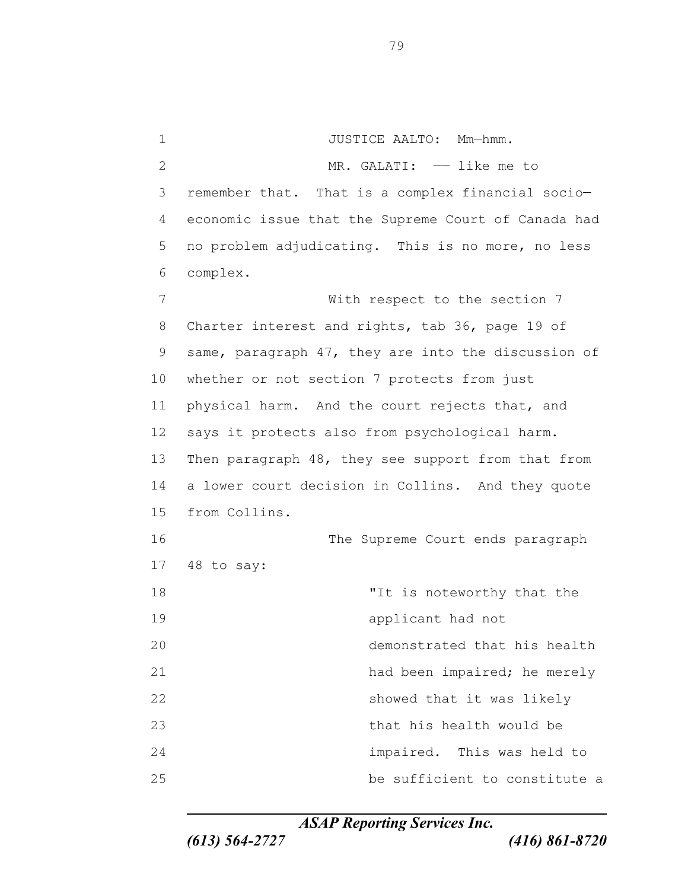1 JUSTICE AALTO: Mm-hmm. 2 MR. GALATI:  $-$  like me to remember that. That is a complex financial socio— economic issue that the Supreme Court of Canada had no problem adjudicating. This is no more, no less complex. With respect to the section 7 Charter interest and rights, tab 36, page 19 of same, paragraph 47, they are into the discussion of whether or not section 7 protects from just 11 physical harm. And the court rejects that, and says it protects also from psychological harm. Then paragraph 48, they see support from that from a lower court decision in Collins. And they quote from Collins. The Supreme Court ends paragraph 48 to say: 18 The state of the state of the state of the state of the state of the state of the state of the state of the state of the state of the state of the state of the state of the state of the state of the state of the state o applicant had not demonstrated that his health had been impaired; he merely 22 showed that it was likely that his health would be impaired. This was held to be sufficient to constitute a

*ASAP Reporting Services Inc.*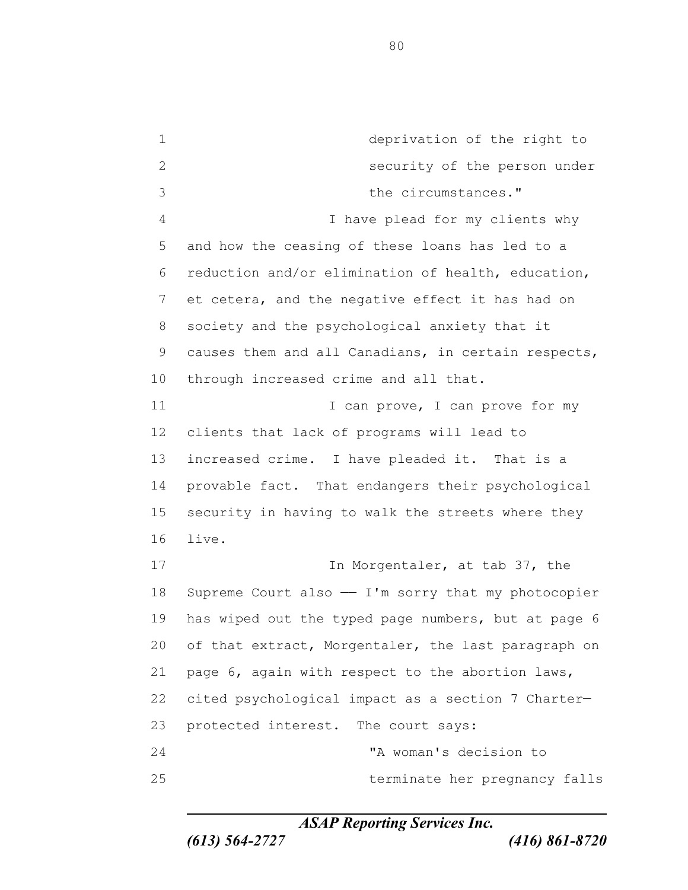deprivation of the right to security of the person under the circumstances." I have plead for my clients why and how the ceasing of these loans has led to a reduction and/or elimination of health, education, et cetera, and the negative effect it has had on society and the psychological anxiety that it causes them and all Canadians, in certain respects, through increased crime and all that. 11 I can prove, I can prove for my clients that lack of programs will lead to increased crime. I have pleaded it. That is a provable fact. That endangers their psychological security in having to walk the streets where they live. 17 In Morgentaler, at tab 37, the 18 Supreme Court also - I'm sorry that my photocopier has wiped out the typed page numbers, but at page 6 of that extract, Morgentaler, the last paragraph on page 6, again with respect to the abortion laws, cited psychological impact as a section 7 Charter— protected interest. The court says: "A woman's decision to terminate her pregnancy falls

*ASAP Reporting Services Inc.*

*(613) 564-2727 (416) 861-8720*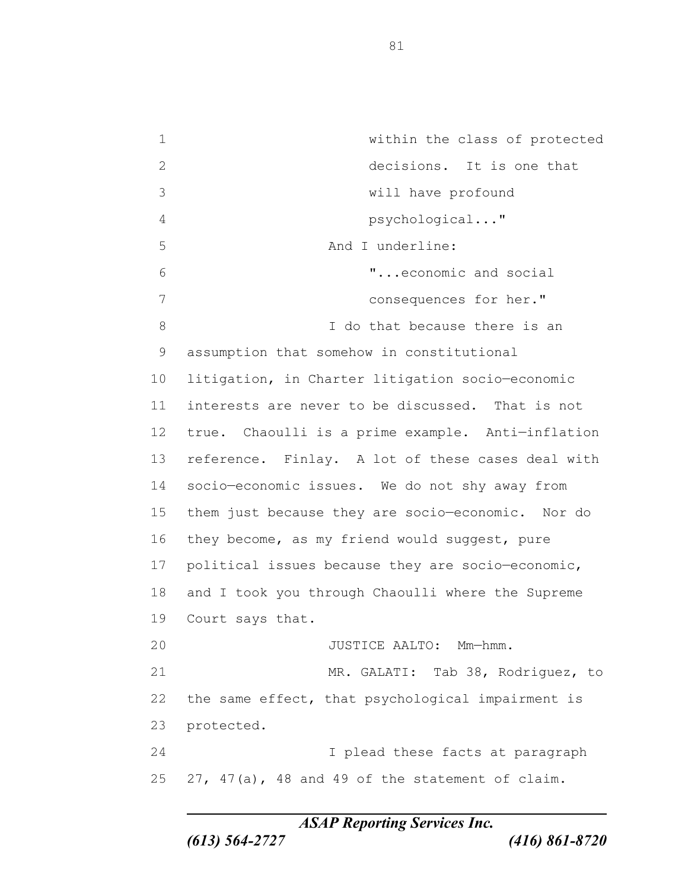within the class of protected decisions. It is one that will have profound psychological..." And I underline: "...economic and social consequences for her." 8 and I do that because there is an assumption that somehow in constitutional litigation, in Charter litigation socio—economic interests are never to be discussed. That is not true. Chaoulli is a prime example. Anti—inflation reference. Finlay. A lot of these cases deal with socio—economic issues. We do not shy away from them just because they are socio—economic. Nor do they become, as my friend would suggest, pure 17 political issues because they are socio-economic, and I took you through Chaoulli where the Supreme Court says that. JUSTICE AALTO: Mm—hmm. MR. GALATI: Tab 38, Rodriguez, to the same effect, that psychological impairment is protected. I plead these facts at paragraph 27, 47(a), 48 and 49 of the statement of claim.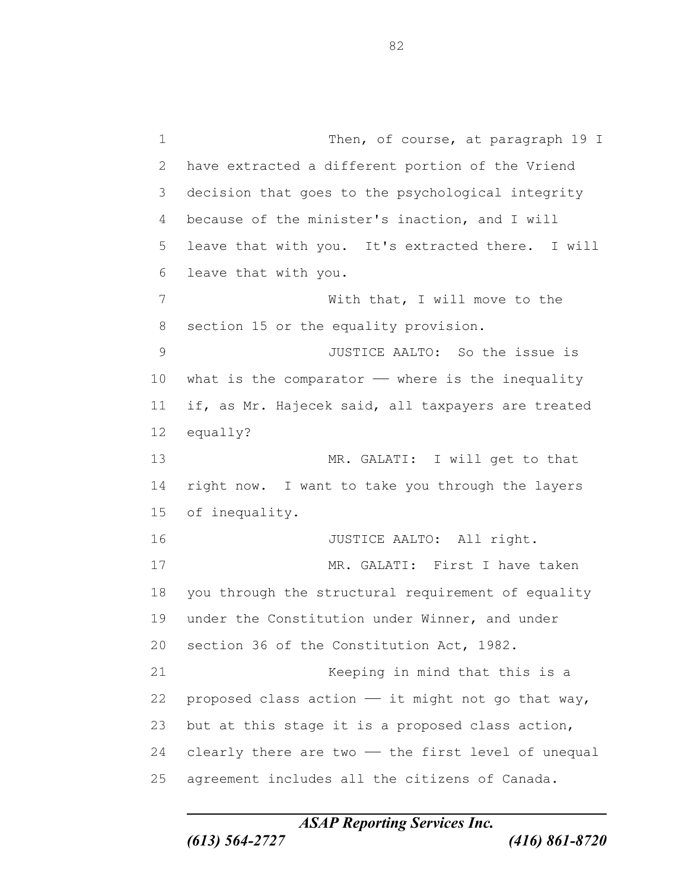1 Then, of course, at paragraph 19 I have extracted a different portion of the Vriend decision that goes to the psychological integrity because of the minister's inaction, and I will leave that with you. It's extracted there. I will leave that with you. With that, I will move to the section 15 or the equality provision. JUSTICE AALTO: So the issue is 10 what is the comparator  $-$  where is the inequality if, as Mr. Hajecek said, all taxpayers are treated equally? MR. GALATI: I will get to that right now. I want to take you through the layers of inequality. 16 JUSTICE AALTO: All right. MR. GALATI: First I have taken you through the structural requirement of equality under the Constitution under Winner, and under section 36 of the Constitution Act, 1982. Keeping in mind that this is a 22 proposed class action  $-$  it might not go that way, but at this stage it is a proposed class action, 24 clearly there are two - the first level of unequal agreement includes all the citizens of Canada.

*ASAP Reporting Services Inc.*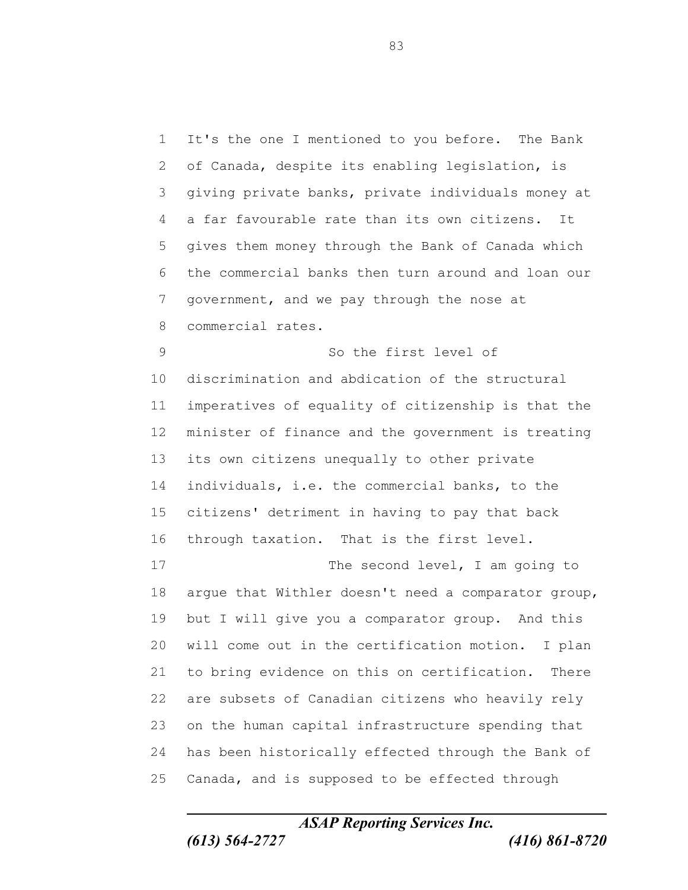It's the one I mentioned to you before. The Bank of Canada, despite its enabling legislation, is giving private banks, private individuals money at a far favourable rate than its own citizens. It gives them money through the Bank of Canada which the commercial banks then turn around and loan our government, and we pay through the nose at commercial rates. So the first level of discrimination and abdication of the structural imperatives of equality of citizenship is that the minister of finance and the government is treating its own citizens unequally to other private individuals, i.e. the commercial banks, to the citizens' detriment in having to pay that back through taxation. That is the first level. 17 The second level, I am going to argue that Withler doesn't need a comparator group, but I will give you a comparator group. And this will come out in the certification motion. I plan to bring evidence on this on certification. There are subsets of Canadian citizens who heavily rely on the human capital infrastructure spending that has been historically effected through the Bank of Canada, and is supposed to be effected through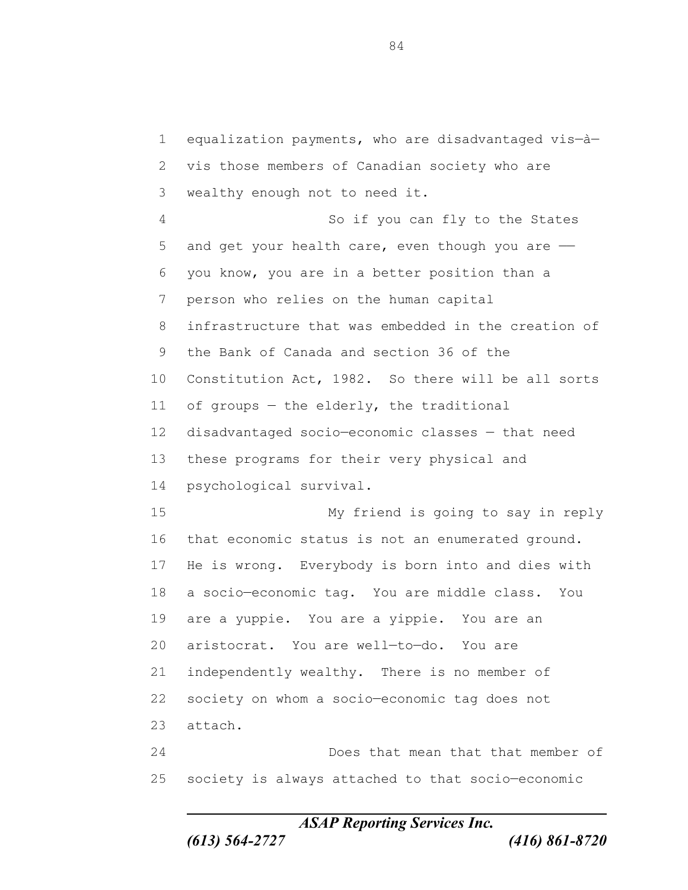equalization payments, who are disadvantaged vis—à— vis those members of Canadian society who are wealthy enough not to need it. So if you can fly to the States 5 and get your health care, even though you are - you know, you are in a better position than a person who relies on the human capital infrastructure that was embedded in the creation of the Bank of Canada and section 36 of the Constitution Act, 1982. So there will be all sorts 11 of groups - the elderly, the traditional disadvantaged socio—economic classes — that need these programs for their very physical and psychological survival. My friend is going to say in reply that economic status is not an enumerated ground. He is wrong. Everybody is born into and dies with a socio—economic tag. You are middle class. You are a yuppie. You are a yippie. You are an aristocrat. You are well—to—do. You are independently wealthy. There is no member of society on whom a socio—economic tag does not attach. Does that mean that that member of society is always attached to that socio—economic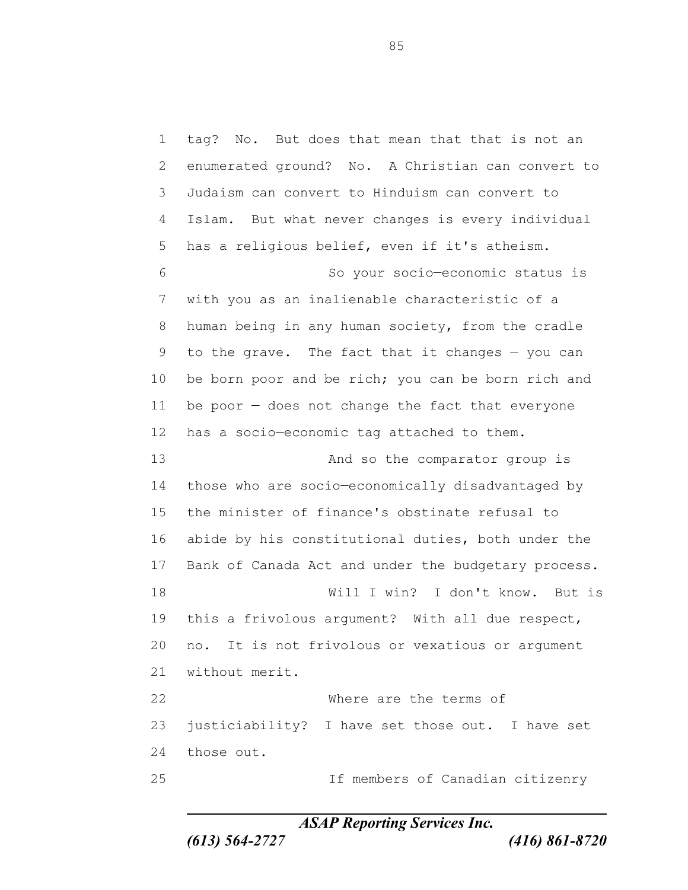tag? No. But does that mean that that is not an enumerated ground? No. A Christian can convert to Judaism can convert to Hinduism can convert to Islam. But what never changes is every individual has a religious belief, even if it's atheism. So your socio—economic status is with you as an inalienable characteristic of a human being in any human society, from the cradle to the grave. The fact that it changes — you can 10 be born poor and be rich; you can be born rich and be poor — does not change the fact that everyone has a socio—economic tag attached to them. 13 And so the comparator group is those who are socio—economically disadvantaged by the minister of finance's obstinate refusal to abide by his constitutional duties, both under the Bank of Canada Act and under the budgetary process. Will I win? I don't know. But is this a frivolous argument? With all due respect, no. It is not frivolous or vexatious or argument without merit. Where are the terms of justiciability? I have set those out. I have set those out. If members of Canadian citizenry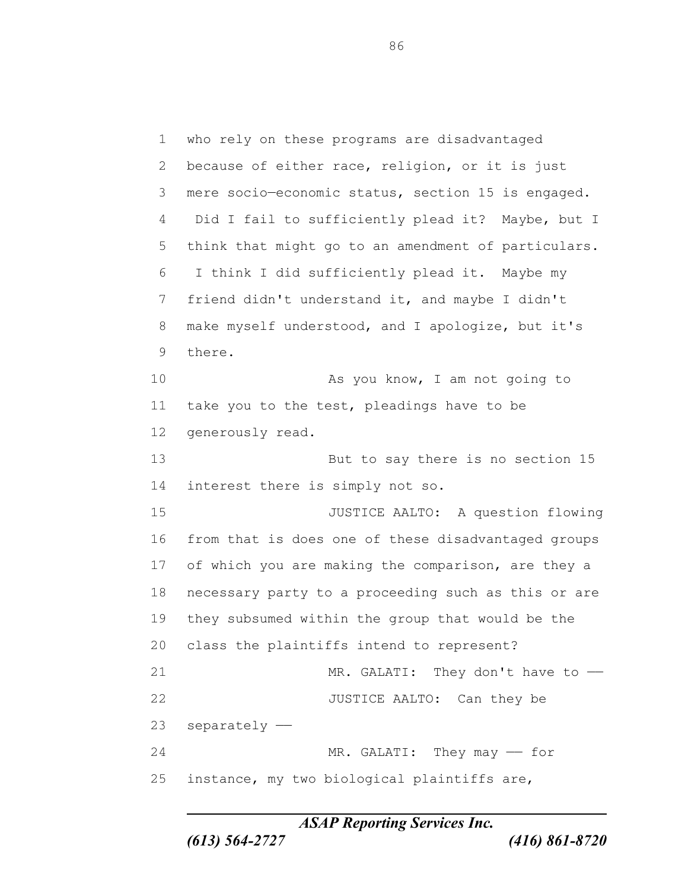who rely on these programs are disadvantaged because of either race, religion, or it is just mere socio—economic status, section 15 is engaged. Did I fail to sufficiently plead it? Maybe, but I think that might go to an amendment of particulars. I think I did sufficiently plead it. Maybe my friend didn't understand it, and maybe I didn't make myself understood, and I apologize, but it's there. 10 As you know, I am not going to take you to the test, pleadings have to be generously read. But to say there is no section 15 interest there is simply not so. JUSTICE AALTO: A question flowing from that is does one of these disadvantaged groups of which you are making the comparison, are they a necessary party to a proceeding such as this or are they subsumed within the group that would be the class the plaintiffs intend to represent? 21 MR. GALATI: They don't have to -22 JUSTICE AALTO: Can they be separately —— 24 MR. GALATI: They may - for instance, my two biological plaintiffs are,

*ASAP Reporting Services Inc.*

*(613) 564-2727 (416) 861-8720*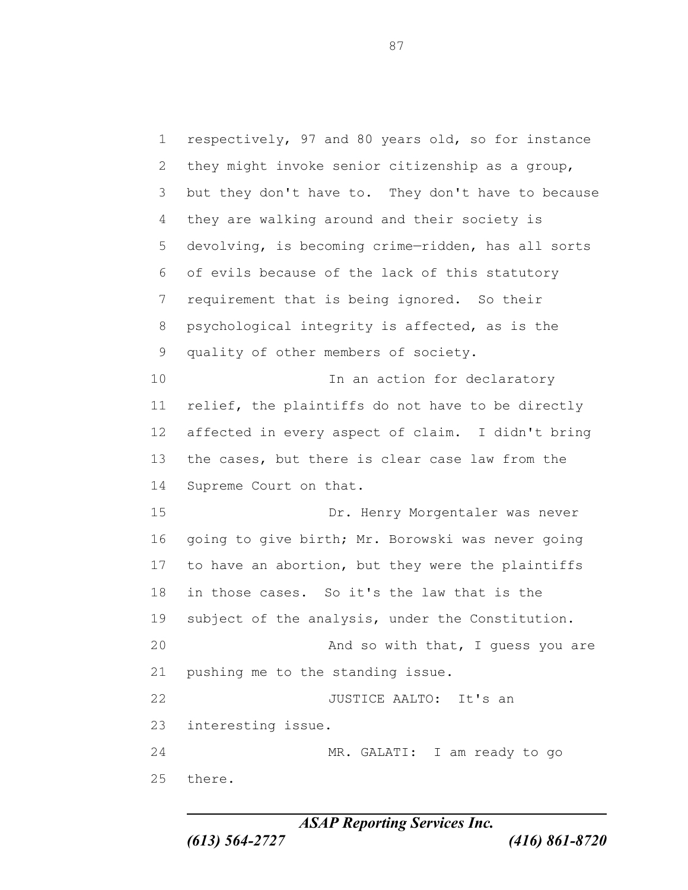respectively, 97 and 80 years old, so for instance they might invoke senior citizenship as a group, but they don't have to. They don't have to because they are walking around and their society is devolving, is becoming crime—ridden, has all sorts of evils because of the lack of this statutory requirement that is being ignored. So their psychological integrity is affected, as is the quality of other members of society. 10 10 In an action for declaratory relief, the plaintiffs do not have to be directly affected in every aspect of claim. I didn't bring the cases, but there is clear case law from the Supreme Court on that. Dr. Henry Morgentaler was never going to give birth; Mr. Borowski was never going to have an abortion, but they were the plaintiffs in those cases. So it's the law that is the subject of the analysis, under the Constitution. 20 And so with that, I guess you are pushing me to the standing issue. 22 JUSTICE AALTO: It's an interesting issue. MR. GALATI: I am ready to go there.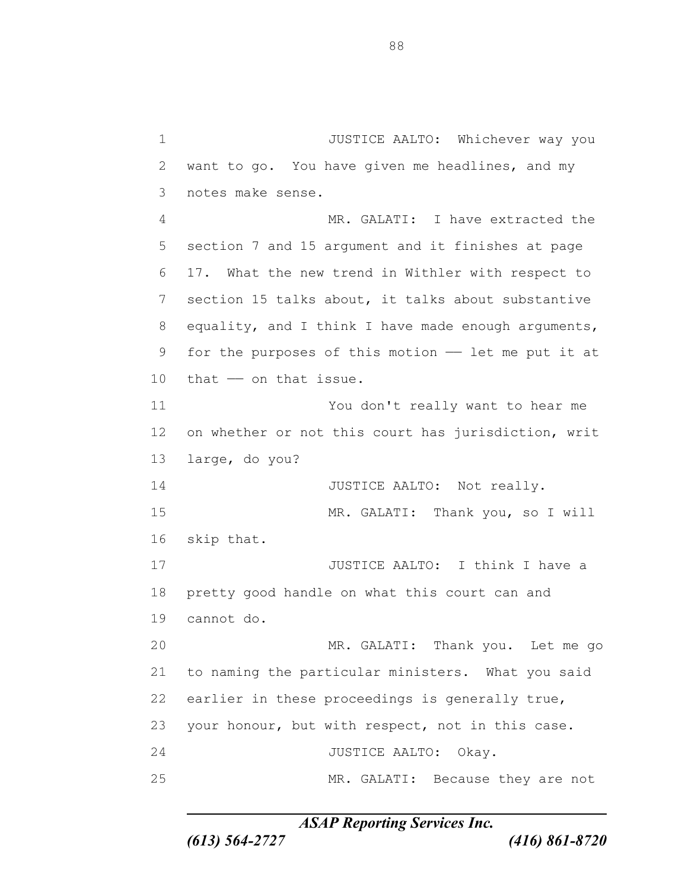JUSTICE AALTO: Whichever way you want to go. You have given me headlines, and my notes make sense. MR. GALATI: I have extracted the section 7 and 15 argument and it finishes at page 17. What the new trend in Withler with respect to section 15 talks about, it talks about substantive equality, and I think I have made enough arguments, 9 for the purposes of this motion - let me put it at that —— on that issue. You don't really want to hear me on whether or not this court has jurisdiction, writ large, do you? 14 JUSTICE AALTO: Not really. MR. GALATI: Thank you, so I will skip that. **JUSTICE AALTO:** I think I have a pretty good handle on what this court can and cannot do. MR. GALATI: Thank you. Let me go to naming the particular ministers. What you said earlier in these proceedings is generally true, your honour, but with respect, not in this case. 24 JUSTICE AALTO: Okay. MR. GALATI: Because they are not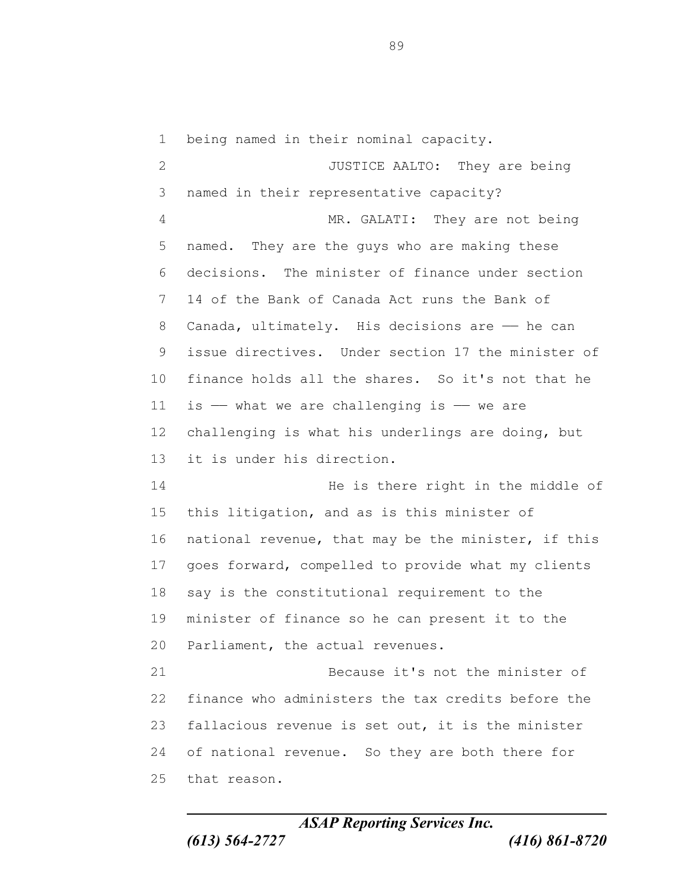being named in their nominal capacity. 2 JUSTICE AALTO: They are being named in their representative capacity? 4 MR. GALATI: They are not being named. They are the guys who are making these decisions. The minister of finance under section 14 of the Bank of Canada Act runs the Bank of 8 Canada, ultimately. His decisions are - he can issue directives. Under section 17 the minister of finance holds all the shares. So it's not that he 11 is  $-$  what we are challenging is  $-$  we are challenging is what his underlings are doing, but it is under his direction. He is there right in the middle of this litigation, and as is this minister of national revenue, that may be the minister, if this goes forward, compelled to provide what my clients say is the constitutional requirement to the minister of finance so he can present it to the Parliament, the actual revenues. Because it's not the minister of finance who administers the tax credits before the fallacious revenue is set out, it is the minister of national revenue. So they are both there for that reason.

*ASAP Reporting Services Inc. (613) 564-2727 (416) 861-8720*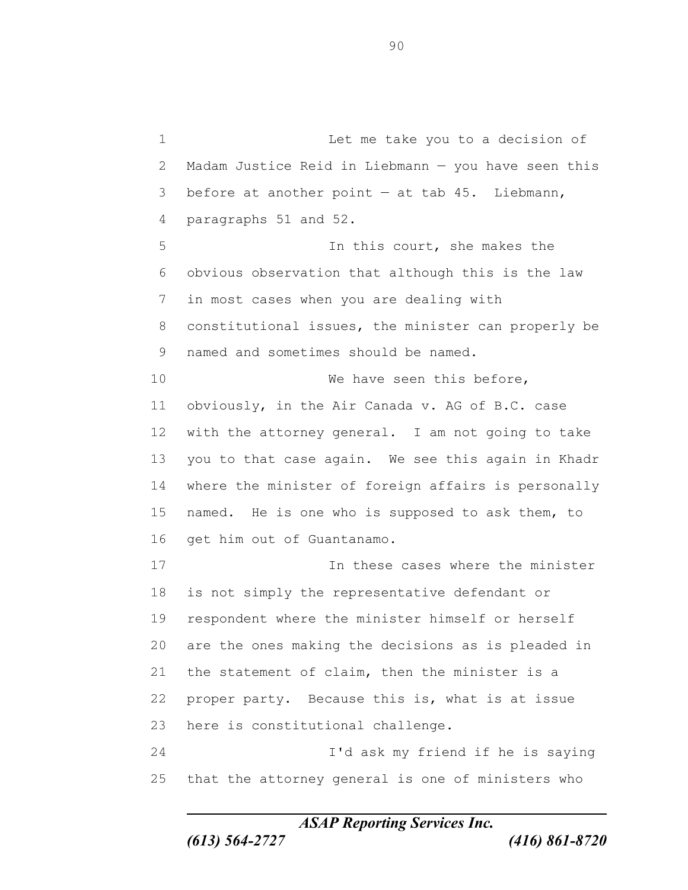Let me take you to a decision of Madam Justice Reid in Liebmann — you have seen this 3 before at another point  $-$  at tab 45. Liebmann, paragraphs 51 and 52. In this court, she makes the obvious observation that although this is the law in most cases when you are dealing with constitutional issues, the minister can properly be named and sometimes should be named. 10 We have seen this before, obviously, in the Air Canada v. AG of B.C. case with the attorney general. I am not going to take you to that case again. We see this again in Khadr where the minister of foreign affairs is personally named. He is one who is supposed to ask them, to get him out of Guantanamo. In these cases where the minister is not simply the representative defendant or respondent where the minister himself or herself are the ones making the decisions as is pleaded in the statement of claim, then the minister is a proper party. Because this is, what is at issue here is constitutional challenge. I'd ask my friend if he is saying that the attorney general is one of ministers who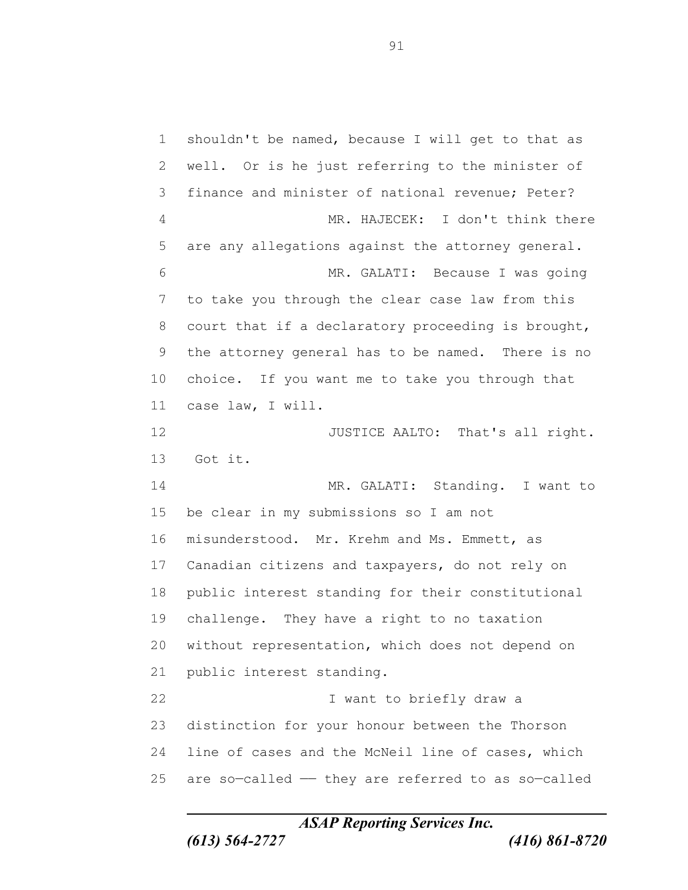shouldn't be named, because I will get to that as well. Or is he just referring to the minister of finance and minister of national revenue; Peter? MR. HAJECEK: I don't think there are any allegations against the attorney general. MR. GALATI: Because I was going to take you through the clear case law from this court that if a declaratory proceeding is brought, the attorney general has to be named. There is no choice. If you want me to take you through that case law, I will. 12 JUSTICE AALTO: That's all right. Got it. MR. GALATI: Standing. I want to be clear in my submissions so I am not misunderstood. Mr. Krehm and Ms. Emmett, as Canadian citizens and taxpayers, do not rely on public interest standing for their constitutional challenge. They have a right to no taxation without representation, which does not depend on public interest standing. I want to briefly draw a distinction for your honour between the Thorson line of cases and the McNeil line of cases, which are so-called  $-$  they are referred to as so-called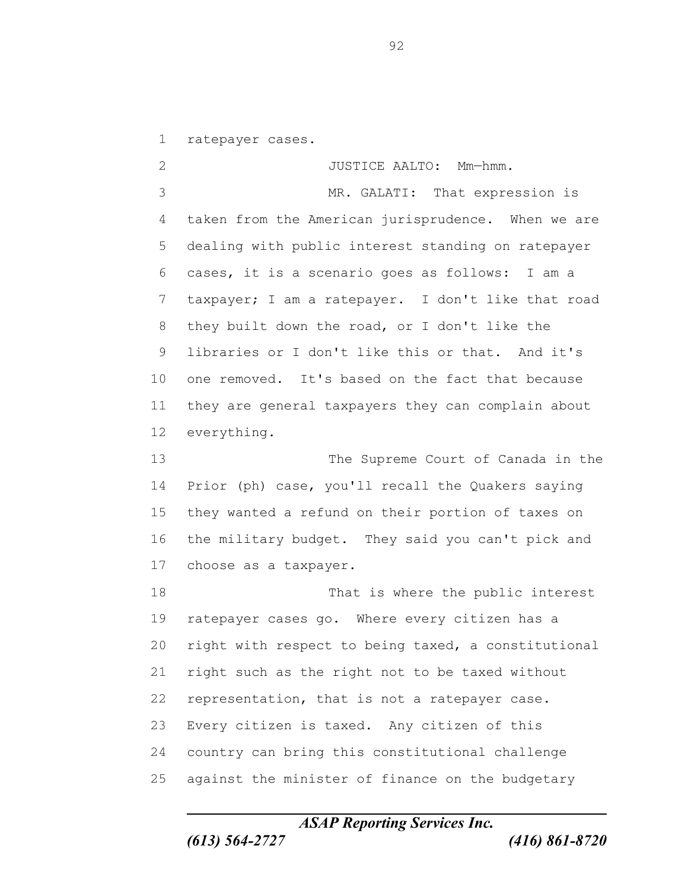ratepayer cases.

2 JUSTICE AALTO: Mm-hmm. MR. GALATI: That expression is taken from the American jurisprudence. When we are dealing with public interest standing on ratepayer cases, it is a scenario goes as follows: I am a taxpayer; I am a ratepayer. I don't like that road they built down the road, or I don't like the libraries or I don't like this or that. And it's one removed. It's based on the fact that because they are general taxpayers they can complain about everything.

 The Supreme Court of Canada in the Prior (ph) case, you'll recall the Quakers saying they wanted a refund on their portion of taxes on the military budget. They said you can't pick and choose as a taxpayer.

 That is where the public interest ratepayer cases go. Where every citizen has a right with respect to being taxed, a constitutional right such as the right not to be taxed without representation, that is not a ratepayer case. Every citizen is taxed. Any citizen of this country can bring this constitutional challenge against the minister of finance on the budgetary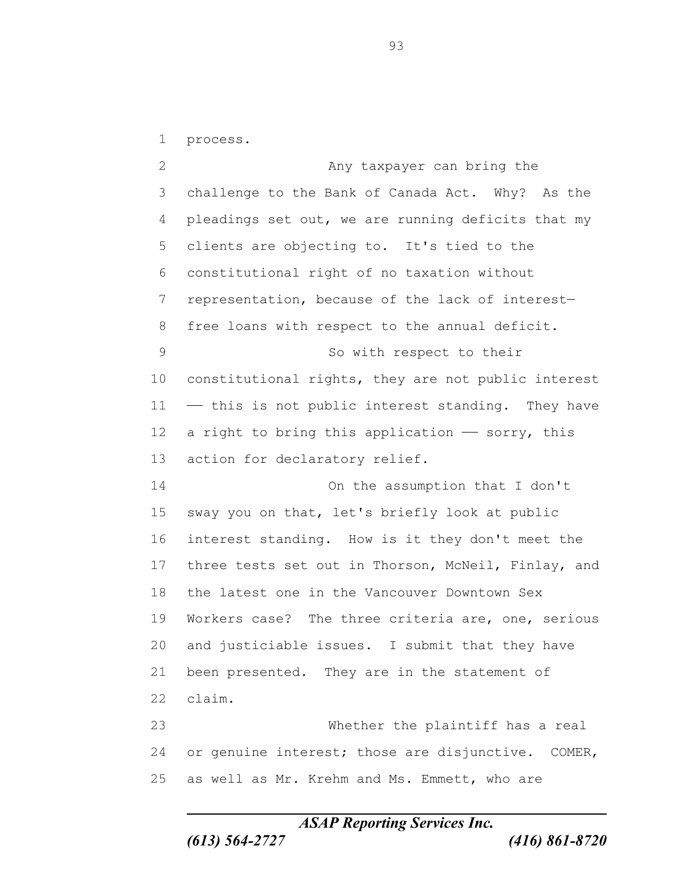process.

2 Any taxpayer can bring the challenge to the Bank of Canada Act. Why? As the pleadings set out, we are running deficits that my clients are objecting to. It's tied to the constitutional right of no taxation without representation, because of the lack of interest— free loans with respect to the annual deficit. 9 So with respect to their constitutional rights, they are not public interest —— this is not public interest standing. They have 12 a right to bring this application  $-$  sorry, this action for declaratory relief. On the assumption that I don't sway you on that, let's briefly look at public interest standing. How is it they don't meet the three tests set out in Thorson, McNeil, Finlay, and the latest one in the Vancouver Downtown Sex Workers case? The three criteria are, one, serious and justiciable issues. I submit that they have been presented. They are in the statement of claim. Whether the plaintiff has a real or genuine interest; those are disjunctive. COMER, as well as Mr. Krehm and Ms. Emmett, who are

*ASAP Reporting Services Inc.*

*(613) 564-2727 (416) 861-8720*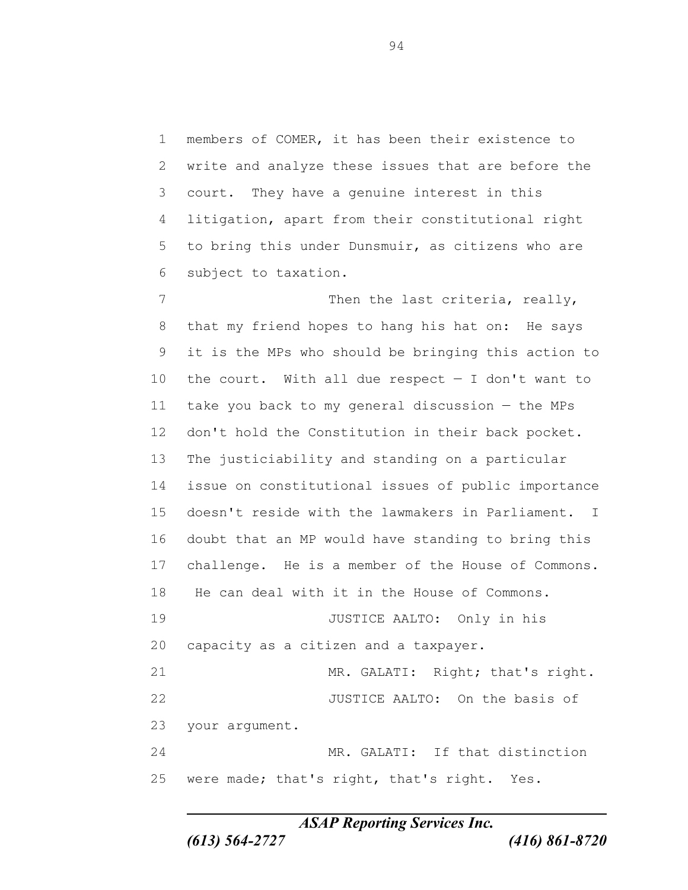members of COMER, it has been their existence to write and analyze these issues that are before the court. They have a genuine interest in this litigation, apart from their constitutional right to bring this under Dunsmuir, as citizens who are subject to taxation.

7 Then the last criteria, really, that my friend hopes to hang his hat on: He says it is the MPs who should be bringing this action to the court. With all due respect — I don't want to take you back to my general discussion — the MPs don't hold the Constitution in their back pocket. The justiciability and standing on a particular issue on constitutional issues of public importance doesn't reside with the lawmakers in Parliament. I doubt that an MP would have standing to bring this challenge. He is a member of the House of Commons. He can deal with it in the House of Commons. JUSTICE AALTO: Only in his capacity as a citizen and a taxpayer. MR. GALATI: Right; that's right. JUSTICE AALTO: On the basis of your argument. MR. GALATI: If that distinction were made; that's right, that's right. Yes.

*ASAP Reporting Services Inc.*

*(613) 564-2727 (416) 861-8720*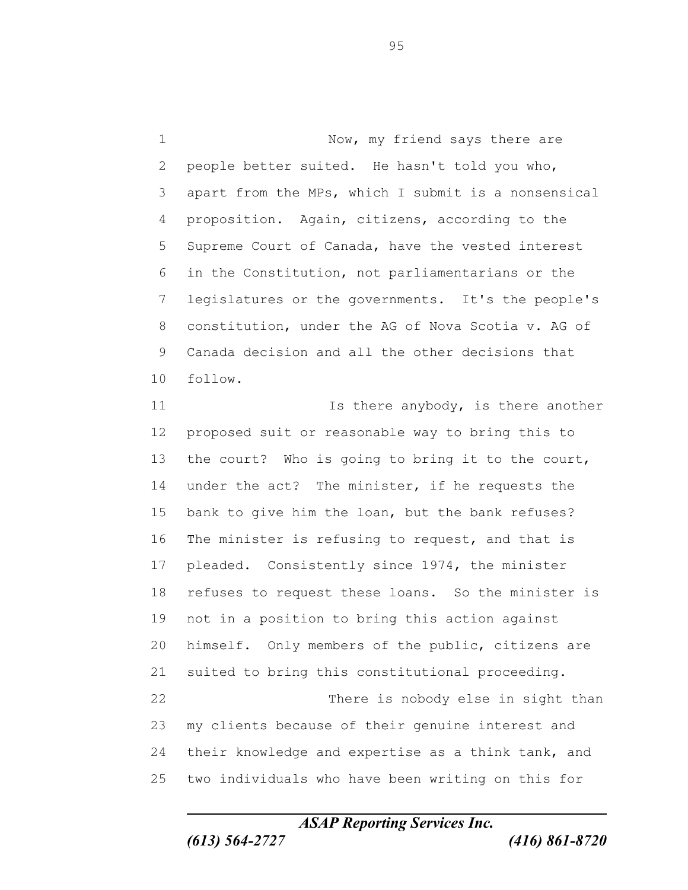1 Now, my friend says there are people better suited. He hasn't told you who, apart from the MPs, which I submit is a nonsensical proposition. Again, citizens, according to the Supreme Court of Canada, have the vested interest in the Constitution, not parliamentarians or the legislatures or the governments. It's the people's constitution, under the AG of Nova Scotia v. AG of Canada decision and all the other decisions that follow.

11 11 Is there anybody, is there another proposed suit or reasonable way to bring this to the court? Who is going to bring it to the court, under the act? The minister, if he requests the bank to give him the loan, but the bank refuses? 16 The minister is refusing to request, and that is pleaded. Consistently since 1974, the minister refuses to request these loans. So the minister is not in a position to bring this action against himself. Only members of the public, citizens are suited to bring this constitutional proceeding. 22 There is nobody else in sight than my clients because of their genuine interest and their knowledge and expertise as a think tank, and two individuals who have been writing on this for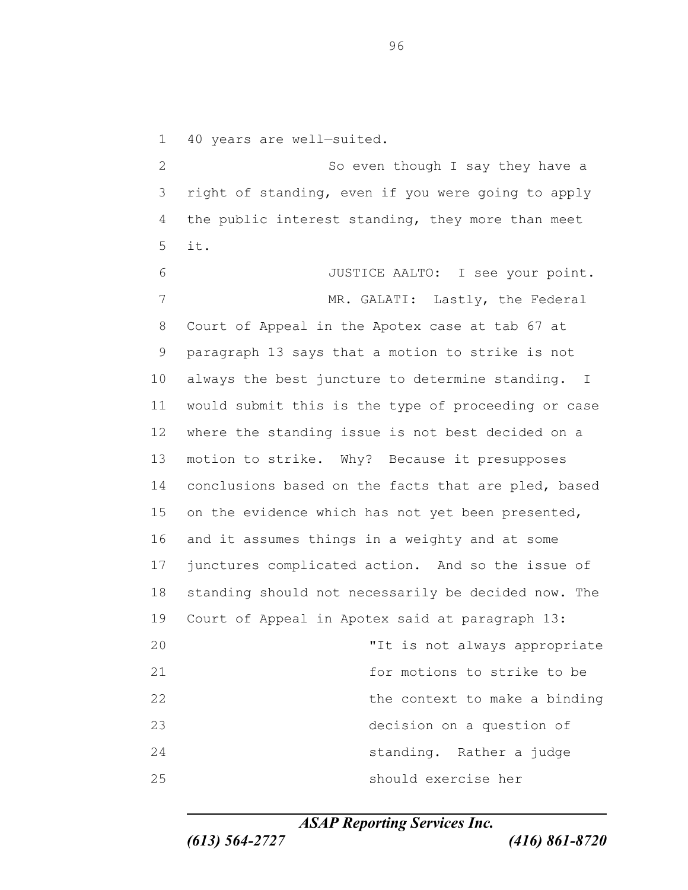40 years are well—suited. 2 So even though I say they have a right of standing, even if you were going to apply the public interest standing, they more than meet it. JUSTICE AALTO: I see your point. 7 MR. GALATI: Lastly, the Federal Court of Appeal in the Apotex case at tab 67 at paragraph 13 says that a motion to strike is not always the best juncture to determine standing. I

 would submit this is the type of proceeding or case where the standing issue is not best decided on a motion to strike. Why? Because it presupposes 14 conclusions based on the facts that are pled, based on the evidence which has not yet been presented, and it assumes things in a weighty and at some junctures complicated action. And so the issue of standing should not necessarily be decided now. The Court of Appeal in Apotex said at paragraph 13: "It is not always appropriate for motions to strike to be 22 the context to make a binding decision on a question of standing. Rather a judge should exercise her

*ASAP Reporting Services Inc.*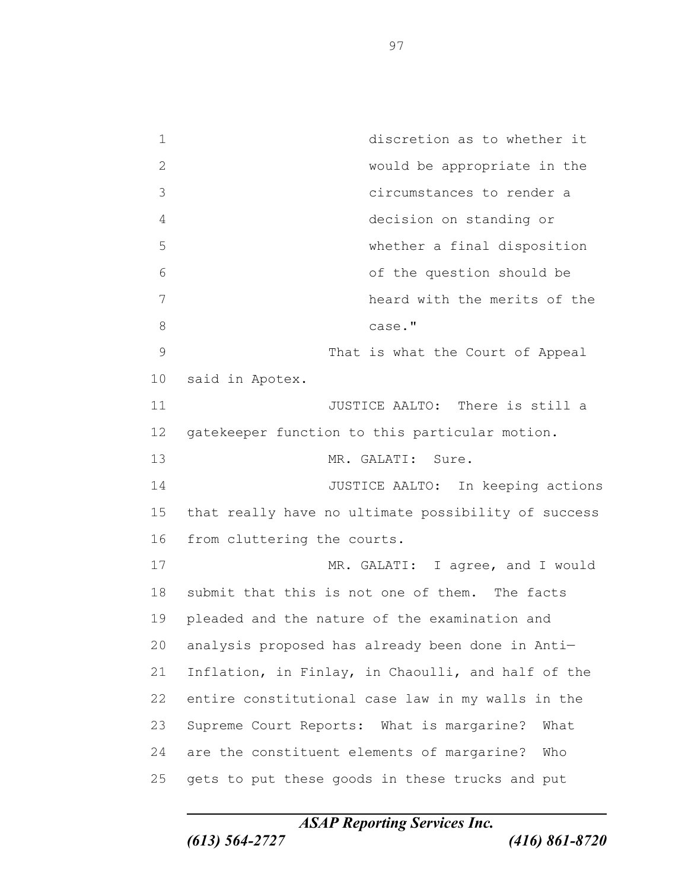discretion as to whether it would be appropriate in the circumstances to render a decision on standing or whether a final disposition of the question should be heard with the merits of the 8 case." That is what the Court of Appeal said in Apotex. **11** JUSTICE AALTO: There is still a gatekeeper function to this particular motion. MR. GALATI: Sure. JUSTICE AALTO: In keeping actions that really have no ultimate possibility of success from cluttering the courts. 17 MR. GALATI: I agree, and I would submit that this is not one of them. The facts pleaded and the nature of the examination and analysis proposed has already been done in Anti— Inflation, in Finlay, in Chaoulli, and half of the entire constitutional case law in my walls in the Supreme Court Reports: What is margarine? What are the constituent elements of margarine? Who gets to put these goods in these trucks and put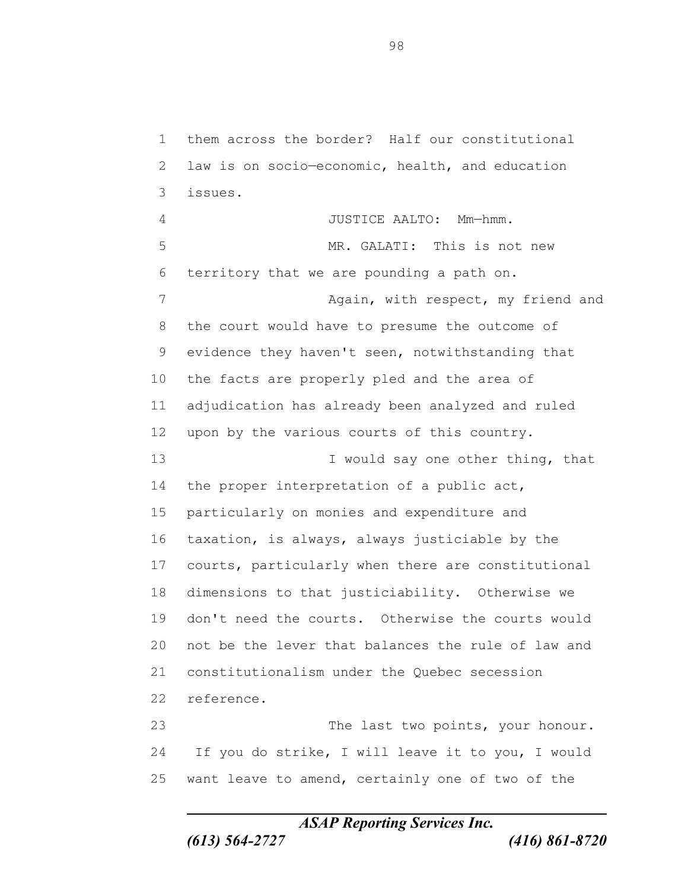them across the border? Half our constitutional law is on socio—economic, health, and education issues. JUSTICE AALTO: Mm—hmm. MR. GALATI: This is not new territory that we are pounding a path on. 7 Again, with respect, my friend and the court would have to presume the outcome of evidence they haven't seen, notwithstanding that the facts are properly pled and the area of adjudication has already been analyzed and ruled upon by the various courts of this country. 13 I would say one other thing, that the proper interpretation of a public act, particularly on monies and expenditure and taxation, is always, always justiciable by the courts, particularly when there are constitutional dimensions to that justiciability. Otherwise we don't need the courts. Otherwise the courts would not be the lever that balances the rule of law and constitutionalism under the Quebec secession reference. The last two points, your honour. If you do strike, I will leave it to you, I would

want leave to amend, certainly one of two of the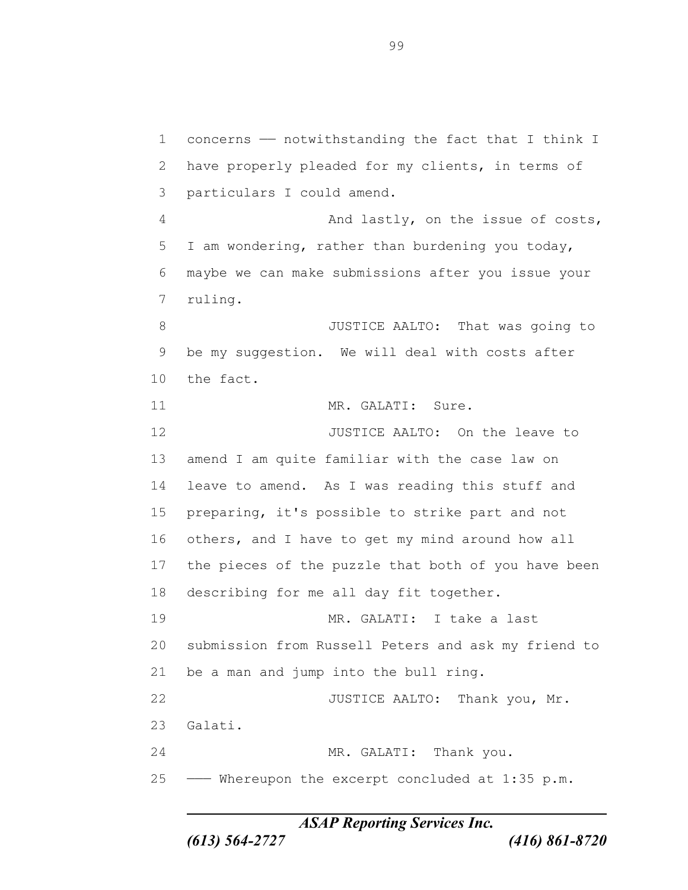concerns —— notwithstanding the fact that I think I have properly pleaded for my clients, in terms of particulars I could amend. 4 And lastly, on the issue of costs, I am wondering, rather than burdening you today, maybe we can make submissions after you issue your ruling. **B** JUSTICE AALTO: That was going to be my suggestion. We will deal with costs after the fact. 11 MR. GALATI: Sure. 12 JUSTICE AALTO: On the leave to amend I am quite familiar with the case law on leave to amend. As I was reading this stuff and preparing, it's possible to strike part and not others, and I have to get my mind around how all the pieces of the puzzle that both of you have been describing for me all day fit together. MR. GALATI: I take a last submission from Russell Peters and ask my friend to be a man and jump into the bull ring. 22 JUSTICE AALTO: Thank you, Mr. Galati. 24 MR. GALATI: Thank you. ——— Whereupon the excerpt concluded at 1:35 p.m.